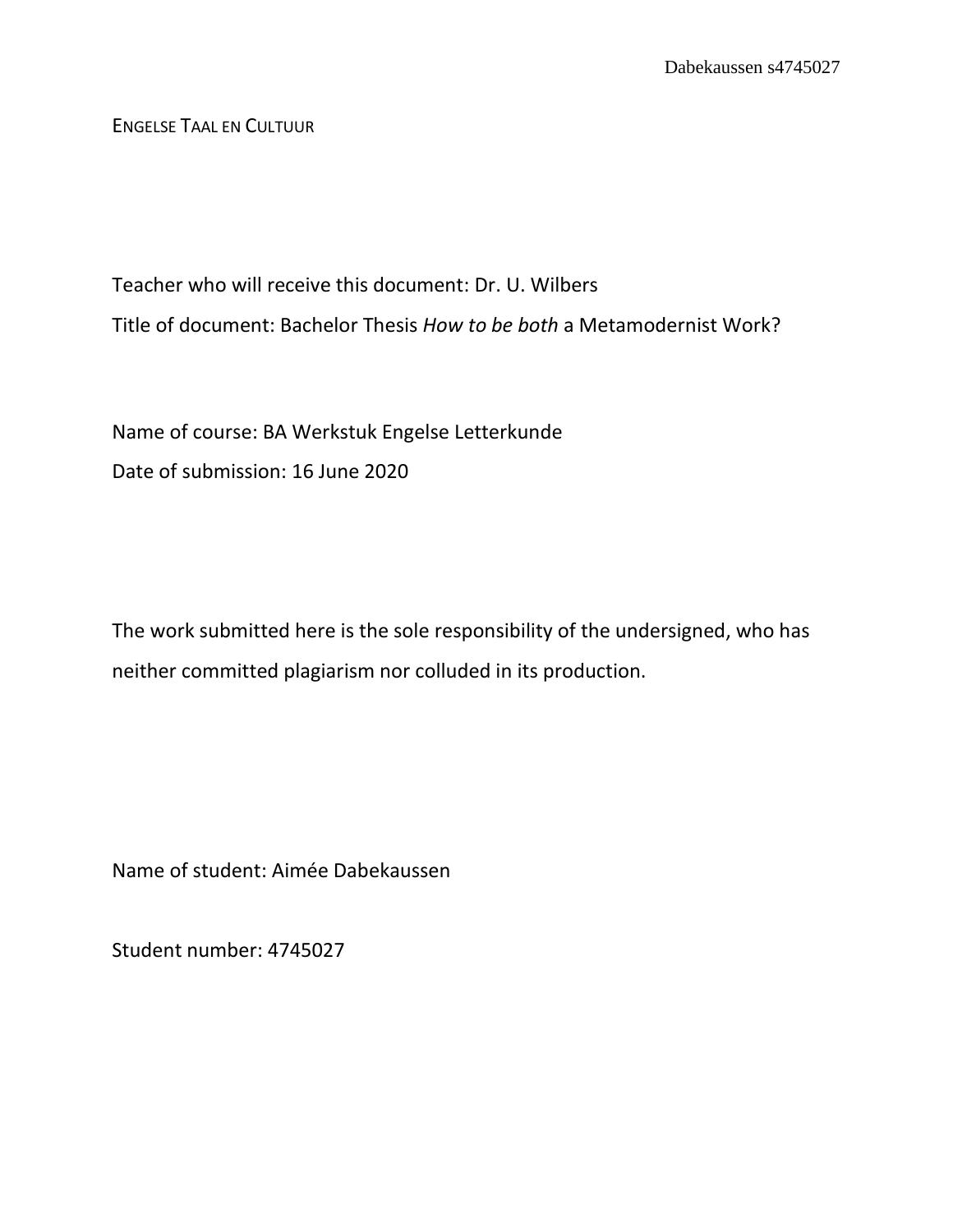ENGELSE TAAL EN CULTUUR

Teacher who will receive this document: Dr. U. Wilbers Title of document: Bachelor Thesis *How to be both* a Metamodernist Work?

Name of course: BA Werkstuk Engelse Letterkunde Date of submission: 16 June 2020

The work submitted here is the sole responsibility of the undersigned, who has neither committed plagiarism nor colluded in its production.

Name of student: Aimée Dabekaussen

Student number: 4745027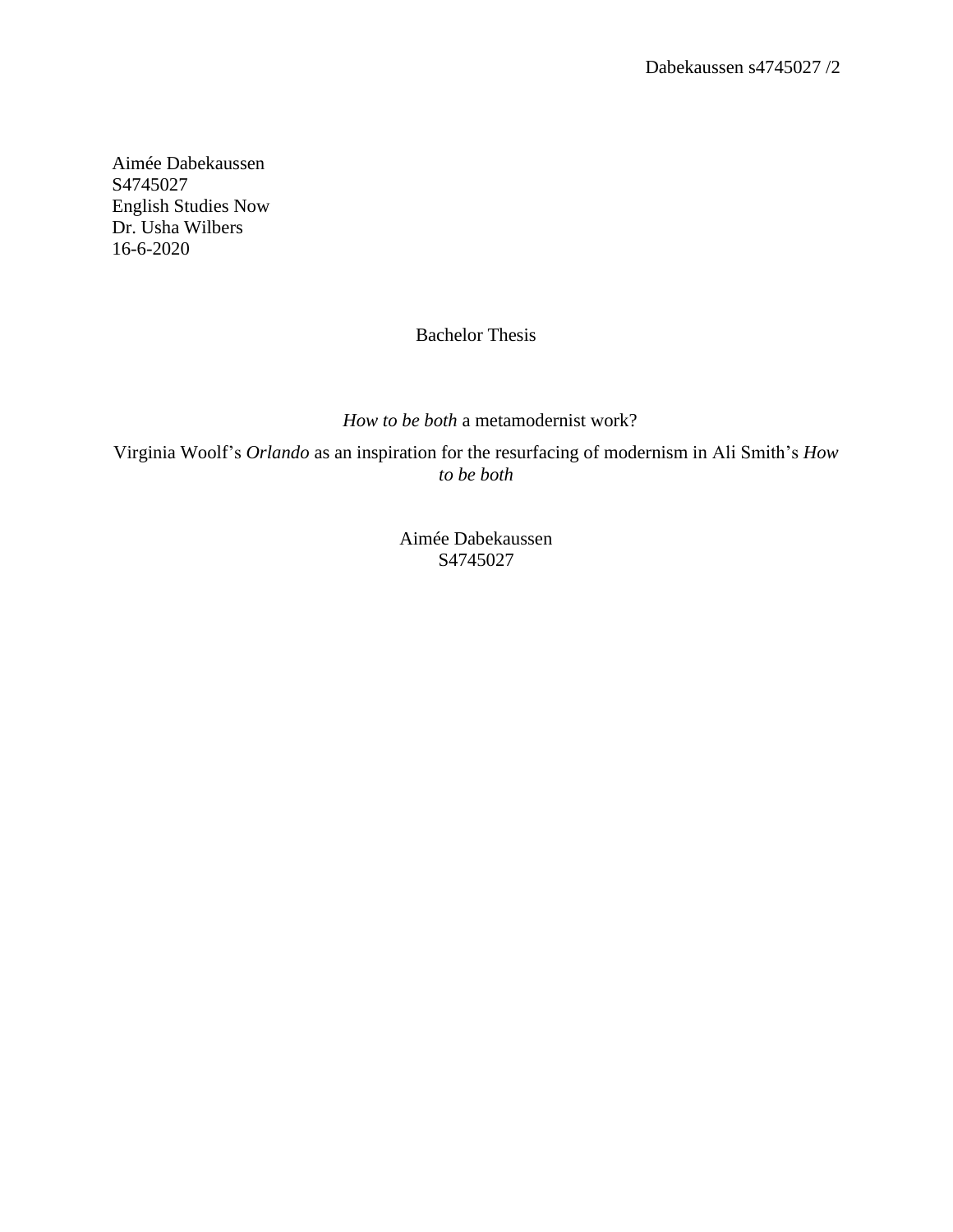Aimée Dabekaussen S4745027 English Studies Now Dr. Usha Wilbers 16-6-2020

# Bachelor Thesis

*How to be both* a metamodernist work?

Virginia Woolf's *Orlando* as an inspiration for the resurfacing of modernism in Ali Smith's *How to be both*

> Aimée Dabekaussen S4745027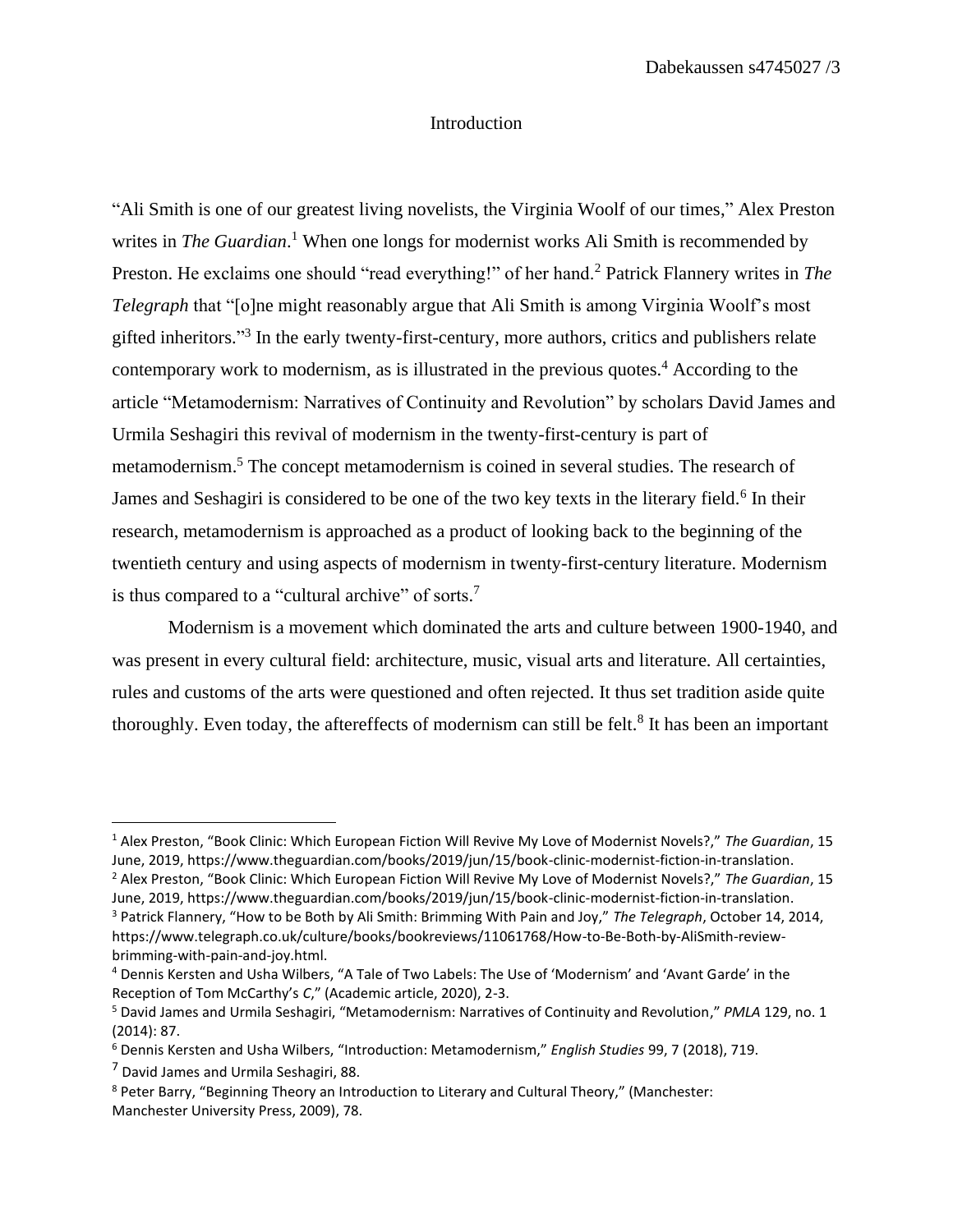## Introduction

"Ali Smith is one of our greatest living novelists, the Virginia Woolf of our times," Alex Preston writes in *The Guardian*. <sup>1</sup> When one longs for modernist works Ali Smith is recommended by Preston. He exclaims one should "read everything!" of her hand.<sup>2</sup> Patrick Flannery writes in *The Telegraph* that "[o]ne might reasonably argue that Ali Smith is among Virginia Woolf's most gifted inheritors."<sup>3</sup> In the early twenty-first-century, more authors, critics and publishers relate contemporary work to modernism, as is illustrated in the previous quotes. <sup>4</sup> According to the article "Metamodernism: Narratives of Continuity and Revolution" by scholars David James and Urmila Seshagiri this revival of modernism in the twenty-first-century is part of metamodernism.<sup>5</sup> The concept metamodernism is coined in several studies. The research of James and Seshagiri is considered to be one of the two key texts in the literary field.<sup>6</sup> In their research, metamodernism is approached as a product of looking back to the beginning of the twentieth century and using aspects of modernism in twenty-first-century literature. Modernism is thus compared to a "cultural archive" of sorts.<sup>7</sup>

Modernism is a movement which dominated the arts and culture between 1900-1940, and was present in every cultural field: architecture, music, visual arts and literature. All certainties, rules and customs of the arts were questioned and often rejected. It thus set tradition aside quite thoroughly. Even today, the aftereffects of modernism can still be felt.<sup>8</sup> It has been an important

<sup>1</sup> Alex Preston, "Book Clinic: Which European Fiction Will Revive My Love of Modernist Novels?," *The Guardian*, 15 June, 2019, https://www.theguardian.com/books/2019/jun/15/book-clinic-modernist-fiction-in-translation.

<sup>2</sup> Alex Preston, "Book Clinic: Which European Fiction Will Revive My Love of Modernist Novels?," *The Guardian*, 15 June, 2019, https://www.theguardian.com/books/2019/jun/15/book-clinic-modernist-fiction-in-translation.

<sup>3</sup> Patrick Flannery, "How to be Both by Ali Smith: Brimming With Pain and Joy," *The Telegraph*, October 14, 2014, https://www.telegraph.co.uk/culture/books/bookreviews/11061768/How-to-Be-Both-by-AliSmith-reviewbrimming-with-pain-and-joy.html.

<sup>4</sup> Dennis Kersten and Usha Wilbers, "A Tale of Two Labels: The Use of 'Modernism' and 'Avant Garde' in the Reception of Tom McCarthy's *C*," (Academic article, 2020), 2-3.

<sup>5</sup> David James and Urmila Seshagiri, "Metamodernism: Narratives of Continuity and Revolution," *PMLA* 129, no. 1 (2014): 87.

<sup>6</sup> Dennis Kersten and Usha Wilbers, "Introduction: Metamodernism," *English Studies* 99, 7 (2018), 719.

<sup>7</sup> David James and Urmila Seshagiri, 88.

<sup>8</sup> Peter Barry, "Beginning Theory an Introduction to Literary and Cultural Theory," (Manchester: Manchester University Press, 2009), 78.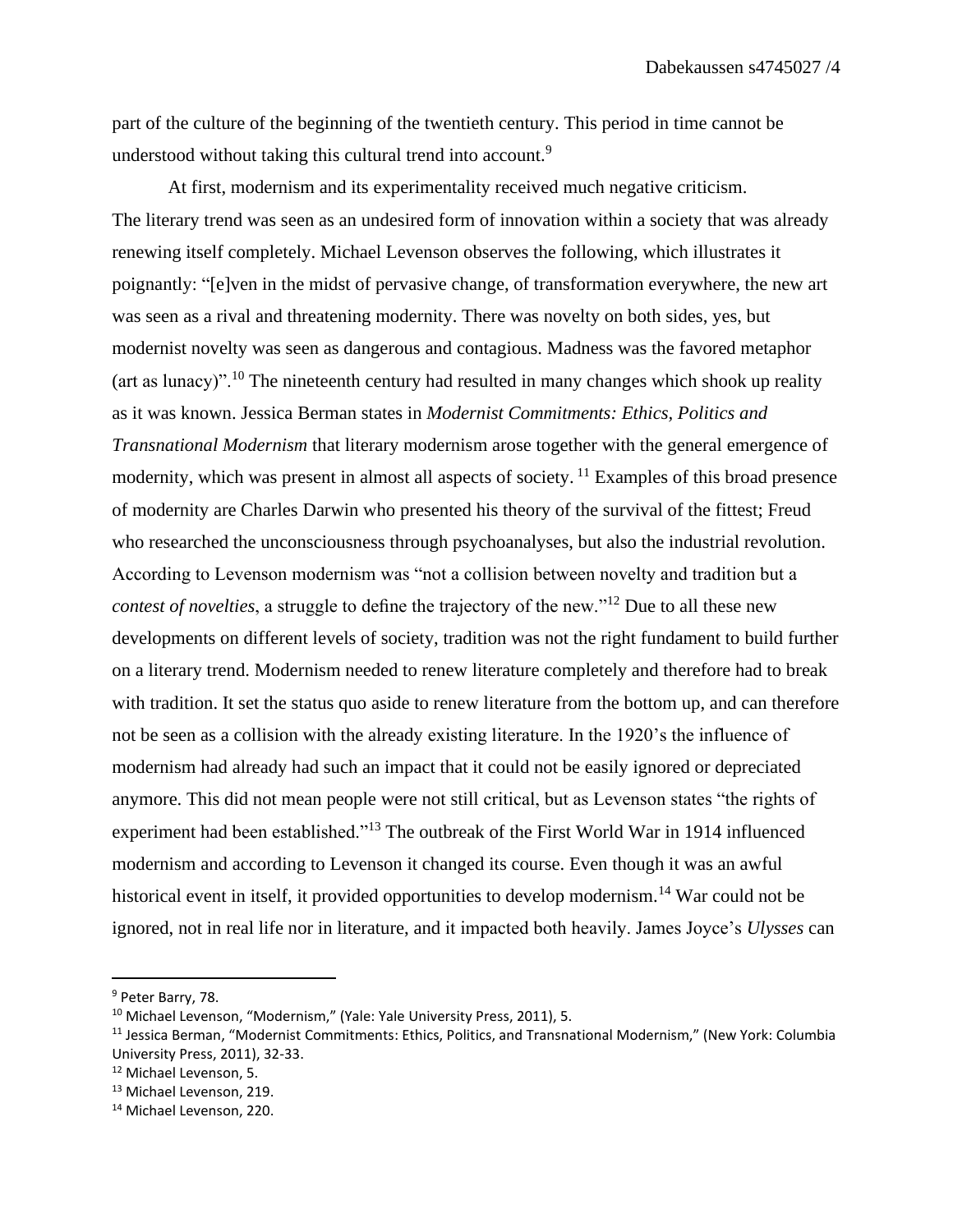part of the culture of the beginning of the twentieth century. This period in time cannot be understood without taking this cultural trend into account.<sup>9</sup>

At first, modernism and its experimentality received much negative criticism. The literary trend was seen as an undesired form of innovation within a society that was already renewing itself completely. Michael Levenson observes the following, which illustrates it poignantly: "[e]ven in the midst of pervasive change, of transformation everywhere, the new art was seen as a rival and threatening modernity. There was novelty on both sides, yes, but modernist novelty was seen as dangerous and contagious. Madness was the favored metaphor  $(\text{art as lunar})$ ".<sup>10</sup> The nineteenth century had resulted in many changes which shook up reality as it was known. Jessica Berman states in *Modernist Commitments: Ethics, Politics and Transnational Modernism* that literary modernism arose together with the general emergence of modernity, which was present in almost all aspects of society. <sup>11</sup> Examples of this broad presence of modernity are Charles Darwin who presented his theory of the survival of the fittest; Freud who researched the unconsciousness through psychoanalyses, but also the industrial revolution. According to Levenson modernism was "not a collision between novelty and tradition but a *contest of novelties*, a struggle to define the trajectory of the new."<sup>12</sup> Due to all these new developments on different levels of society, tradition was not the right fundament to build further on a literary trend. Modernism needed to renew literature completely and therefore had to break with tradition. It set the status quo aside to renew literature from the bottom up, and can therefore not be seen as a collision with the already existing literature. In the 1920's the influence of modernism had already had such an impact that it could not be easily ignored or depreciated anymore. This did not mean people were not still critical, but as Levenson states "the rights of experiment had been established."<sup>13</sup> The outbreak of the First World War in 1914 influenced modernism and according to Levenson it changed its course. Even though it was an awful historical event in itself, it provided opportunities to develop modernism.<sup>14</sup> War could not be ignored, not in real life nor in literature, and it impacted both heavily. James Joyce's *Ulysses* can

<sup>9</sup> Peter Barry, 78.

<sup>&</sup>lt;sup>10</sup> Michael Levenson, "Modernism," (Yale: Yale University Press, 2011), 5.

<sup>11</sup> Jessica Berman, "Modernist Commitments: Ethics, Politics, and Transnational Modernism," (New York: Columbia University Press, 2011), 32-33.

<sup>12</sup> Michael Levenson, 5.

<sup>13</sup> Michael Levenson, 219.

<sup>14</sup> Michael Levenson, 220.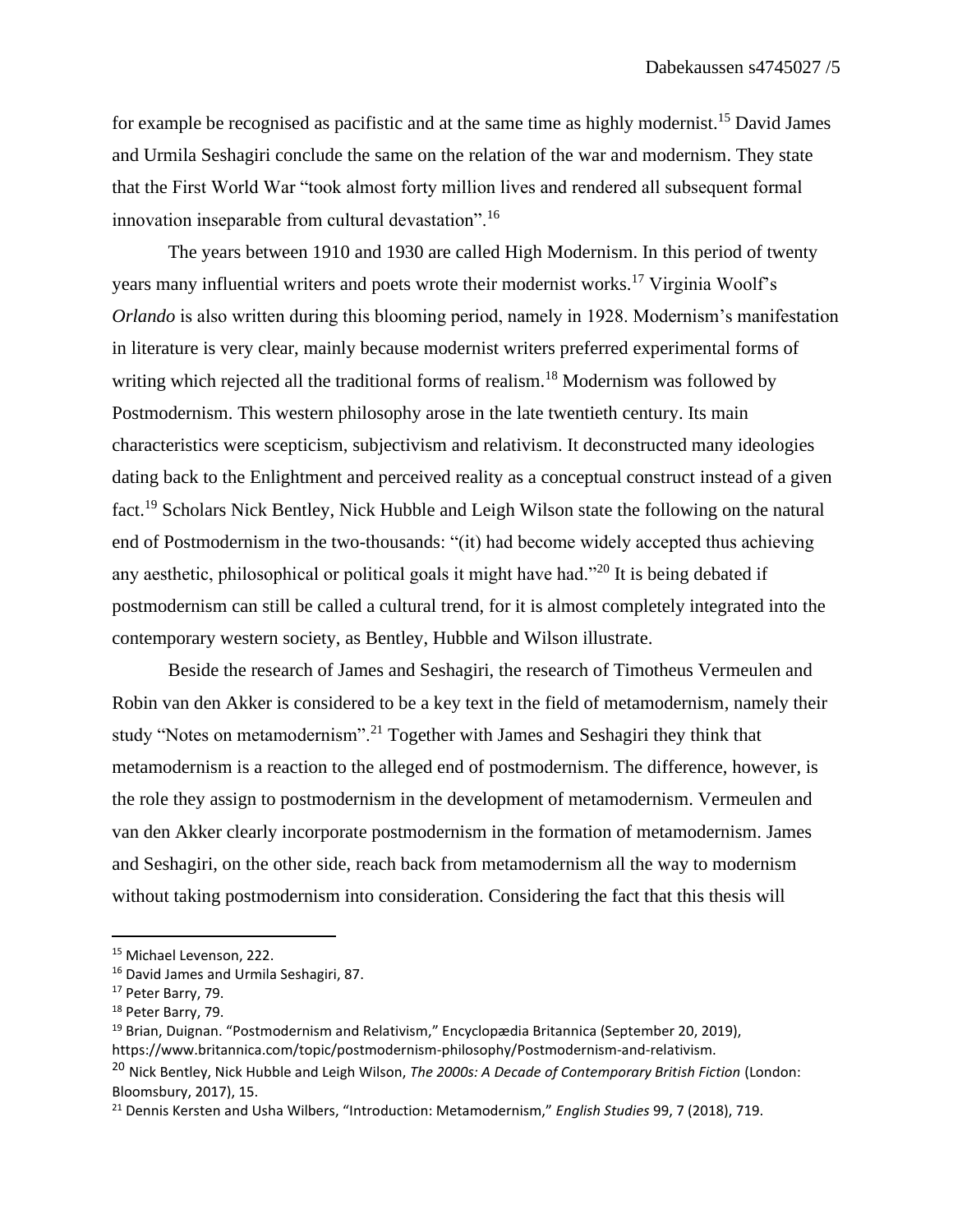for example be recognised as pacifistic and at the same time as highly modernist.<sup>15</sup> David James and Urmila Seshagiri conclude the same on the relation of the war and modernism. They state that the First World War "took almost forty million lives and rendered all subsequent formal innovation inseparable from cultural devastation".<sup>16</sup>

The years between 1910 and 1930 are called High Modernism. In this period of twenty years many influential writers and poets wrote their modernist works.<sup>17</sup> Virginia Woolf's *Orlando* is also written during this blooming period, namely in 1928. Modernism's manifestation in literature is very clear, mainly because modernist writers preferred experimental forms of writing which rejected all the traditional forms of realism.<sup>18</sup> Modernism was followed by Postmodernism. This western philosophy arose in the late twentieth century. Its main characteristics were scepticism, subjectivism and relativism. It deconstructed many ideologies dating back to the Enlightment and perceived reality as a conceptual construct instead of a given fact.<sup>19</sup> Scholars Nick Bentley, Nick Hubble and Leigh Wilson state the following on the natural end of Postmodernism in the two-thousands: "(it) had become widely accepted thus achieving any aesthetic, philosophical or political goals it might have had."<sup>20</sup> It is being debated if postmodernism can still be called a cultural trend, for it is almost completely integrated into the contemporary western society, as Bentley, Hubble and Wilson illustrate.

Beside the research of James and Seshagiri, the research of Timotheus Vermeulen and Robin van den Akker is considered to be a key text in the field of metamodernism, namely their study "Notes on metamodernism".<sup>21</sup> Together with James and Seshagiri they think that metamodernism is a reaction to the alleged end of postmodernism. The difference, however, is the role they assign to postmodernism in the development of metamodernism. Vermeulen and van den Akker clearly incorporate postmodernism in the formation of metamodernism. James and Seshagiri, on the other side, reach back from metamodernism all the way to modernism without taking postmodernism into consideration. Considering the fact that this thesis will

<sup>15</sup> Michael Levenson, 222.

<sup>16</sup> David James and Urmila Seshagiri, 87.

<sup>&</sup>lt;sup>17</sup> Peter Barry, 79.

<sup>18</sup> Peter Barry, 79.

<sup>19</sup> Brian, Duignan. "Postmodernism and Relativism," Encyclopædia Britannica (September 20, 2019), https://www.britannica.com/topic/postmodernism-philosophy/Postmodernism-and-relativism.

<sup>20</sup> Nick Bentley, Nick Hubble and Leigh Wilson, *The 2000s: A Decade of Contemporary British Fiction* (London: Bloomsbury, 2017), 15.

<sup>21</sup> Dennis Kersten and Usha Wilbers, "Introduction: Metamodernism," *English Studies* 99, 7 (2018), 719.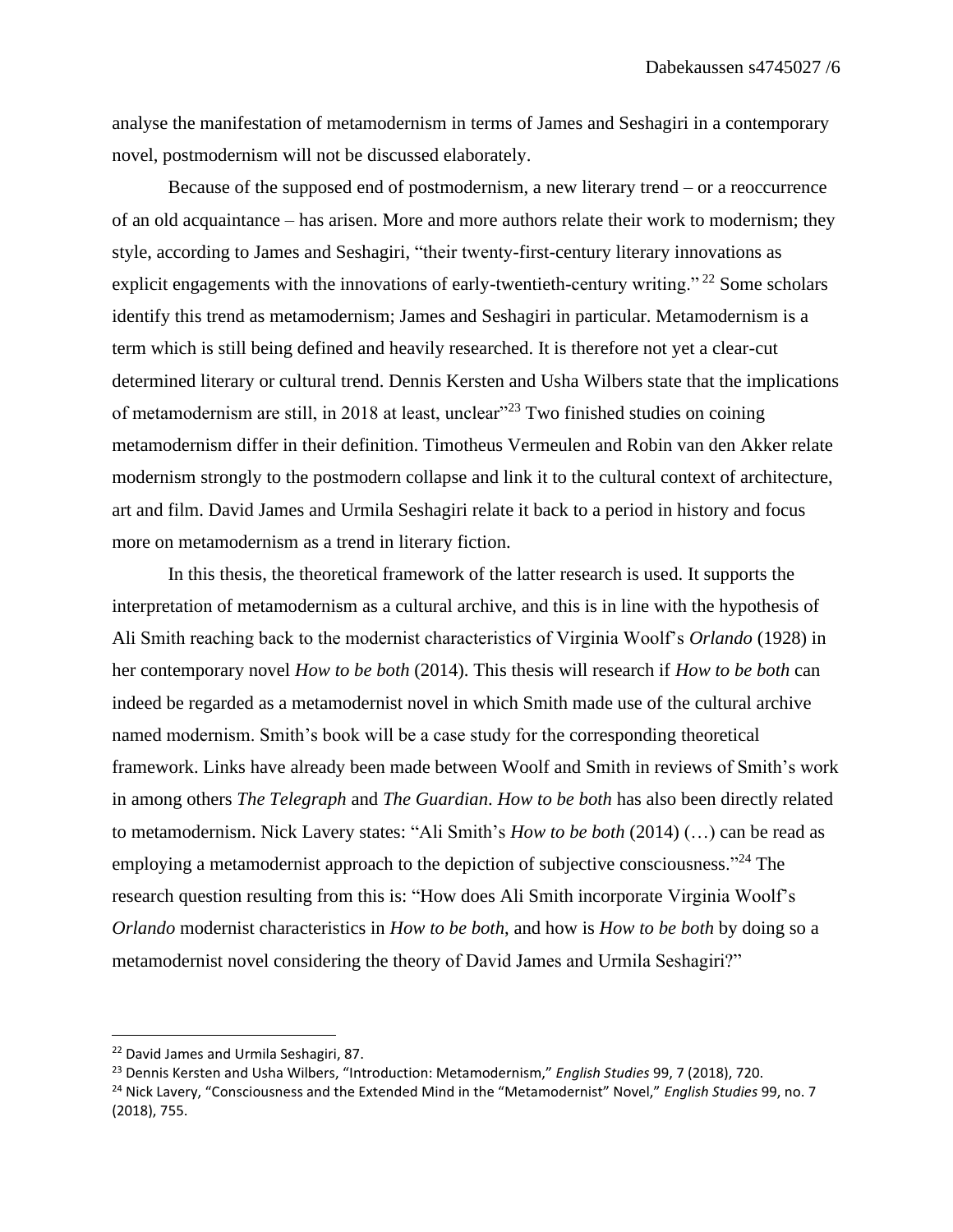analyse the manifestation of metamodernism in terms of James and Seshagiri in a contemporary novel, postmodernism will not be discussed elaborately.

Because of the supposed end of postmodernism, a new literary trend – or a reoccurrence of an old acquaintance – has arisen. More and more authors relate their work to modernism; they style, according to James and Seshagiri, "their twenty-first-century literary innovations as explicit engagements with the innovations of early-twentieth-century writing."  $^{22}$  Some scholars identify this trend as metamodernism; James and Seshagiri in particular. Metamodernism is a term which is still being defined and heavily researched. It is therefore not yet a clear-cut determined literary or cultural trend. Dennis Kersten and Usha Wilbers state that the implications of metamodernism are still, in 2018 at least, unclear<sup>323</sup> Two finished studies on coining metamodernism differ in their definition. Timotheus Vermeulen and Robin van den Akker relate modernism strongly to the postmodern collapse and link it to the cultural context of architecture, art and film. David James and Urmila Seshagiri relate it back to a period in history and focus more on metamodernism as a trend in literary fiction.

In this thesis, the theoretical framework of the latter research is used. It supports the interpretation of metamodernism as a cultural archive, and this is in line with the hypothesis of Ali Smith reaching back to the modernist characteristics of Virginia Woolf's *Orlando* (1928) in her contemporary novel *How to be both* (2014). This thesis will research if *How to be both* can indeed be regarded as a metamodernist novel in which Smith made use of the cultural archive named modernism. Smith's book will be a case study for the corresponding theoretical framework. Links have already been made between Woolf and Smith in reviews of Smith's work in among others *The Telegraph* and *The Guardian*. *How to be both* has also been directly related to metamodernism. Nick Lavery states: "Ali Smith's *How to be both* (2014) (…) can be read as employing a metamodernist approach to the depiction of subjective consciousness."<sup>24</sup> The research question resulting from this is: "How does Ali Smith incorporate Virginia Woolf's *Orlando* modernist characteristics in *How to be both*, and how is *How to be both* by doing so a metamodernist novel considering the theory of David James and Urmila Seshagiri?"

<sup>&</sup>lt;sup>22</sup> David James and Urmila Seshagiri, 87.

<sup>23</sup> Dennis Kersten and Usha Wilbers, "Introduction: Metamodernism," *English Studies* 99, 7 (2018), 720. <sup>24</sup> Nick Lavery, "Consciousness and the Extended Mind in the "Metamodernist" Novel," *English Studies* 99, no. 7 (2018), 755.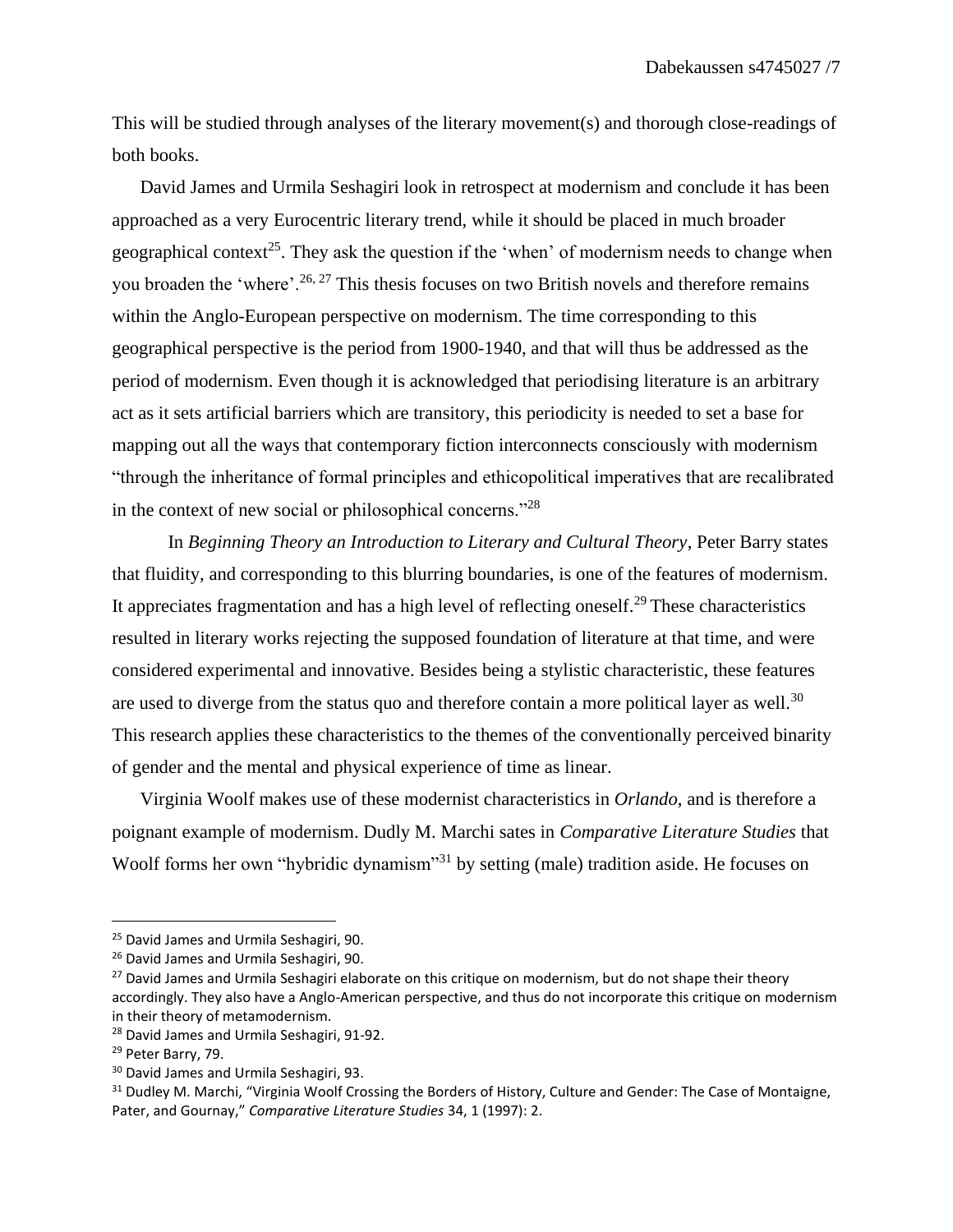This will be studied through analyses of the literary movement(s) and thorough close-readings of both books.

David James and Urmila Seshagiri look in retrospect at modernism and conclude it has been approached as a very Eurocentric literary trend, while it should be placed in much broader geographical context<sup>25</sup>. They ask the question if the 'when' of modernism needs to change when you broaden the 'where'.<sup>26, 27</sup> This thesis focuses on two British novels and therefore remains within the Anglo-European perspective on modernism. The time corresponding to this geographical perspective is the period from 1900-1940, and that will thus be addressed as the period of modernism. Even though it is acknowledged that periodising literature is an arbitrary act as it sets artificial barriers which are transitory, this periodicity is needed to set a base for mapping out all the ways that contemporary fiction interconnects consciously with modernism "through the inheritance of formal principles and ethicopolitical imperatives that are recalibrated in the context of new social or philosophical concerns."<sup>28</sup>

In *Beginning Theory an Introduction to Literary and Cultural Theory*, Peter Barry states that fluidity, and corresponding to this blurring boundaries, is one of the features of modernism. It appreciates fragmentation and has a high level of reflecting oneself.<sup>29</sup> These characteristics resulted in literary works rejecting the supposed foundation of literature at that time, and were considered experimental and innovative. Besides being a stylistic characteristic, these features are used to diverge from the status quo and therefore contain a more political layer as well.<sup>30</sup> This research applies these characteristics to the themes of the conventionally perceived binarity of gender and the mental and physical experience of time as linear.

Virginia Woolf makes use of these modernist characteristics in *Orlando*, and is therefore a poignant example of modernism. Dudly M. Marchi sates in *Comparative Literature Studies* that Woolf forms her own "hybridic dynamism"<sup>31</sup> by setting (male) tradition aside. He focuses on

<sup>&</sup>lt;sup>25</sup> David James and Urmila Seshagiri, 90.

<sup>&</sup>lt;sup>26</sup> David James and Urmila Seshagiri, 90.

<sup>&</sup>lt;sup>27</sup> David James and Urmila Seshagiri elaborate on this critique on modernism, but do not shape their theory accordingly. They also have a Anglo-American perspective, and thus do not incorporate this critique on modernism in their theory of metamodernism.

<sup>&</sup>lt;sup>28</sup> David James and Urmila Seshagiri, 91-92.

<sup>&</sup>lt;sup>29</sup> Peter Barry, 79.

<sup>30</sup> David James and Urmila Seshagiri, 93.

<sup>&</sup>lt;sup>31</sup> Dudley M. Marchi, "Virginia Woolf Crossing the Borders of History, Culture and Gender: The Case of Montaigne, Pater, and Gournay," *Comparative Literature Studies* 34, 1 (1997): 2.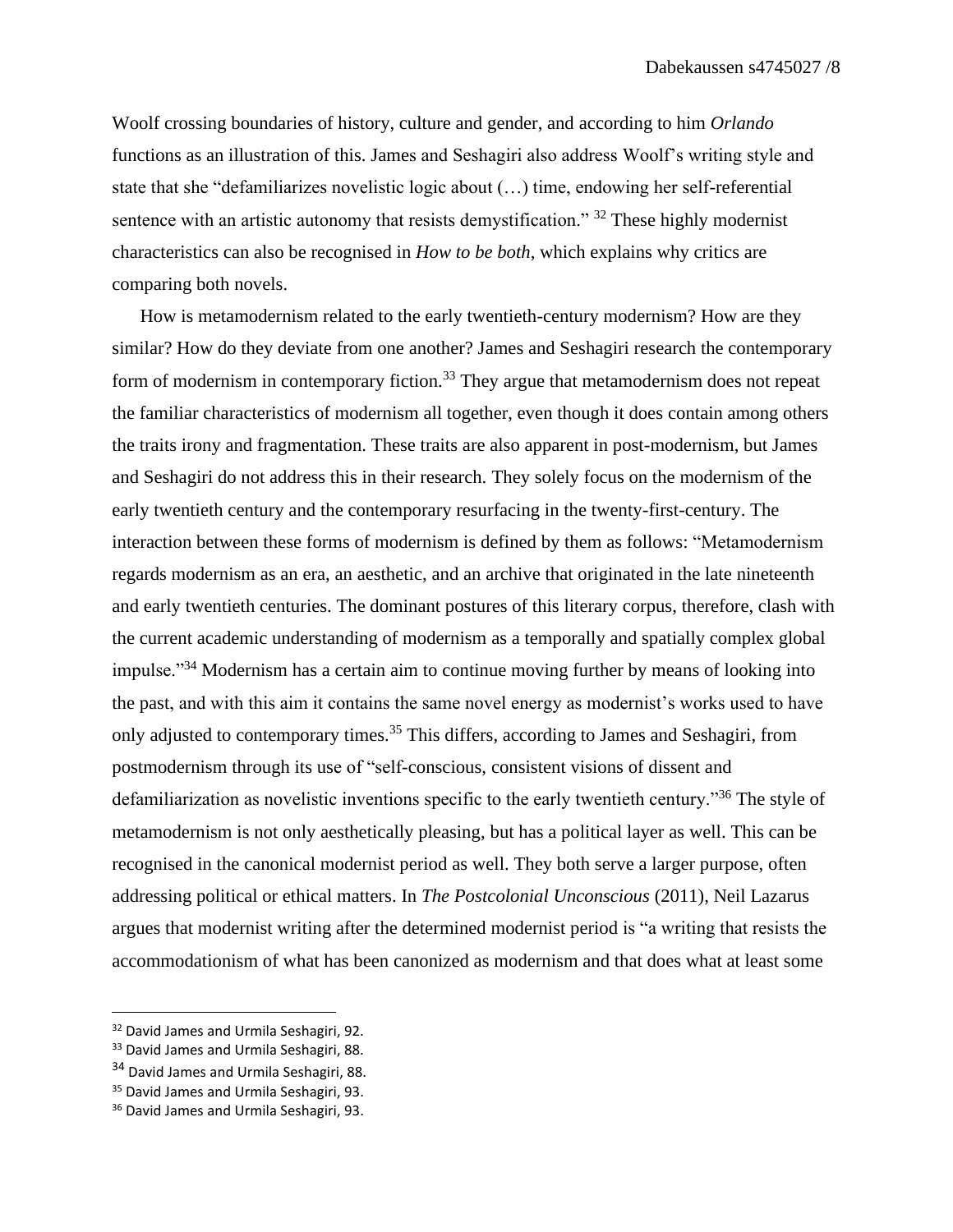Woolf crossing boundaries of history, culture and gender, and according to him *Orlando*  functions as an illustration of this. James and Seshagiri also address Woolf's writing style and state that she "defamiliarizes novelistic logic about (…) time, endowing her self-referential sentence with an artistic autonomy that resists demystification." <sup>32</sup> These highly modernist characteristics can also be recognised in *How to be both*, which explains why critics are comparing both novels.

How is metamodernism related to the early twentieth-century modernism? How are they similar? How do they deviate from one another? James and Seshagiri research the contemporary form of modernism in contemporary fiction.<sup>33</sup> They argue that metamodernism does not repeat the familiar characteristics of modernism all together, even though it does contain among others the traits irony and fragmentation. These traits are also apparent in post-modernism, but James and Seshagiri do not address this in their research. They solely focus on the modernism of the early twentieth century and the contemporary resurfacing in the twenty-first-century. The interaction between these forms of modernism is defined by them as follows: "Metamodernism regards modernism as an era, an aesthetic, and an archive that originated in the late nineteenth and early twentieth centuries. The dominant postures of this literary corpus, therefore, clash with the current academic understanding of modernism as a temporally and spatially complex global impulse."<sup>34</sup> Modernism has a certain aim to continue moving further by means of looking into the past, and with this aim it contains the same novel energy as modernist's works used to have only adjusted to contemporary times.<sup>35</sup> This differs, according to James and Seshagiri, from postmodernism through its use of "self-conscious, consistent visions of dissent and defamiliarization as novelistic inventions specific to the early twentieth century."<sup>36</sup> The style of metamodernism is not only aesthetically pleasing, but has a political layer as well. This can be recognised in the canonical modernist period as well. They both serve a larger purpose, often addressing political or ethical matters. In *The Postcolonial Unconscious* (2011), Neil Lazarus argues that modernist writing after the determined modernist period is "a writing that resists the accommodationism of what has been canonized as modernism and that does what at least some

<sup>&</sup>lt;sup>32</sup> David James and Urmila Seshagiri, 92.

<sup>&</sup>lt;sup>33</sup> David James and Urmila Seshagiri, 88.

<sup>&</sup>lt;sup>34</sup> David James and Urmila Seshagiri, 88.

<sup>&</sup>lt;sup>35</sup> David James and Urmila Seshagiri, 93.

<sup>&</sup>lt;sup>36</sup> David James and Urmila Seshagiri, 93.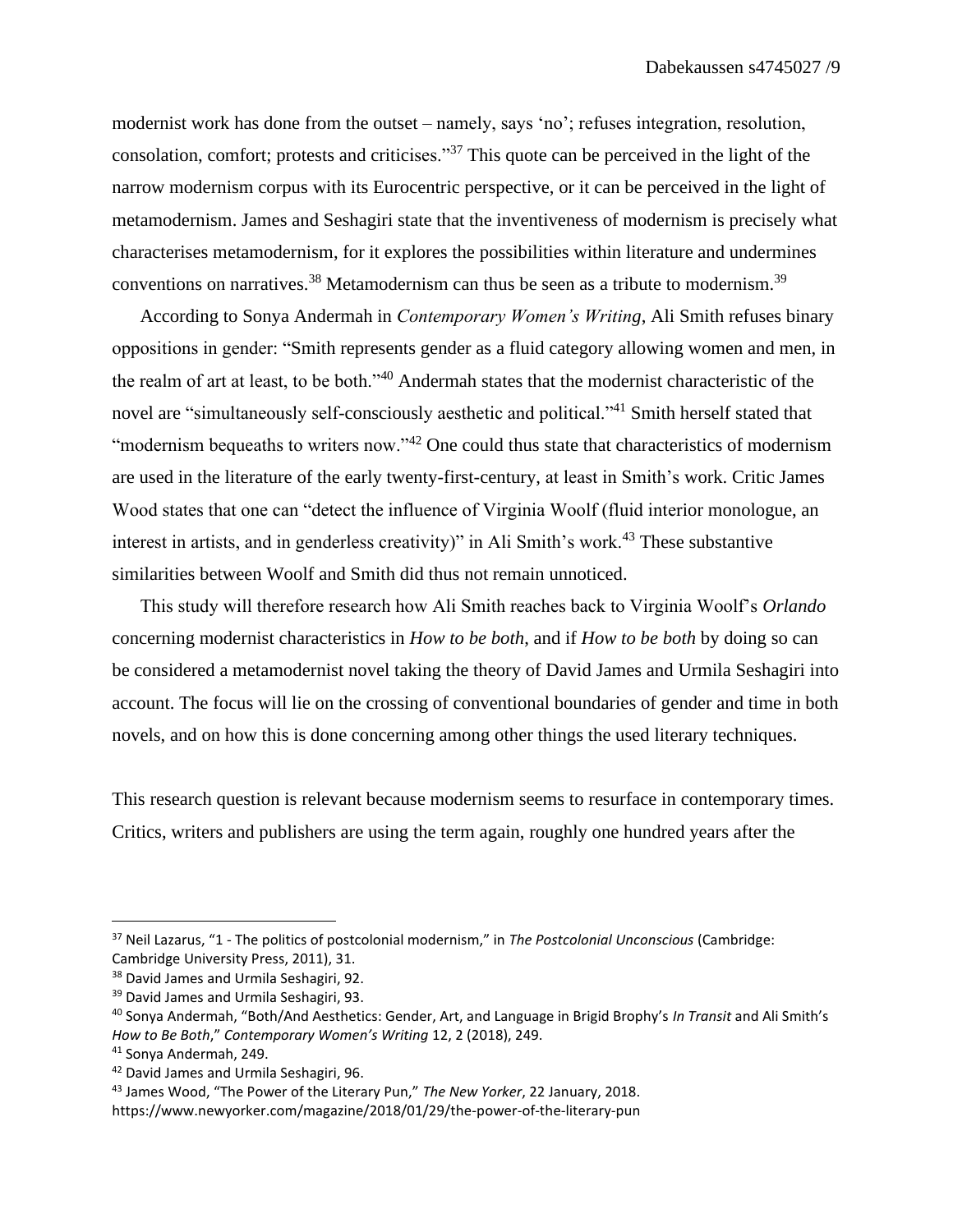modernist work has done from the outset – namely, says 'no'; refuses integration, resolution, consolation, comfort; protests and criticises."<sup>37</sup> This quote can be perceived in the light of the narrow modernism corpus with its Eurocentric perspective, or it can be perceived in the light of metamodernism. James and Seshagiri state that the inventiveness of modernism is precisely what characterises metamodernism, for it explores the possibilities within literature and undermines conventions on narratives.<sup>38</sup> Metamodernism can thus be seen as a tribute to modernism.<sup>39</sup>

According to Sonya Andermah in *Contemporary Women's Writing*, Ali Smith refuses binary oppositions in gender: "Smith represents gender as a fluid category allowing women and men, in the realm of art at least, to be both."<sup>40</sup> Andermah states that the modernist characteristic of the novel are "simultaneously self-consciously aesthetic and political."<sup>41</sup> Smith herself stated that "modernism bequeaths to writers now."<sup>42</sup> One could thus state that characteristics of modernism are used in the literature of the early twenty-first-century, at least in Smith's work. Critic James Wood states that one can "detect the influence of Virginia Woolf (fluid interior monologue, an interest in artists, and in genderless creativity)" in Ali Smith's work.<sup>43</sup> These substantive similarities between Woolf and Smith did thus not remain unnoticed.

This study will therefore research how Ali Smith reaches back to Virginia Woolf's *Orlando*  concerning modernist characteristics in *How to be both*, and if *How to be both* by doing so can be considered a metamodernist novel taking the theory of David James and Urmila Seshagiri into account. The focus will lie on the crossing of conventional boundaries of gender and time in both novels, and on how this is done concerning among other things the used literary techniques.

This research question is relevant because modernism seems to resurface in contemporary times. Critics, writers and publishers are using the term again, roughly one hundred years after the

<sup>37</sup> Neil Lazarus, "1 - The politics of postcolonial modernism," in *The Postcolonial Unconscious* (Cambridge: Cambridge University Press, 2011), 31.

<sup>&</sup>lt;sup>38</sup> David James and Urmila Seshagiri, 92.

<sup>&</sup>lt;sup>39</sup> David James and Urmila Seshagiri, 93.

<sup>40</sup> Sonya Andermah, "Both/And Aesthetics: Gender, Art, and Language in Brigid Brophy's *In Transit* and Ali Smith's *How to Be Both*," *Contemporary Women's Writing* 12, 2 (2018), 249.

<sup>41</sup> Sonya Andermah, 249.

<sup>42</sup> David James and Urmila Seshagiri, 96.

<sup>43</sup> James Wood, "The Power of the Literary Pun," *The New Yorker*, 22 January, 2018.

https://www.newyorker.com/magazine/2018/01/29/the-power-of-the-literary-pun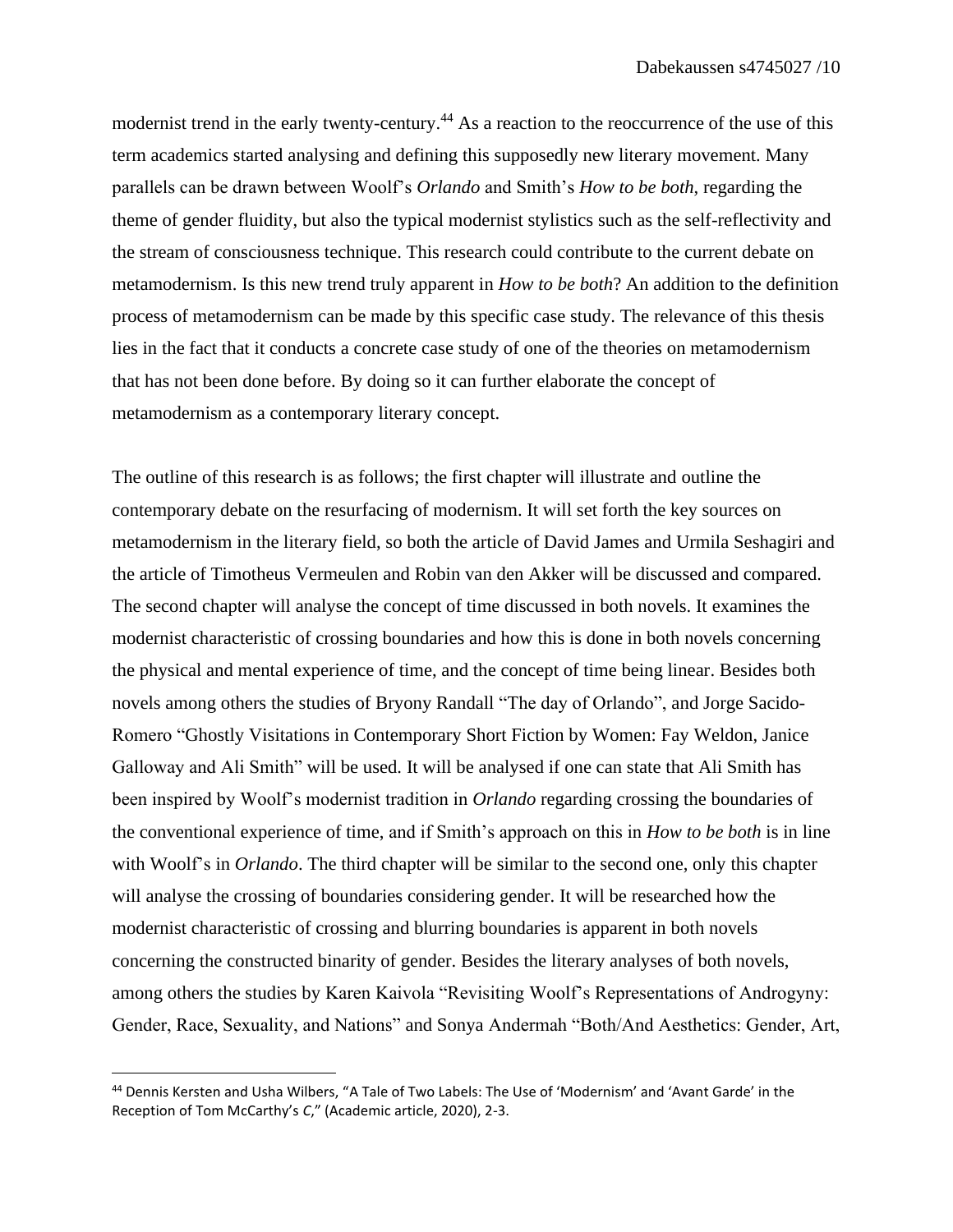modernist trend in the early twenty-century.<sup>44</sup> As a reaction to the reoccurrence of the use of this term academics started analysing and defining this supposedly new literary movement. Many parallels can be drawn between Woolf's *Orlando* and Smith's *How to be both*, regarding the theme of gender fluidity, but also the typical modernist stylistics such as the self-reflectivity and the stream of consciousness technique. This research could contribute to the current debate on metamodernism. Is this new trend truly apparent in *How to be both*? An addition to the definition process of metamodernism can be made by this specific case study. The relevance of this thesis lies in the fact that it conducts a concrete case study of one of the theories on metamodernism that has not been done before. By doing so it can further elaborate the concept of metamodernism as a contemporary literary concept.

The outline of this research is as follows; the first chapter will illustrate and outline the contemporary debate on the resurfacing of modernism. It will set forth the key sources on metamodernism in the literary field, so both the article of David James and Urmila Seshagiri and the article of Timotheus Vermeulen and Robin van den Akker will be discussed and compared. The second chapter will analyse the concept of time discussed in both novels. It examines the modernist characteristic of crossing boundaries and how this is done in both novels concerning the physical and mental experience of time, and the concept of time being linear. Besides both novels among others the studies of Bryony Randall "The day of Orlando", and Jorge Sacido-Romero "Ghostly Visitations in Contemporary Short Fiction by Women: Fay Weldon, Janice Galloway and Ali Smith" will be used. It will be analysed if one can state that Ali Smith has been inspired by Woolf's modernist tradition in *Orlando* regarding crossing the boundaries of the conventional experience of time, and if Smith's approach on this in *How to be both* is in line with Woolf's in *Orlando*. The third chapter will be similar to the second one, only this chapter will analyse the crossing of boundaries considering gender. It will be researched how the modernist characteristic of crossing and blurring boundaries is apparent in both novels concerning the constructed binarity of gender. Besides the literary analyses of both novels, among others the studies by Karen Kaivola "Revisiting Woolf's Representations of Androgyny: Gender, Race, Sexuality, and Nations" and Sonya Andermah "Both/And Aesthetics: Gender, Art,

<sup>44</sup> Dennis Kersten and Usha Wilbers, "A Tale of Two Labels: The Use of 'Modernism' and 'Avant Garde' in the Reception of Tom McCarthy's *C*," (Academic article, 2020), 2-3.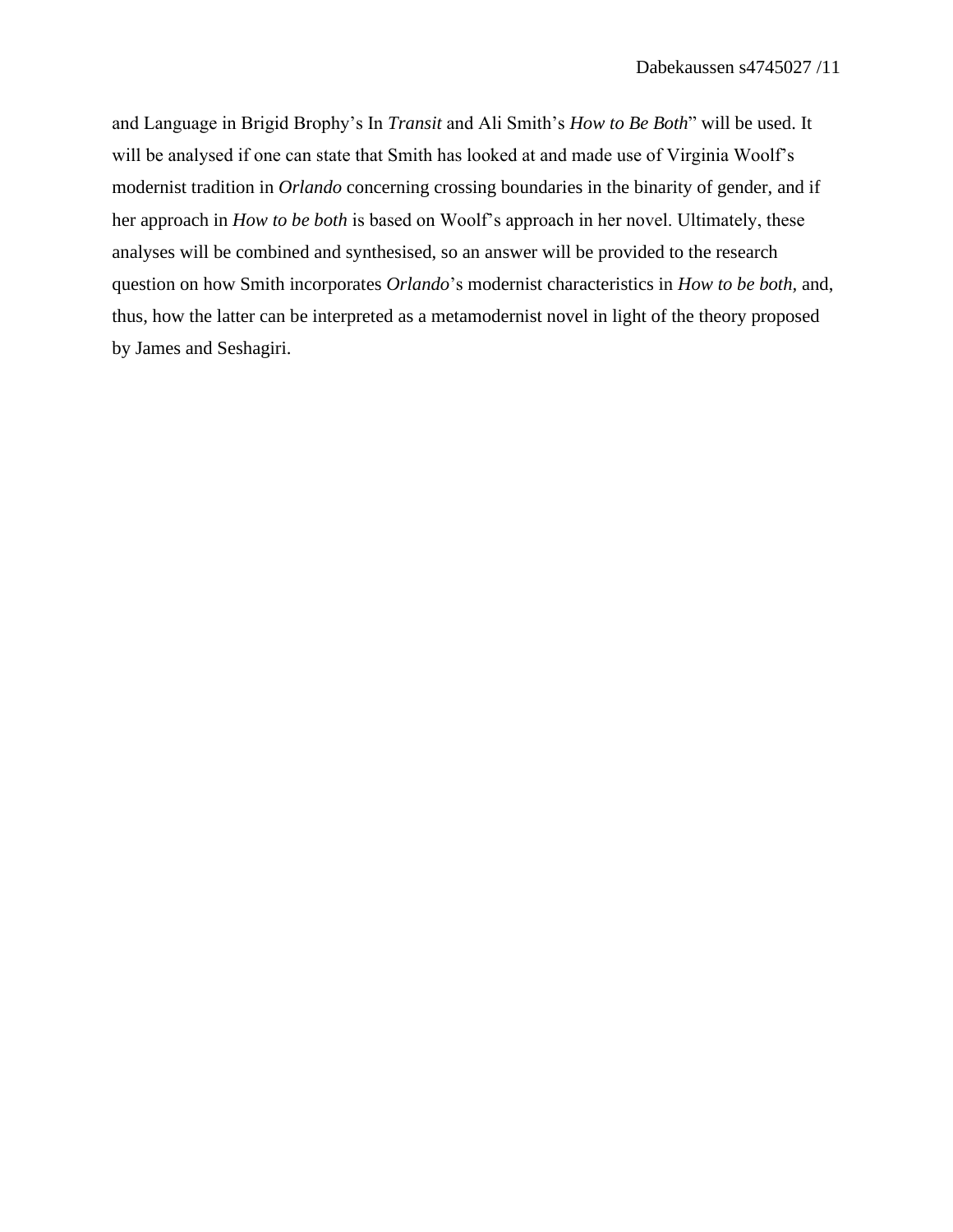and Language in Brigid Brophy's In *Transit* and Ali Smith's *How to Be Both*" will be used. It will be analysed if one can state that Smith has looked at and made use of Virginia Woolf's modernist tradition in *Orlando* concerning crossing boundaries in the binarity of gender, and if her approach in *How to be both* is based on Woolf's approach in her novel. Ultimately, these analyses will be combined and synthesised, so an answer will be provided to the research question on how Smith incorporates *Orlando*'s modernist characteristics in *How to be both,* and, thus, how the latter can be interpreted as a metamodernist novel in light of the theory proposed by James and Seshagiri.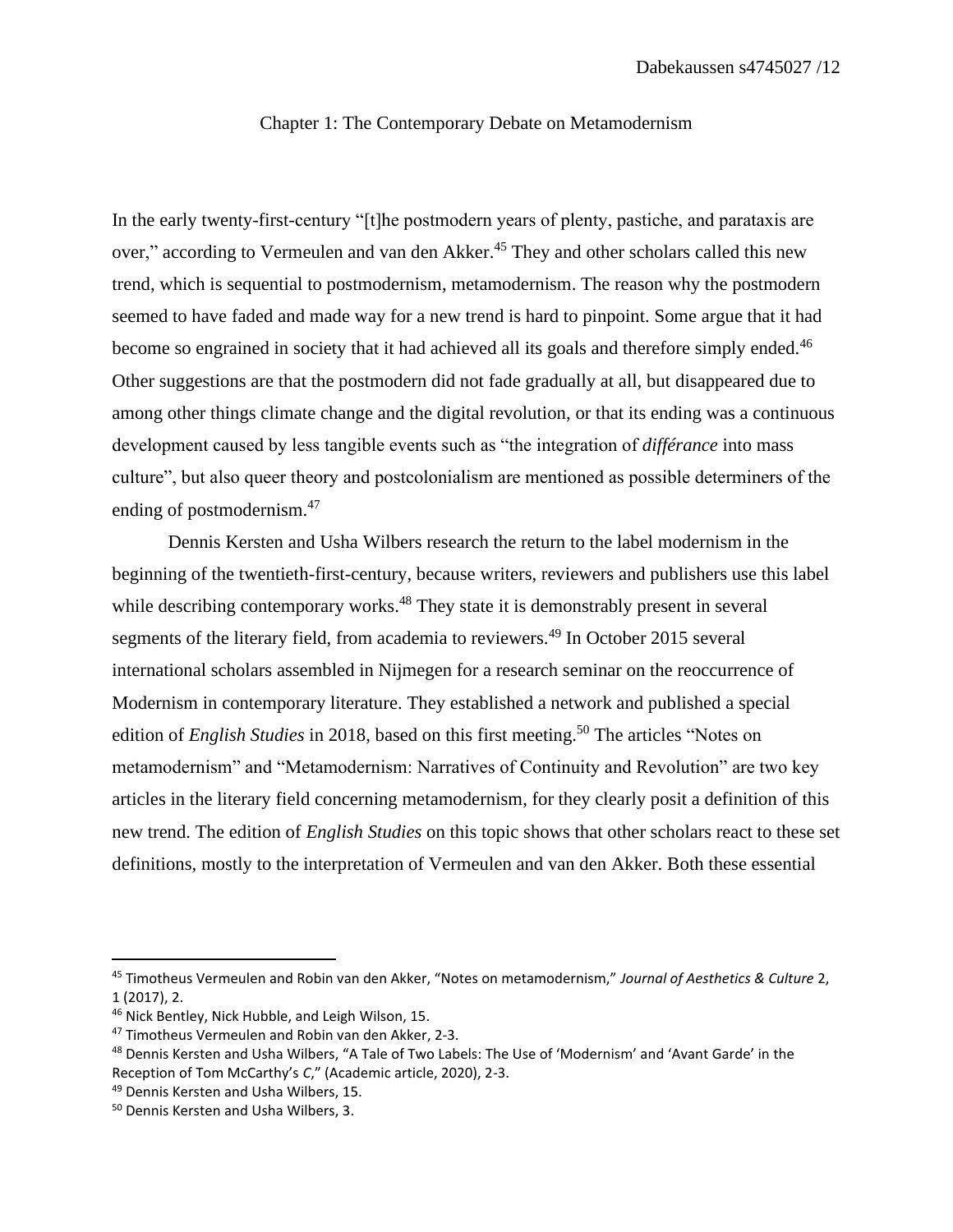#### Chapter 1: The Contemporary Debate on Metamodernism

In the early twenty-first-century "[t]he postmodern years of plenty, pastiche, and parataxis are over," according to Vermeulen and van den Akker.<sup>45</sup> They and other scholars called this new trend, which is sequential to postmodernism, metamodernism. The reason why the postmodern seemed to have faded and made way for a new trend is hard to pinpoint. Some argue that it had become so engrained in society that it had achieved all its goals and therefore simply ended.<sup>46</sup> Other suggestions are that the postmodern did not fade gradually at all, but disappeared due to among other things climate change and the digital revolution, or that its ending was a continuous development caused by less tangible events such as "the integration of *différance* into mass culture", but also queer theory and postcolonialism are mentioned as possible determiners of the ending of postmodernism.<sup>47</sup>

Dennis Kersten and Usha Wilbers research the return to the label modernism in the beginning of the twentieth-first-century, because writers, reviewers and publishers use this label while describing contemporary works.<sup>48</sup> They state it is demonstrably present in several segments of the literary field, from academia to reviewers.<sup>49</sup> In October 2015 several international scholars assembled in Nijmegen for a research seminar on the reoccurrence of Modernism in contemporary literature. They established a network and published a special edition of *English Studies* in 2018, based on this first meeting.<sup>50</sup> The articles "Notes on metamodernism" and "Metamodernism: Narratives of Continuity and Revolution" are two key articles in the literary field concerning metamodernism, for they clearly posit a definition of this new trend. The edition of *English Studies* on this topic shows that other scholars react to these set definitions, mostly to the interpretation of Vermeulen and van den Akker. Both these essential

<sup>45</sup> Timotheus Vermeulen and Robin van den Akker, "Notes on metamodernism," *Journal of Aesthetics & Culture* 2, 1 (2017), 2.

<sup>46</sup> Nick Bentley, Nick Hubble, and Leigh Wilson, 15.

<sup>47</sup> Timotheus Vermeulen and Robin van den Akker, 2-3.

<sup>48</sup> Dennis Kersten and Usha Wilbers, "A Tale of Two Labels: The Use of 'Modernism' and 'Avant Garde' in the Reception of Tom McCarthy's *C*," (Academic article, 2020), 2-3.

<sup>49</sup> Dennis Kersten and Usha Wilbers, 15.

<sup>50</sup> Dennis Kersten and Usha Wilbers, 3.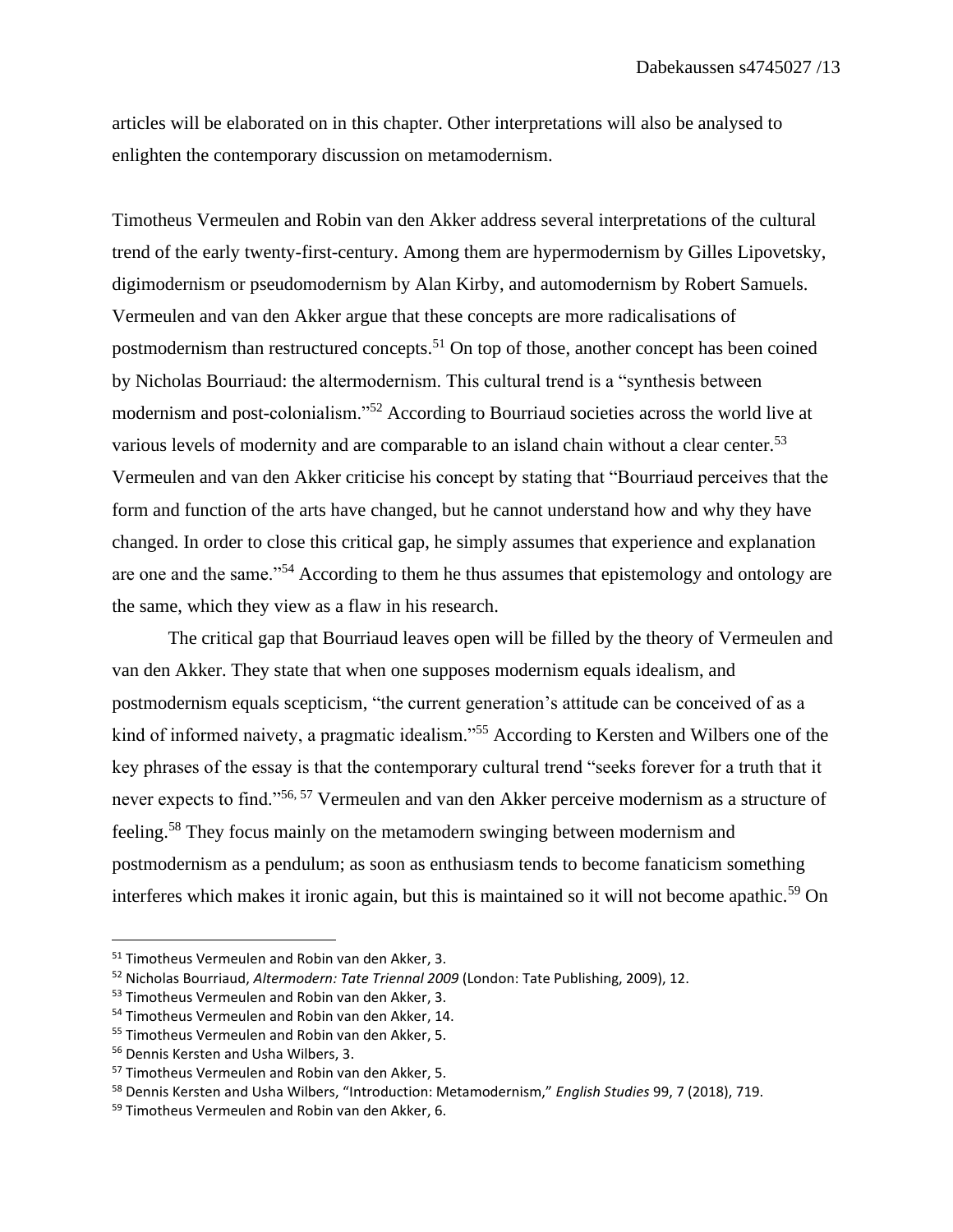articles will be elaborated on in this chapter. Other interpretations will also be analysed to enlighten the contemporary discussion on metamodernism.

Timotheus Vermeulen and Robin van den Akker address several interpretations of the cultural trend of the early twenty-first-century. Among them are hypermodernism by Gilles Lipovetsky, digimodernism or pseudomodernism by Alan Kirby, and automodernism by Robert Samuels. Vermeulen and van den Akker argue that these concepts are more radicalisations of postmodernism than restructured concepts.<sup>51</sup> On top of those, another concept has been coined by Nicholas Bourriaud: the altermodernism. This cultural trend is a "synthesis between modernism and post-colonialism."<sup>52</sup> According to Bourriaud societies across the world live at various levels of modernity and are comparable to an island chain without a clear center.<sup>53</sup> Vermeulen and van den Akker criticise his concept by stating that "Bourriaud perceives that the form and function of the arts have changed, but he cannot understand how and why they have changed. In order to close this critical gap, he simply assumes that experience and explanation are one and the same."<sup>54</sup> According to them he thus assumes that epistemology and ontology are the same, which they view as a flaw in his research.

The critical gap that Bourriaud leaves open will be filled by the theory of Vermeulen and van den Akker. They state that when one supposes modernism equals idealism, and postmodernism equals scepticism, "the current generation's attitude can be conceived of as a kind of informed naivety, a pragmatic idealism."<sup>55</sup> According to Kersten and Wilbers one of the key phrases of the essay is that the contemporary cultural trend "seeks forever for a truth that it never expects to find."56, <sup>57</sup> Vermeulen and van den Akker perceive modernism as a structure of feeling.<sup>58</sup> They focus mainly on the metamodern swinging between modernism and postmodernism as a pendulum; as soon as enthusiasm tends to become fanaticism something interferes which makes it ironic again, but this is maintained so it will not become apathic.<sup>59</sup> On

<sup>51</sup> Timotheus Vermeulen and Robin van den Akker, 3.

<sup>52</sup> Nicholas Bourriaud, *Altermodern: Tate Triennal 2009* (London: Tate Publishing, 2009), 12.

<sup>53</sup> Timotheus Vermeulen and Robin van den Akker, 3.

<sup>54</sup> Timotheus Vermeulen and Robin van den Akker, 14.

<sup>55</sup> Timotheus Vermeulen and Robin van den Akker, 5.

<sup>56</sup> Dennis Kersten and Usha Wilbers, 3.

<sup>57</sup> Timotheus Vermeulen and Robin van den Akker, 5.

<sup>58</sup> Dennis Kersten and Usha Wilbers, "Introduction: Metamodernism," *English Studies* 99, 7 (2018), 719.

<sup>59</sup> Timotheus Vermeulen and Robin van den Akker, 6.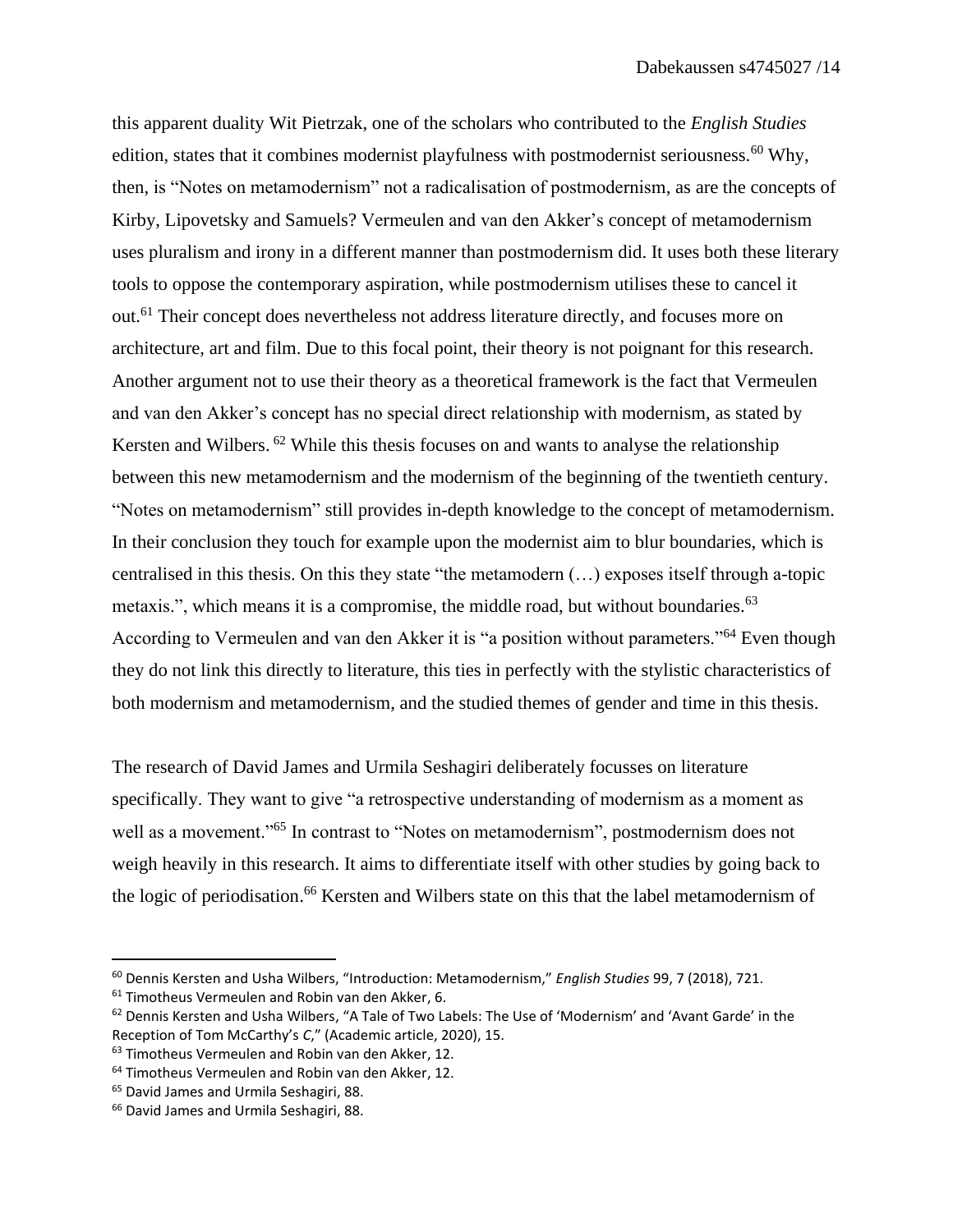this apparent duality Wit Pietrzak, one of the scholars who contributed to the *English Studies*  edition, states that it combines modernist playfulness with postmodernist seriousness.<sup>60</sup> Why, then, is "Notes on metamodernism" not a radicalisation of postmodernism, as are the concepts of Kirby, Lipovetsky and Samuels? Vermeulen and van den Akker's concept of metamodernism uses pluralism and irony in a different manner than postmodernism did. It uses both these literary tools to oppose the contemporary aspiration, while postmodernism utilises these to cancel it out.<sup>61</sup> Their concept does nevertheless not address literature directly, and focuses more on architecture, art and film. Due to this focal point, their theory is not poignant for this research. Another argument not to use their theory as a theoretical framework is the fact that Vermeulen and van den Akker's concept has no special direct relationship with modernism, as stated by Kersten and Wilbers. <sup>62</sup> While this thesis focuses on and wants to analyse the relationship between this new metamodernism and the modernism of the beginning of the twentieth century. "Notes on metamodernism" still provides in-depth knowledge to the concept of metamodernism. In their conclusion they touch for example upon the modernist aim to blur boundaries, which is centralised in this thesis. On this they state "the metamodern (…) exposes itself through a-topic metaxis.", which means it is a compromise, the middle road, but without boundaries.<sup>63</sup> According to Vermeulen and van den Akker it is "a position without parameters."<sup>64</sup> Even though they do not link this directly to literature, this ties in perfectly with the stylistic characteristics of both modernism and metamodernism, and the studied themes of gender and time in this thesis.

The research of David James and Urmila Seshagiri deliberately focusses on literature specifically. They want to give "a retrospective understanding of modernism as a moment as well as a movement."<sup>65</sup> In contrast to "Notes on metamodernism", postmodernism does not weigh heavily in this research. It aims to differentiate itself with other studies by going back to the logic of periodisation.<sup>66</sup> Kersten and Wilbers state on this that the label metamodernism of

<sup>61</sup> Timotheus Vermeulen and Robin van den Akker, 6.

<sup>60</sup> Dennis Kersten and Usha Wilbers, "Introduction: Metamodernism," *English Studies* 99, 7 (2018), 721.

 $62$  Dennis Kersten and Usha Wilbers, "A Tale of Two Labels: The Use of 'Modernism' and 'Avant Garde' in the Reception of Tom McCarthy's *C*," (Academic article, 2020), 15.

<sup>&</sup>lt;sup>63</sup> Timotheus Vermeulen and Robin van den Akker, 12.

<sup>64</sup> Timotheus Vermeulen and Robin van den Akker, 12.

<sup>65</sup> David James and Urmila Seshagiri, 88.

<sup>66</sup> David James and Urmila Seshagiri, 88.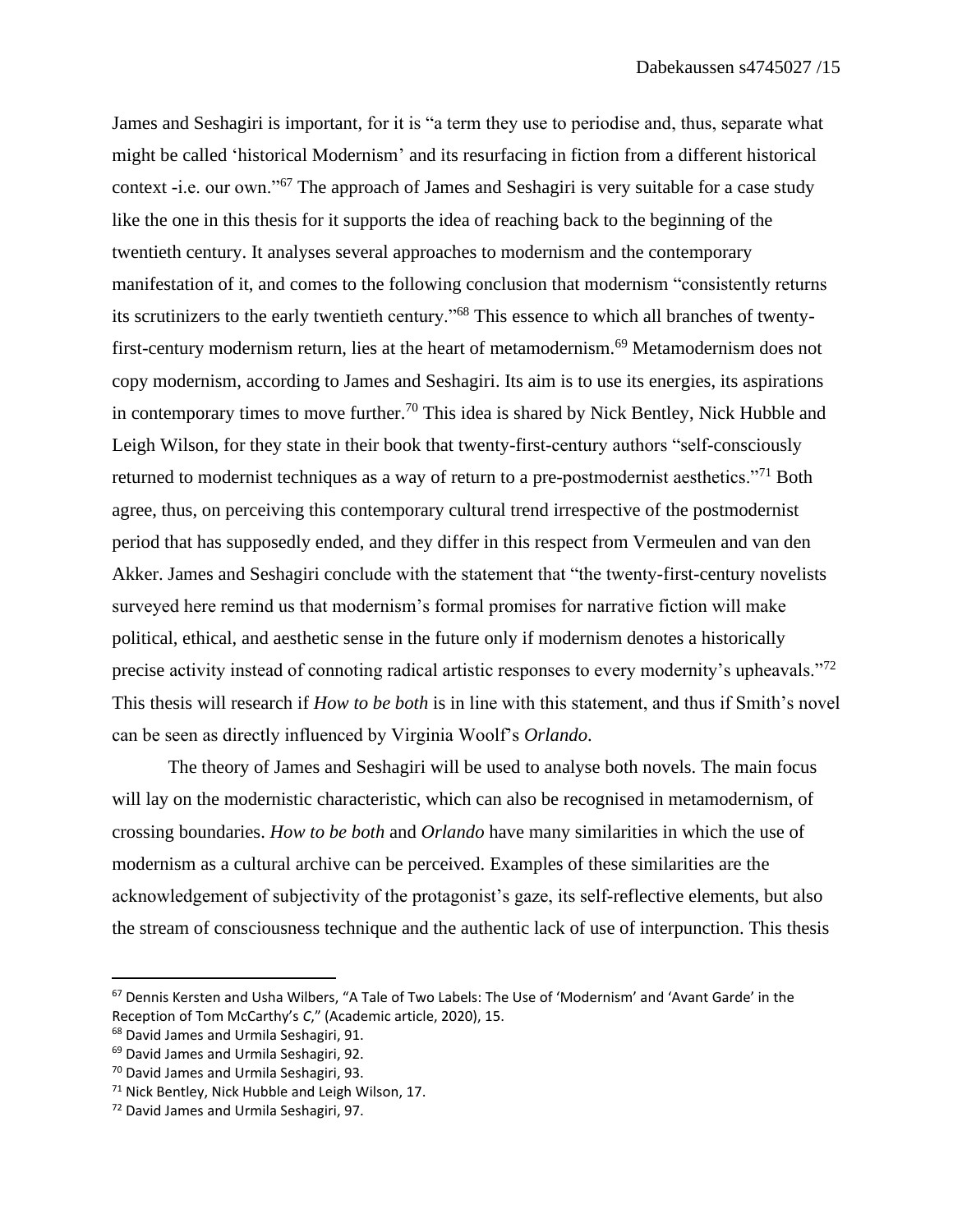James and Seshagiri is important, for it is "a term they use to periodise and, thus, separate what might be called 'historical Modernism' and its resurfacing in fiction from a different historical context -i.e. our own."<sup>67</sup> The approach of James and Seshagiri is very suitable for a case study like the one in this thesis for it supports the idea of reaching back to the beginning of the twentieth century. It analyses several approaches to modernism and the contemporary manifestation of it, and comes to the following conclusion that modernism "consistently returns its scrutinizers to the early twentieth century."<sup>68</sup> This essence to which all branches of twentyfirst-century modernism return, lies at the heart of metamodernism.<sup>69</sup> Metamodernism does not copy modernism, according to James and Seshagiri. Its aim is to use its energies, its aspirations in contemporary times to move further.<sup>70</sup> This idea is shared by Nick Bentley, Nick Hubble and Leigh Wilson, for they state in their book that twenty-first-century authors "self-consciously returned to modernist techniques as a way of return to a pre-postmodernist aesthetics."<sup>71</sup> Both agree, thus, on perceiving this contemporary cultural trend irrespective of the postmodernist period that has supposedly ended, and they differ in this respect from Vermeulen and van den Akker. James and Seshagiri conclude with the statement that "the twenty-first-century novelists surveyed here remind us that modernism's formal promises for narrative fiction will make political, ethical, and aesthetic sense in the future only if modernism denotes a historically precise activity instead of connoting radical artistic responses to every modernity's upheavals."<sup>72</sup> This thesis will research if *How to be both* is in line with this statement, and thus if Smith's novel can be seen as directly influenced by Virginia Woolf's *Orlando*.

The theory of James and Seshagiri will be used to analyse both novels. The main focus will lay on the modernistic characteristic, which can also be recognised in metamodernism, of crossing boundaries. *How to be both* and *Orlando* have many similarities in which the use of modernism as a cultural archive can be perceived. Examples of these similarities are the acknowledgement of subjectivity of the protagonist's gaze, its self-reflective elements, but also the stream of consciousness technique and the authentic lack of use of interpunction. This thesis

<sup>67</sup> Dennis Kersten and Usha Wilbers, "A Tale of Two Labels: The Use of 'Modernism' and 'Avant Garde' in the Reception of Tom McCarthy's *C*," (Academic article, 2020), 15.

<sup>68</sup> David James and Urmila Seshagiri, 91.

<sup>69</sup> David James and Urmila Seshagiri, 92.

<sup>70</sup> David James and Urmila Seshagiri, 93.

 $71$  Nick Bentley, Nick Hubble and Leigh Wilson, 17.

<sup>72</sup> David James and Urmila Seshagiri, 97.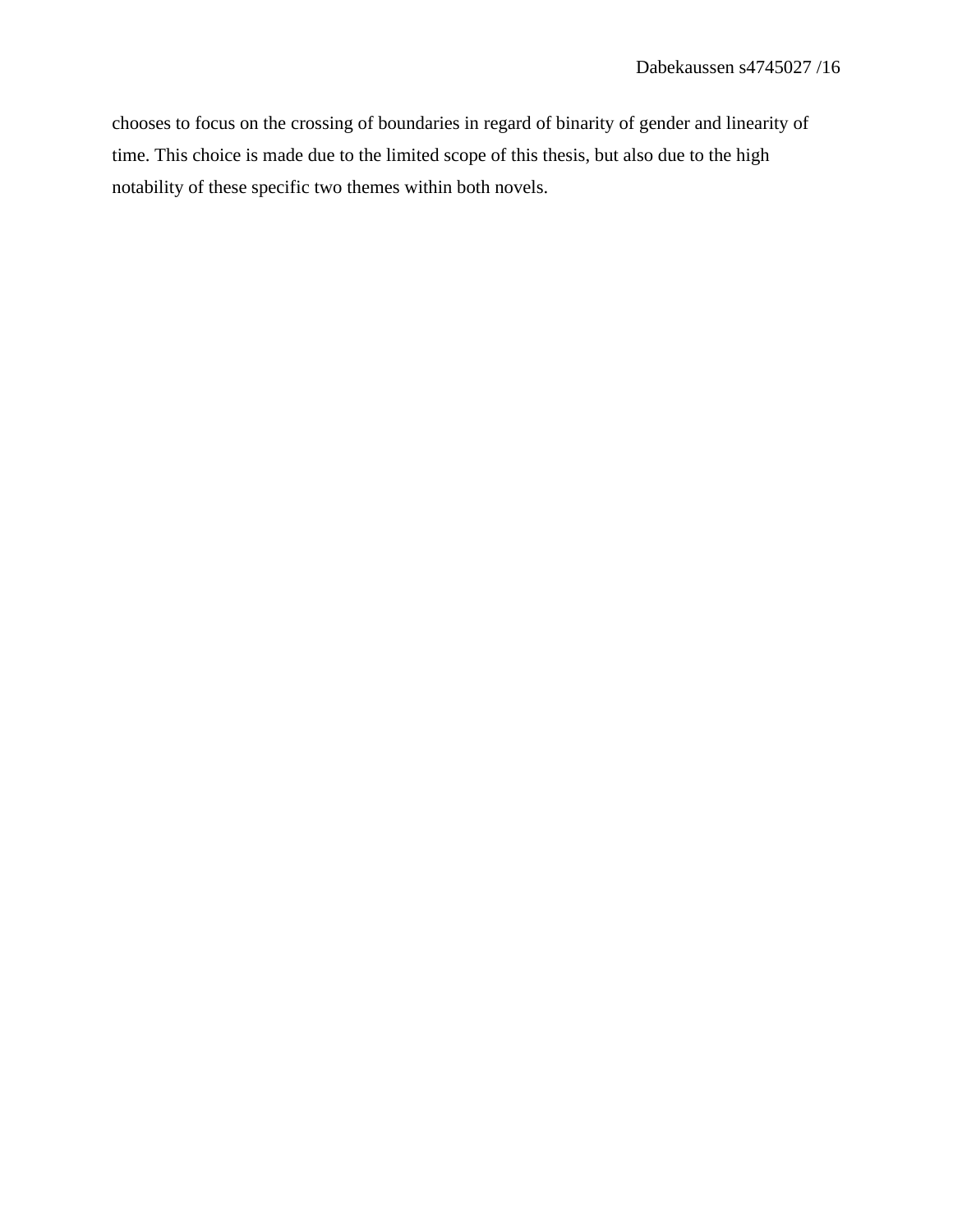chooses to focus on the crossing of boundaries in regard of binarity of gender and linearity of time. This choice is made due to the limited scope of this thesis, but also due to the high notability of these specific two themes within both novels.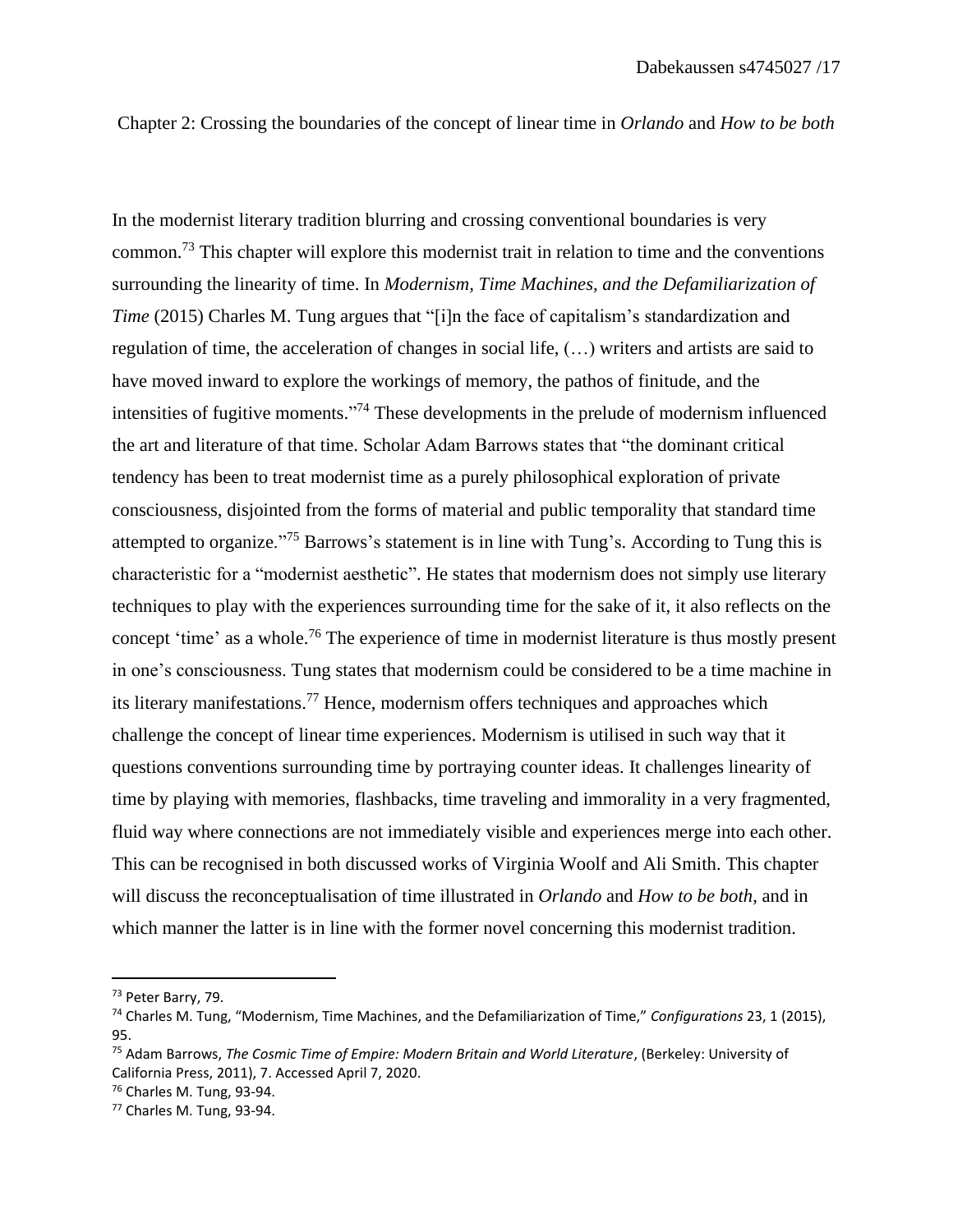Chapter 2: Crossing the boundaries of the concept of linear time in *Orlando* and *How to be both* 

In the modernist literary tradition blurring and crossing conventional boundaries is very common.<sup>73</sup> This chapter will explore this modernist trait in relation to time and the conventions surrounding the linearity of time. In *Modernism, Time Machines, and the Defamiliarization of Time* (2015) Charles M. Tung argues that "[i]n the face of capitalism's standardization and regulation of time, the acceleration of changes in social life, (…) writers and artists are said to have moved inward to explore the workings of memory, the pathos of finitude, and the intensities of fugitive moments."<sup>74</sup> These developments in the prelude of modernism influenced the art and literature of that time. Scholar Adam Barrows states that "the dominant critical tendency has been to treat modernist time as a purely philosophical exploration of private consciousness, disjointed from the forms of material and public temporality that standard time attempted to organize."<sup>75</sup> Barrows's statement is in line with Tung's. According to Tung this is characteristic for a "modernist aesthetic". He states that modernism does not simply use literary techniques to play with the experiences surrounding time for the sake of it, it also reflects on the concept 'time' as a whole.<sup>76</sup> The experience of time in modernist literature is thus mostly present in one's consciousness. Tung states that modernism could be considered to be a time machine in its literary manifestations.<sup>77</sup> Hence, modernism offers techniques and approaches which challenge the concept of linear time experiences. Modernism is utilised in such way that it questions conventions surrounding time by portraying counter ideas. It challenges linearity of time by playing with memories, flashbacks, time traveling and immorality in a very fragmented, fluid way where connections are not immediately visible and experiences merge into each other. This can be recognised in both discussed works of Virginia Woolf and Ali Smith. This chapter will discuss the reconceptualisation of time illustrated in *Orlando* and *How to be both*, and in which manner the latter is in line with the former novel concerning this modernist tradition.

<sup>73</sup> Peter Barry, 79.

<sup>74</sup> Charles M. Tung, "Modernism, Time Machines, and the Defamiliarization of Time," *Configurations* 23, 1 (2015), 95.

<sup>75</sup> Adam Barrows, *The Cosmic Time of Empire: Modern Britain and World Literature*, (Berkeley: University of California Press, 2011), 7. Accessed April 7, 2020.

<sup>76</sup> Charles M. Tung, 93-94.

<sup>77</sup> Charles M. Tung, 93-94.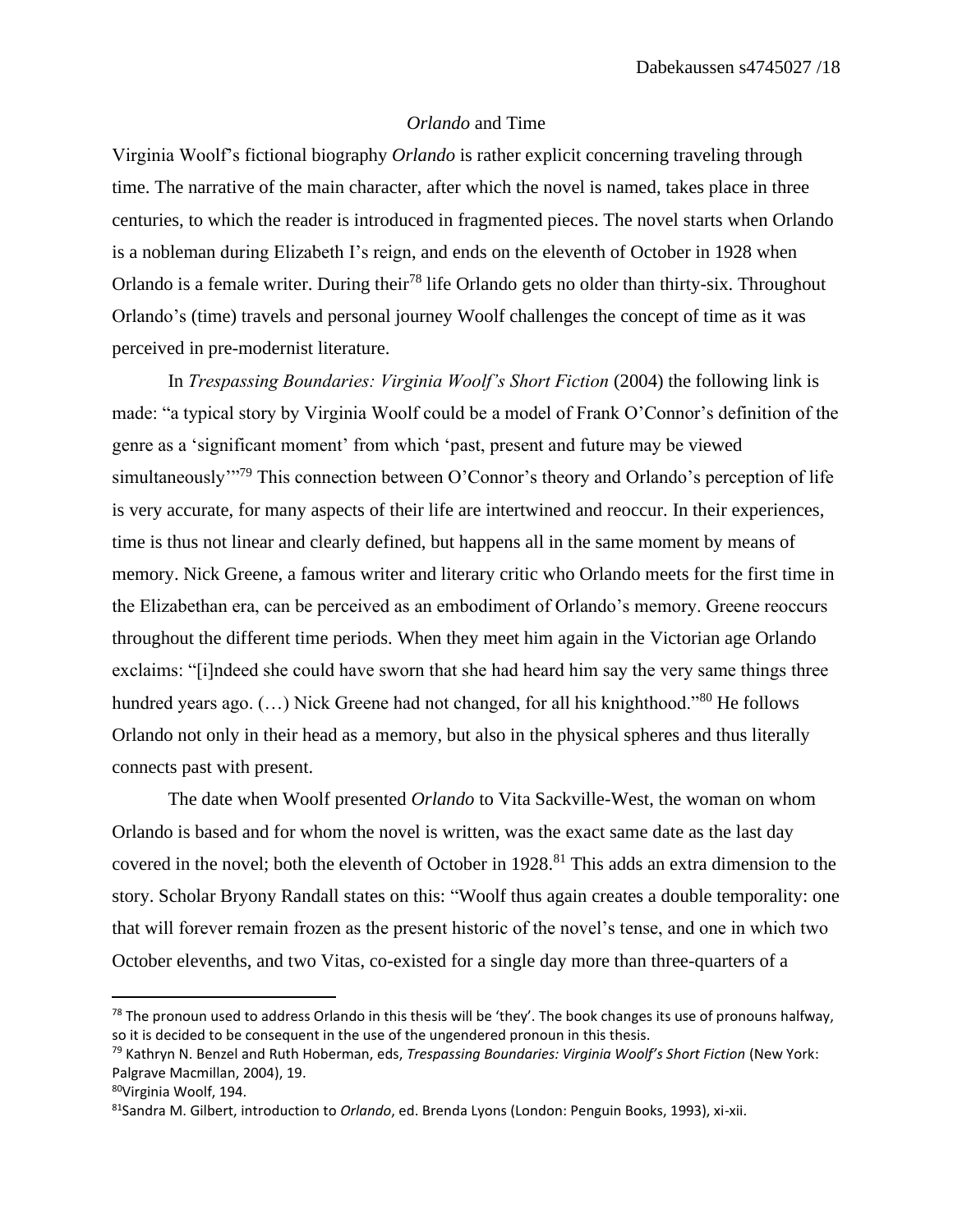#### *Orlando* and Time

Virginia Woolf's fictional biography *Orlando* is rather explicit concerning traveling through time. The narrative of the main character, after which the novel is named, takes place in three centuries, to which the reader is introduced in fragmented pieces. The novel starts when Orlando is a nobleman during Elizabeth I's reign, and ends on the eleventh of October in 1928 when Orlando is a female writer. During their<sup>78</sup> life Orlando gets no older than thirty-six. Throughout Orlando's (time) travels and personal journey Woolf challenges the concept of time as it was perceived in pre-modernist literature.

In *Trespassing Boundaries: Virginia Woolf's Short Fiction* (2004) the following link is made: "a typical story by Virginia Woolf could be a model of Frank O'Connor's definition of the genre as a 'significant moment' from which 'past, present and future may be viewed simultaneously"<sup>79</sup> This connection between O'Connor's theory and Orlando's perception of life is very accurate, for many aspects of their life are intertwined and reoccur. In their experiences, time is thus not linear and clearly defined, but happens all in the same moment by means of memory. Nick Greene, a famous writer and literary critic who Orlando meets for the first time in the Elizabethan era, can be perceived as an embodiment of Orlando's memory. Greene reoccurs throughout the different time periods. When they meet him again in the Victorian age Orlando exclaims: "[i]ndeed she could have sworn that she had heard him say the very same things three hundred years ago. (...) Nick Greene had not changed, for all his knighthood."<sup>80</sup> He follows Orlando not only in their head as a memory, but also in the physical spheres and thus literally connects past with present.

The date when Woolf presented *Orlando* to Vita Sackville-West, the woman on whom Orlando is based and for whom the novel is written, was the exact same date as the last day covered in the novel; both the eleventh of October in 1928.<sup>81</sup> This adds an extra dimension to the story. Scholar Bryony Randall states on this: "Woolf thus again creates a double temporality: one that will forever remain frozen as the present historic of the novel's tense, and one in which two October elevenths, and two Vitas, co-existed for a single day more than three-quarters of a

 $78$  The pronoun used to address Orlando in this thesis will be 'they'. The book changes its use of pronouns halfway, so it is decided to be consequent in the use of the ungendered pronoun in this thesis.

<sup>79</sup> Kathryn N. Benzel and Ruth Hoberman, eds, *Trespassing Boundaries: Virginia Woolf's Short Fiction* (New York: Palgrave Macmillan, 2004), 19.

<sup>80</sup>Virginia Woolf, 194.

<sup>81</sup>Sandra M. Gilbert, introduction to *Orlando*, ed. Brenda Lyons (London: Penguin Books, 1993), xi-xii.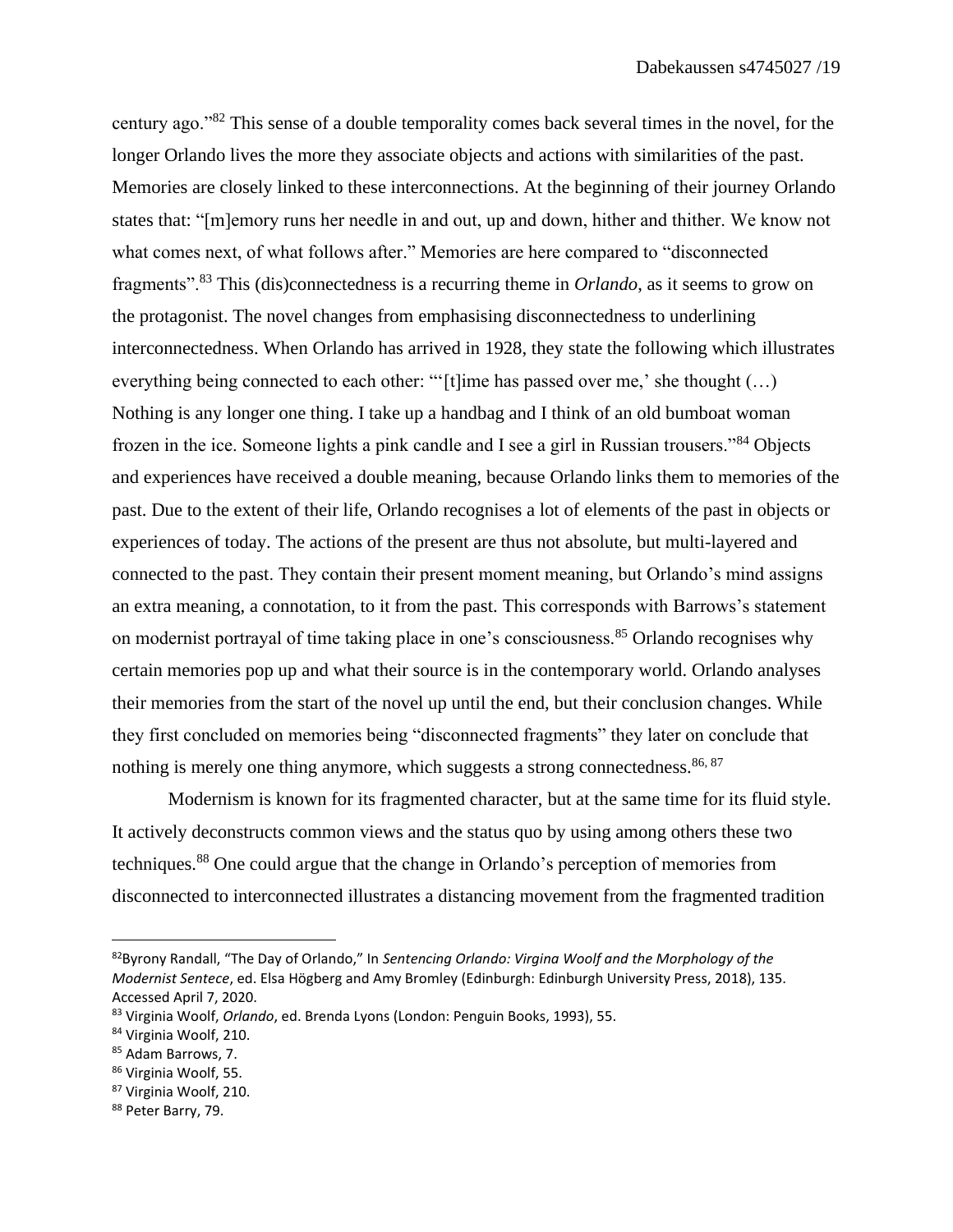century ago."<sup>82</sup> This sense of a double temporality comes back several times in the novel, for the longer Orlando lives the more they associate objects and actions with similarities of the past. Memories are closely linked to these interconnections. At the beginning of their journey Orlando states that: "[m]emory runs her needle in and out, up and down, hither and thither. We know not what comes next, of what follows after." Memories are here compared to "disconnected fragments".<sup>83</sup> This (dis)connectedness is a recurring theme in *Orlando*, as it seems to grow on the protagonist. The novel changes from emphasising disconnectedness to underlining interconnectedness. When Orlando has arrived in 1928, they state the following which illustrates everything being connected to each other: "'[t]ime has passed over me,' she thought (...) Nothing is any longer one thing. I take up a handbag and I think of an old bumboat woman frozen in the ice. Someone lights a pink candle and I see a girl in Russian trousers."<sup>84</sup> Objects and experiences have received a double meaning, because Orlando links them to memories of the past. Due to the extent of their life, Orlando recognises a lot of elements of the past in objects or experiences of today. The actions of the present are thus not absolute, but multi-layered and connected to the past. They contain their present moment meaning, but Orlando's mind assigns an extra meaning, a connotation, to it from the past. This corresponds with Barrows's statement on modernist portrayal of time taking place in one's consciousness.<sup>85</sup> Orlando recognises why certain memories pop up and what their source is in the contemporary world. Orlando analyses their memories from the start of the novel up until the end, but their conclusion changes. While they first concluded on memories being "disconnected fragments" they later on conclude that nothing is merely one thing anymore, which suggests a strong connectedness.  $86, 87$ 

Modernism is known for its fragmented character, but at the same time for its fluid style. It actively deconstructs common views and the status quo by using among others these two techniques.<sup>88</sup> One could argue that the change in Orlando's perception of memories from disconnected to interconnected illustrates a distancing movement from the fragmented tradition

<sup>82</sup>Byrony Randall, "The Day of Orlando," In *Sentencing Orlando: Virgina Woolf and the Morphology of the Modernist Sentece*, ed. Elsa Högberg and Amy Bromley (Edinburgh: Edinburgh University Press, 2018), 135. Accessed April 7, 2020.

<sup>83</sup> Virginia Woolf, *Orlando*, ed. Brenda Lyons (London: Penguin Books, 1993), 55.

<sup>84</sup> Virginia Woolf, 210.

<sup>85</sup> Adam Barrows, 7.

<sup>86</sup> Virginia Woolf, 55.

<sup>87</sup> Virginia Woolf, 210.

<sup>88</sup> Peter Barry, 79.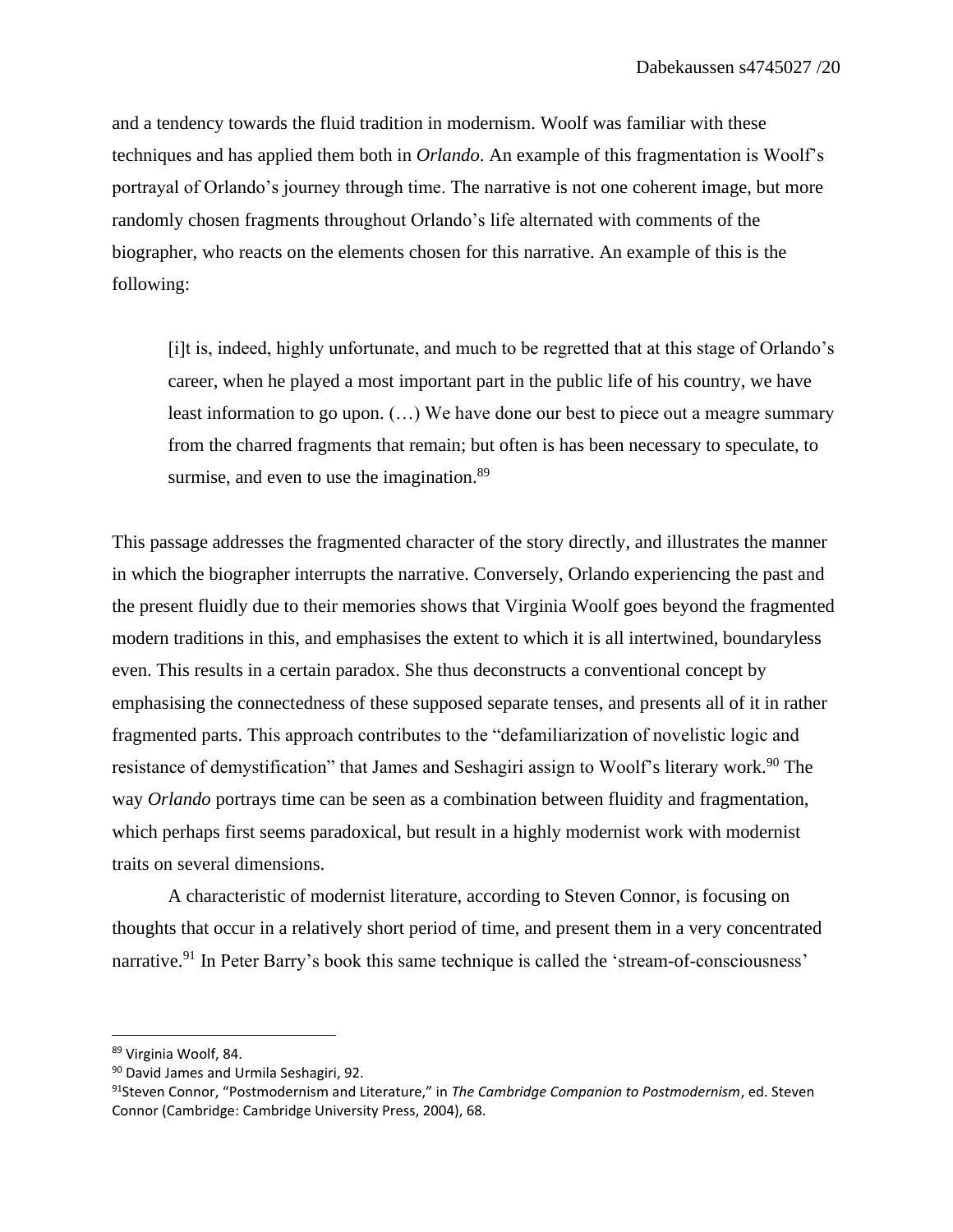and a tendency towards the fluid tradition in modernism. Woolf was familiar with these techniques and has applied them both in *Orlando*. An example of this fragmentation is Woolf's portrayal of Orlando's journey through time. The narrative is not one coherent image, but more randomly chosen fragments throughout Orlando's life alternated with comments of the biographer, who reacts on the elements chosen for this narrative. An example of this is the following:

[i]t is, indeed, highly unfortunate, and much to be regretted that at this stage of Orlando's career, when he played a most important part in the public life of his country, we have least information to go upon. (…) We have done our best to piece out a meagre summary from the charred fragments that remain; but often is has been necessary to speculate, to surmise, and even to use the imagination.<sup>89</sup>

This passage addresses the fragmented character of the story directly, and illustrates the manner in which the biographer interrupts the narrative. Conversely, Orlando experiencing the past and the present fluidly due to their memories shows that Virginia Woolf goes beyond the fragmented modern traditions in this, and emphasises the extent to which it is all intertwined, boundaryless even. This results in a certain paradox. She thus deconstructs a conventional concept by emphasising the connectedness of these supposed separate tenses, and presents all of it in rather fragmented parts. This approach contributes to the "defamiliarization of novelistic logic and resistance of demystification" that James and Seshagiri assign to Woolf's literary work.<sup>90</sup> The way *Orlando* portrays time can be seen as a combination between fluidity and fragmentation, which perhaps first seems paradoxical, but result in a highly modernist work with modernist traits on several dimensions.

A characteristic of modernist literature, according to Steven Connor, is focusing on thoughts that occur in a relatively short period of time, and present them in a very concentrated narrative.<sup>91</sup> In Peter Barry's book this same technique is called the 'stream-of-consciousness'

<sup>89</sup> Virginia Woolf, 84.

<sup>90</sup> David James and Urmila Seshagiri, 92.

<sup>91</sup>Steven Connor, "Postmodernism and Literature," in *The Cambridge Companion to Postmodernism*, ed. Steven Connor (Cambridge: Cambridge University Press, 2004), 68.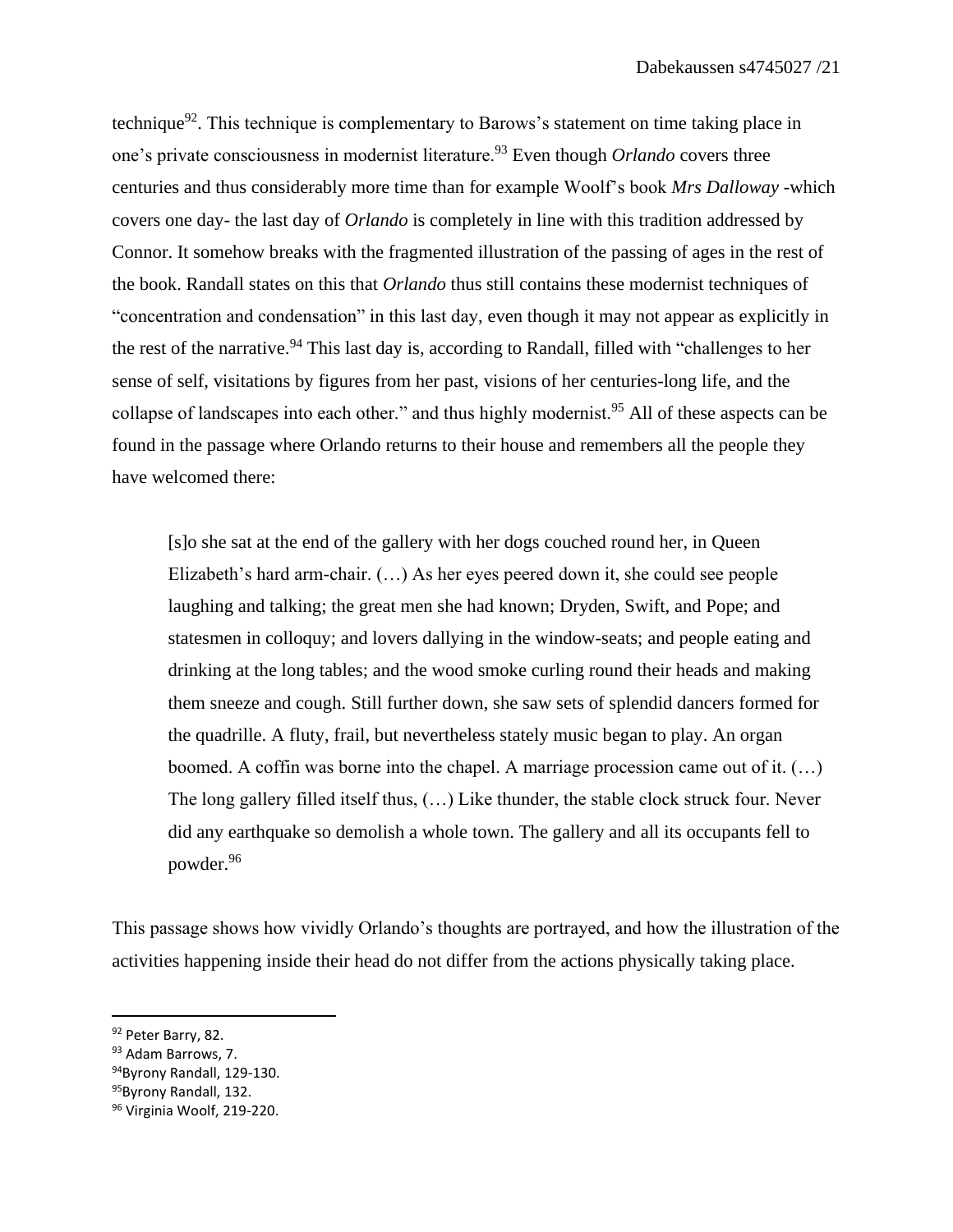technique<sup>92</sup>. This technique is complementary to Barows's statement on time taking place in one's private consciousness in modernist literature.<sup>93</sup> Even though *Orlando* covers three centuries and thus considerably more time than for example Woolf's book *Mrs Dalloway* -which covers one day- the last day of *Orlando* is completely in line with this tradition addressed by Connor. It somehow breaks with the fragmented illustration of the passing of ages in the rest of the book. Randall states on this that *Orlando* thus still contains these modernist techniques of "concentration and condensation" in this last day, even though it may not appear as explicitly in the rest of the narrative.<sup>94</sup> This last day is, according to Randall, filled with "challenges to her sense of self, visitations by figures from her past, visions of her centuries-long life, and the collapse of landscapes into each other." and thus highly modernist.<sup>95</sup> All of these aspects can be found in the passage where Orlando returns to their house and remembers all the people they have welcomed there:

[s]o she sat at the end of the gallery with her dogs couched round her, in Queen Elizabeth's hard arm-chair. (…) As her eyes peered down it, she could see people laughing and talking; the great men she had known; Dryden, Swift, and Pope; and statesmen in colloquy; and lovers dallying in the window-seats; and people eating and drinking at the long tables; and the wood smoke curling round their heads and making them sneeze and cough. Still further down, she saw sets of splendid dancers formed for the quadrille. A fluty, frail, but nevertheless stately music began to play. An organ boomed. A coffin was borne into the chapel. A marriage procession came out of it. (…) The long gallery filled itself thus, (…) Like thunder, the stable clock struck four. Never did any earthquake so demolish a whole town. The gallery and all its occupants fell to powder.<sup>96</sup>

This passage shows how vividly Orlando's thoughts are portrayed, and how the illustration of the activities happening inside their head do not differ from the actions physically taking place.

95Byrony Randall, 132.

<sup>92</sup> Peter Barry, 82.

<sup>93</sup> Adam Barrows, 7.

<sup>94</sup>Byrony Randall, 129-130.

<sup>96</sup> Virginia Woolf, 219-220.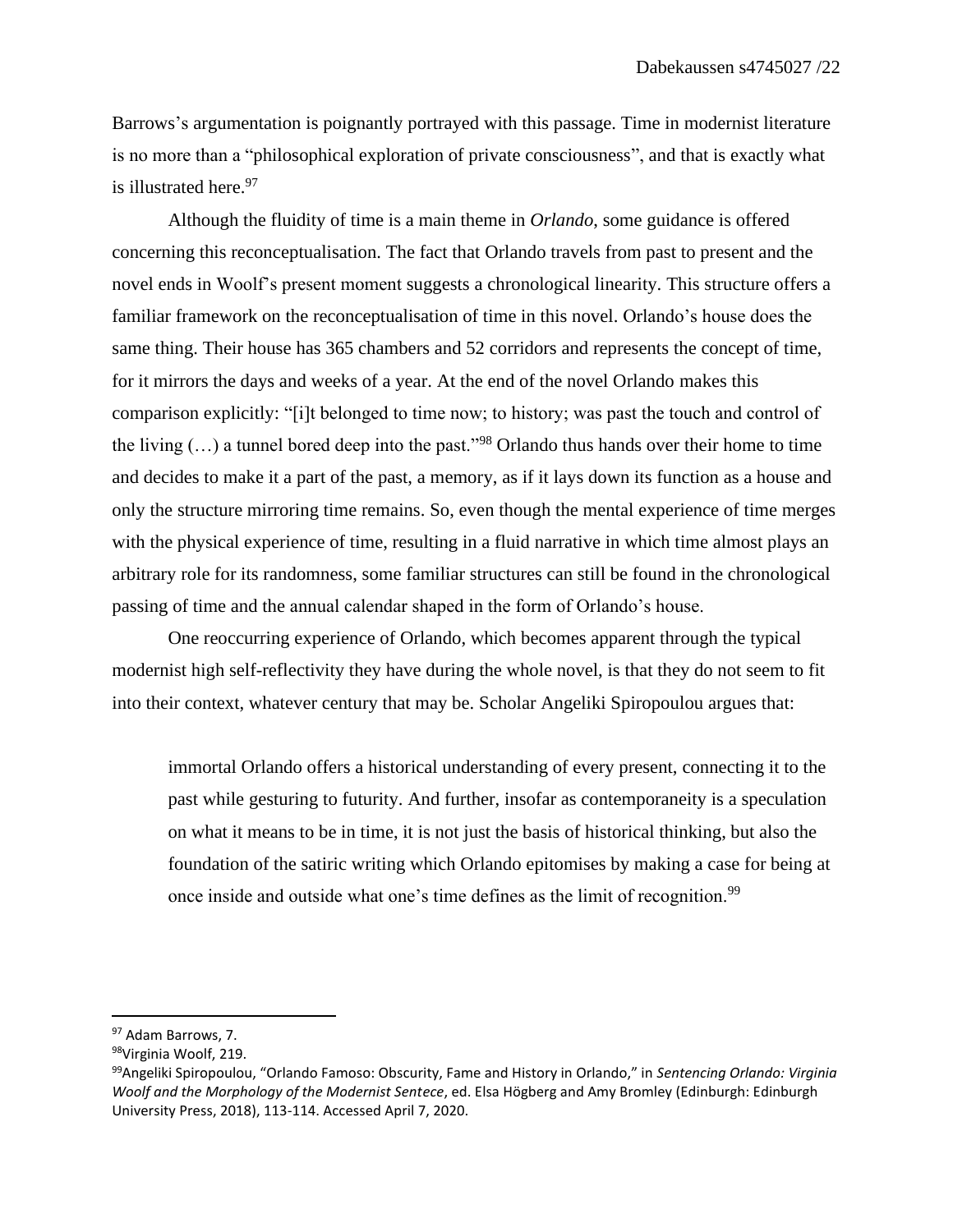Barrows's argumentation is poignantly portrayed with this passage. Time in modernist literature is no more than a "philosophical exploration of private consciousness", and that is exactly what is illustrated here. 97

Although the fluidity of time is a main theme in *Orlando*, some guidance is offered concerning this reconceptualisation. The fact that Orlando travels from past to present and the novel ends in Woolf's present moment suggests a chronological linearity. This structure offers a familiar framework on the reconceptualisation of time in this novel. Orlando's house does the same thing. Their house has 365 chambers and 52 corridors and represents the concept of time, for it mirrors the days and weeks of a year. At the end of the novel Orlando makes this comparison explicitly: "[i]t belonged to time now; to history; was past the touch and control of the living  $(...)$  a tunnel bored deep into the past."<sup>98</sup> Orlando thus hands over their home to time and decides to make it a part of the past, a memory, as if it lays down its function as a house and only the structure mirroring time remains. So, even though the mental experience of time merges with the physical experience of time, resulting in a fluid narrative in which time almost plays an arbitrary role for its randomness, some familiar structures can still be found in the chronological passing of time and the annual calendar shaped in the form of Orlando's house.

One reoccurring experience of Orlando, which becomes apparent through the typical modernist high self-reflectivity they have during the whole novel, is that they do not seem to fit into their context, whatever century that may be. Scholar Angeliki Spiropoulou argues that:

immortal Orlando offers a historical understanding of every present, connecting it to the past while gesturing to futurity. And further, insofar as contemporaneity is a speculation on what it means to be in time, it is not just the basis of historical thinking, but also the foundation of the satiric writing which Orlando epitomises by making a case for being at once inside and outside what one's time defines as the limit of recognition.<sup>99</sup>

<sup>97</sup> Adam Barrows, 7.

<sup>98</sup>Virginia Woolf, 219.

<sup>99</sup>Angeliki Spiropoulou, "Orlando Famoso: Obscurity, Fame and History in Orlando," in *Sentencing Orlando: Virginia Woolf and the Morphology of the Modernist Sentece*, ed. Elsa Högberg and Amy Bromley (Edinburgh: Edinburgh University Press, 2018), 113-114. Accessed April 7, 2020.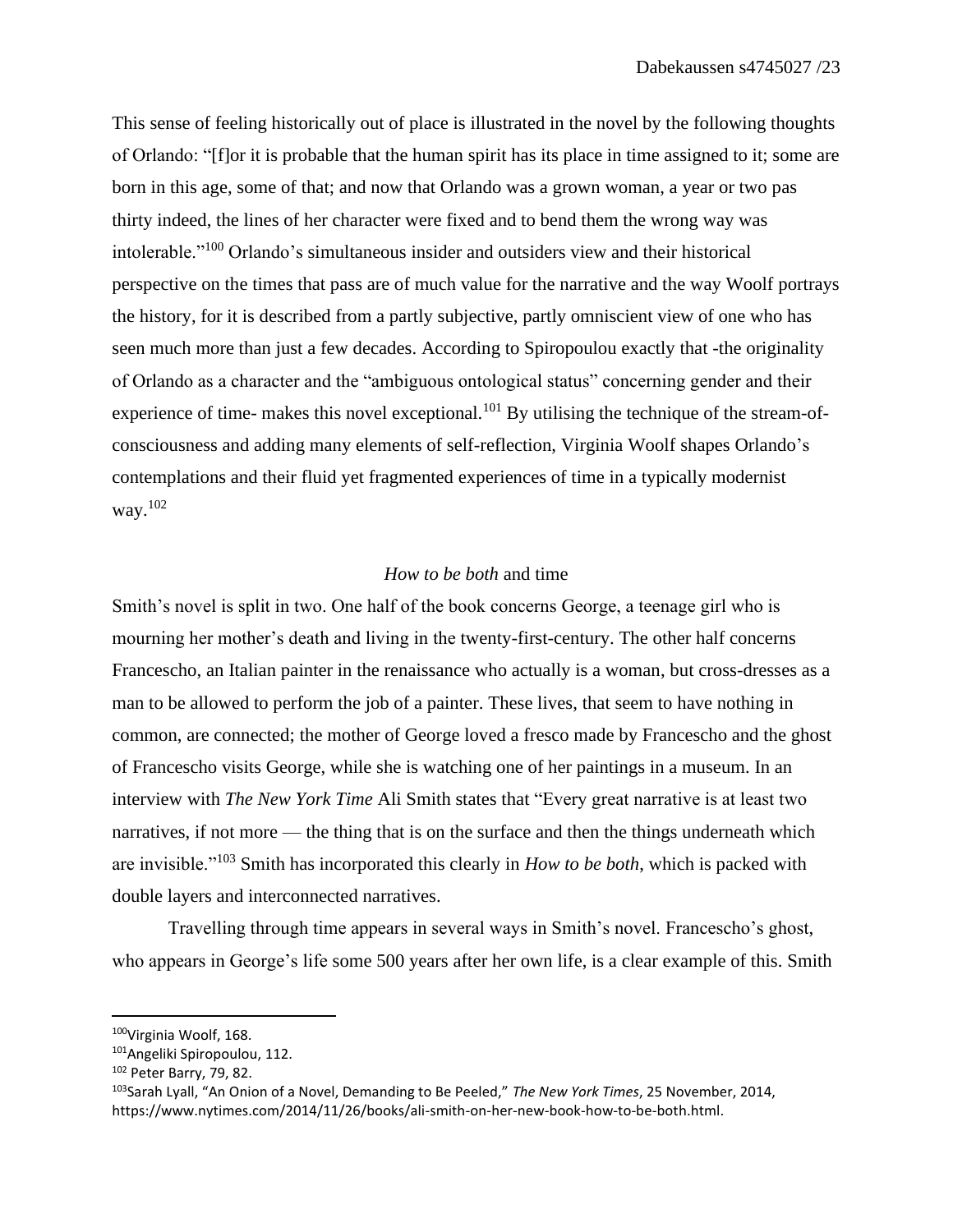This sense of feeling historically out of place is illustrated in the novel by the following thoughts of Orlando: "[f]or it is probable that the human spirit has its place in time assigned to it; some are born in this age, some of that; and now that Orlando was a grown woman, a year or two pas thirty indeed, the lines of her character were fixed and to bend them the wrong way was intolerable."<sup>100</sup> Orlando's simultaneous insider and outsiders view and their historical perspective on the times that pass are of much value for the narrative and the way Woolf portrays the history, for it is described from a partly subjective, partly omniscient view of one who has seen much more than just a few decades. According to Spiropoulou exactly that -the originality of Orlando as a character and the "ambiguous ontological status" concerning gender and their experience of time- makes this novel exceptional.<sup>101</sup> By utilising the technique of the stream-ofconsciousness and adding many elements of self-reflection, Virginia Woolf shapes Orlando's contemplations and their fluid yet fragmented experiences of time in a typically modernist way. 102

### *How to be both* and time

Smith's novel is split in two. One half of the book concerns George, a teenage girl who is mourning her mother's death and living in the twenty-first-century. The other half concerns Francescho, an Italian painter in the renaissance who actually is a woman, but cross-dresses as a man to be allowed to perform the job of a painter. These lives, that seem to have nothing in common, are connected; the mother of George loved a fresco made by Francescho and the ghost of Francescho visits George, while she is watching one of her paintings in a museum. In an interview with *The New York Time* Ali Smith states that "Every great narrative is at least two narratives, if not more — the thing that is on the surface and then the things underneath which are invisible."<sup>103</sup> Smith has incorporated this clearly in *How to be both*, which is packed with double layers and interconnected narratives.

Travelling through time appears in several ways in Smith's novel. Francescho's ghost, who appears in George's life some 500 years after her own life, is a clear example of this. Smith

<sup>100</sup>Virginia Woolf, 168.

<sup>101</sup>Angeliki Spiropoulou, 112.

<sup>102</sup> Peter Barry, 79, 82.

<sup>103</sup>Sarah Lyall, "An Onion of a Novel, Demanding to Be Peeled," *The New York Times*, 25 November, 2014, https://www.nytimes.com/2014/11/26/books/ali-smith-on-her-new-book-how-to-be-both.html.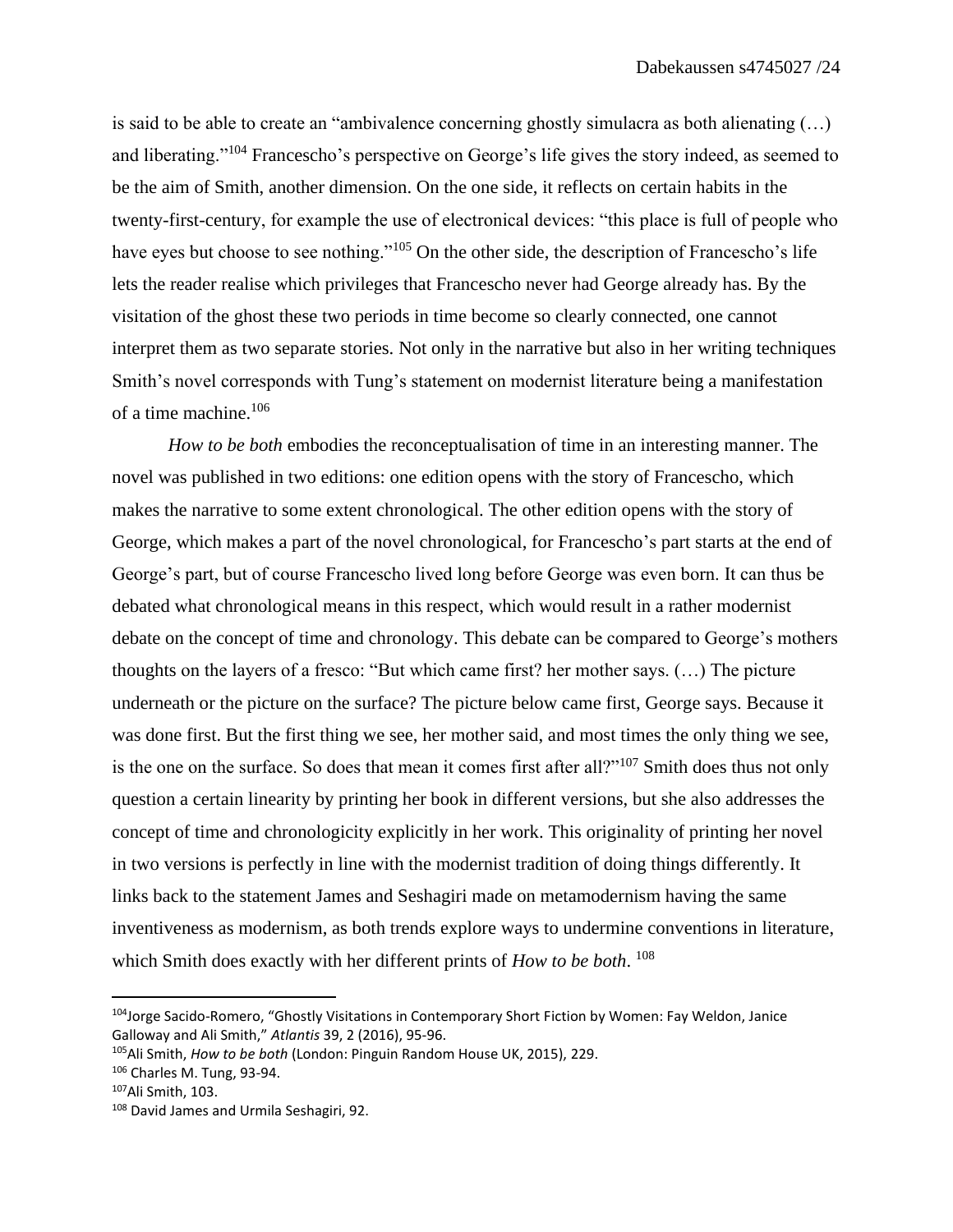is said to be able to create an "ambivalence concerning ghostly simulacra as both alienating (…) and liberating."<sup>104</sup> Francescho's perspective on George's life gives the story indeed, as seemed to be the aim of Smith, another dimension. On the one side, it reflects on certain habits in the twenty-first-century, for example the use of electronical devices: "this place is full of people who have eyes but choose to see nothing."<sup>105</sup> On the other side, the description of Francescho's life lets the reader realise which privileges that Francescho never had George already has. By the visitation of the ghost these two periods in time become so clearly connected, one cannot interpret them as two separate stories. Not only in the narrative but also in her writing techniques Smith's novel corresponds with Tung's statement on modernist literature being a manifestation of a time machine.<sup>106</sup>

*How to be both* embodies the reconceptualisation of time in an interesting manner. The novel was published in two editions: one edition opens with the story of Francescho, which makes the narrative to some extent chronological. The other edition opens with the story of George, which makes a part of the novel chronological, for Francescho's part starts at the end of George's part, but of course Francescho lived long before George was even born. It can thus be debated what chronological means in this respect, which would result in a rather modernist debate on the concept of time and chronology. This debate can be compared to George's mothers thoughts on the layers of a fresco: "But which came first? her mother says. (…) The picture underneath or the picture on the surface? The picture below came first, George says. Because it was done first. But the first thing we see, her mother said, and most times the only thing we see, is the one on the surface. So does that mean it comes first after all?"<sup>107</sup> Smith does thus not only question a certain linearity by printing her book in different versions, but she also addresses the concept of time and chronologicity explicitly in her work. This originality of printing her novel in two versions is perfectly in line with the modernist tradition of doing things differently. It links back to the statement James and Seshagiri made on metamodernism having the same inventiveness as modernism, as both trends explore ways to undermine conventions in literature, which Smith does exactly with her different prints of *How to be both*. 108

<sup>&</sup>lt;sup>104</sup>Jorge Sacido-Romero, "Ghostly Visitations in Contemporary Short Fiction by Women: Fay Weldon, Janice Galloway and Ali Smith," *Atlantis* 39, 2 (2016), 95-96.

<sup>105</sup>Ali Smith, *How to be both* (London: Pinguin Random House UK, 2015), 229.

<sup>106</sup> Charles M. Tung, 93-94.

<sup>107</sup>Ali Smith, 103.

<sup>108</sup> David James and Urmila Seshagiri, 92.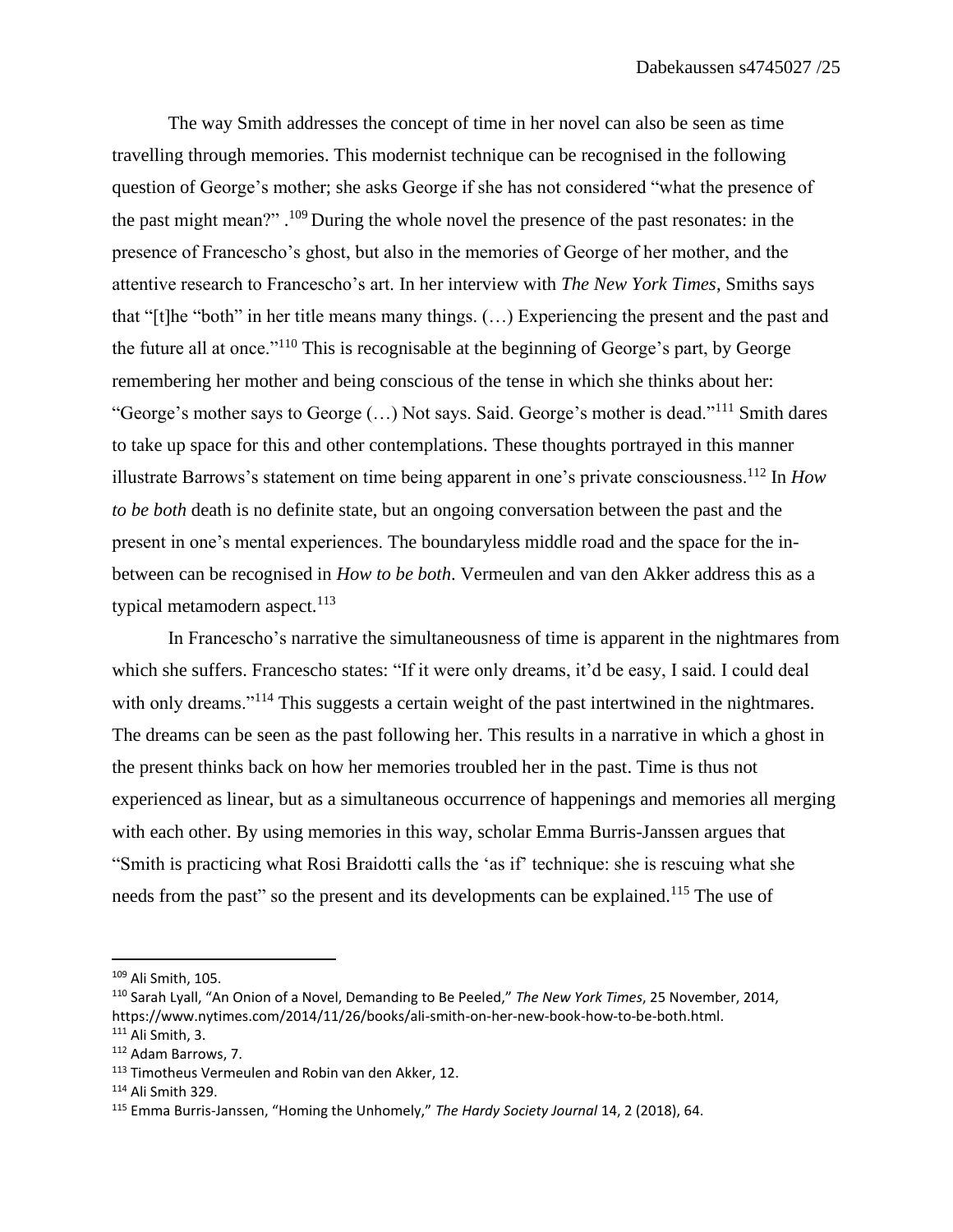The way Smith addresses the concept of time in her novel can also be seen as time travelling through memories. This modernist technique can be recognised in the following question of George's mother; she asks George if she has not considered "what the presence of the past might mean?" . <sup>109</sup> During the whole novel the presence of the past resonates: in the presence of Francescho's ghost, but also in the memories of George of her mother, and the attentive research to Francescho's art. In her interview with *The New York Times*, Smiths says that "[t]he "both" in her title means many things. (…) Experiencing the present and the past and the future all at once."<sup>110</sup> This is recognisable at the beginning of George's part, by George remembering her mother and being conscious of the tense in which she thinks about her: "George's mother says to George  $(...)$  Not says. Said. George's mother is dead."<sup>111</sup> Smith dares" to take up space for this and other contemplations. These thoughts portrayed in this manner illustrate Barrows's statement on time being apparent in one's private consciousness.<sup>112</sup> In *How to be both* death is no definite state, but an ongoing conversation between the past and the present in one's mental experiences. The boundaryless middle road and the space for the inbetween can be recognised in *How to be both*. Vermeulen and van den Akker address this as a typical metamodern aspect. $113$ 

In Francescho's narrative the simultaneousness of time is apparent in the nightmares from which she suffers. Francescho states: "If it were only dreams, it'd be easy, I said. I could deal with only dreams."<sup>114</sup> This suggests a certain weight of the past intertwined in the nightmares. The dreams can be seen as the past following her. This results in a narrative in which a ghost in the present thinks back on how her memories troubled her in the past. Time is thus not experienced as linear, but as a simultaneous occurrence of happenings and memories all merging with each other. By using memories in this way, scholar Emma Burris-Janssen argues that "Smith is practicing what Rosi Braidotti calls the 'as if' technique: she is rescuing what she needs from the past" so the present and its developments can be explained.<sup>115</sup> The use of

<sup>109</sup> Ali Smith, 105.

<sup>110</sup> Sarah Lyall, "An Onion of a Novel, Demanding to Be Peeled," *The New York Times*, 25 November, 2014, https://www.nytimes.com/2014/11/26/books/ali-smith-on-her-new-book-how-to-be-both.html. <sup>111</sup> Ali Smith, 3.

<sup>112</sup> Adam Barrows, 7.

<sup>113</sup> Timotheus Vermeulen and Robin van den Akker, 12.

<sup>114</sup> Ali Smith 329.

<sup>115</sup> Emma Burris-Janssen, "Homing the Unhomely," *The Hardy Society Journal* 14, 2 (2018), 64.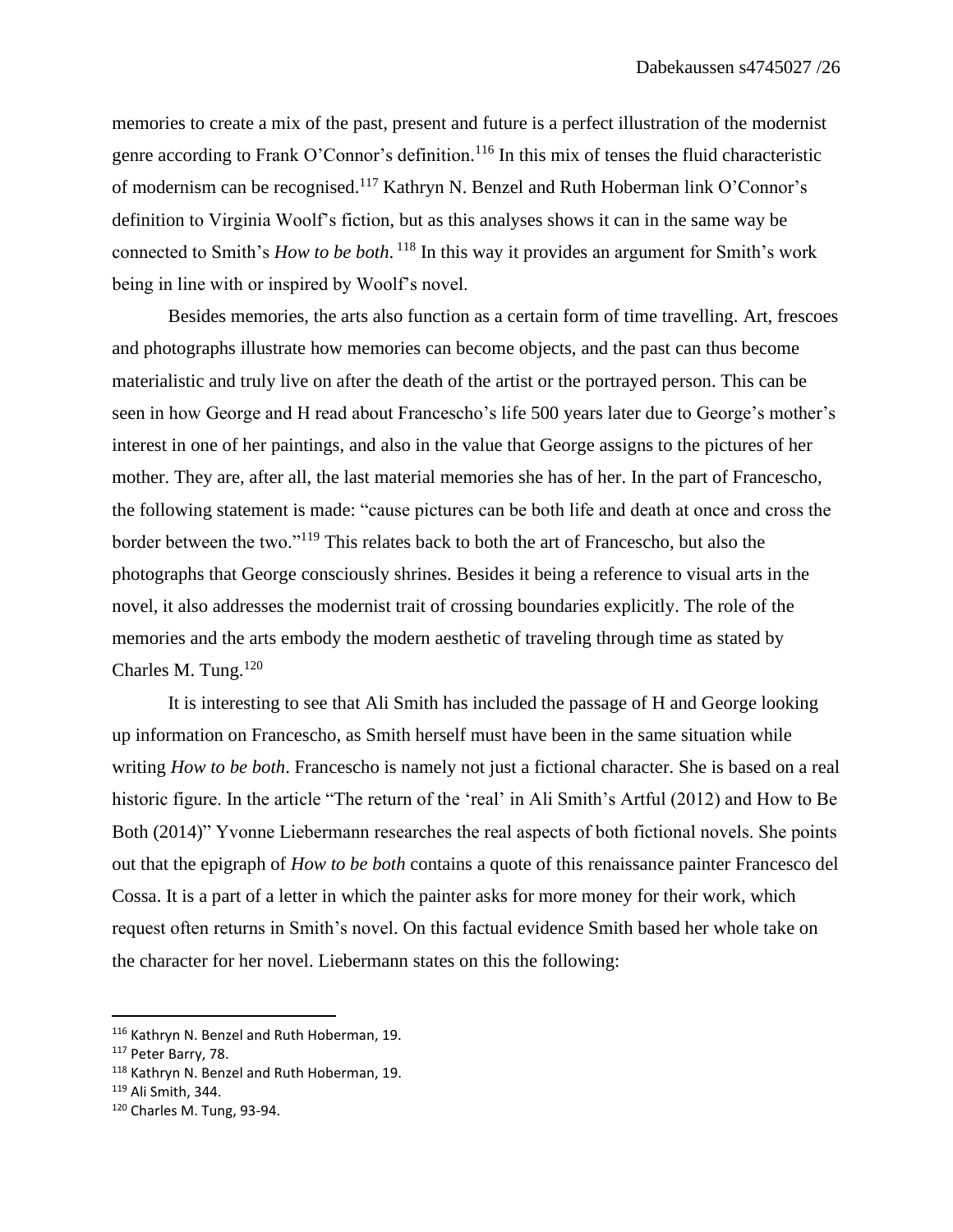memories to create a mix of the past, present and future is a perfect illustration of the modernist genre according to Frank O'Connor's definition.<sup>116</sup> In this mix of tenses the fluid characteristic of modernism can be recognised.<sup>117</sup> Kathryn N. Benzel and Ruth Hoberman link O'Connor's definition to Virginia Woolf's fiction, but as this analyses shows it can in the same way be connected to Smith's *How to be both*. <sup>118</sup> In this way it provides an argument for Smith's work being in line with or inspired by Woolf's novel.

Besides memories, the arts also function as a certain form of time travelling. Art, frescoes and photographs illustrate how memories can become objects, and the past can thus become materialistic and truly live on after the death of the artist or the portrayed person. This can be seen in how George and H read about Francescho's life 500 years later due to George's mother's interest in one of her paintings, and also in the value that George assigns to the pictures of her mother. They are, after all, the last material memories she has of her. In the part of Francescho, the following statement is made: "cause pictures can be both life and death at once and cross the border between the two."<sup>119</sup> This relates back to both the art of Francescho, but also the photographs that George consciously shrines. Besides it being a reference to visual arts in the novel, it also addresses the modernist trait of crossing boundaries explicitly. The role of the memories and the arts embody the modern aesthetic of traveling through time as stated by Charles M. Tung. $120$ 

It is interesting to see that Ali Smith has included the passage of H and George looking up information on Francescho, as Smith herself must have been in the same situation while writing *How to be both*. Francescho is namely not just a fictional character. She is based on a real historic figure. In the article "The return of the 'real' in Ali Smith's Artful (2012) and How to Be Both (2014)" Yvonne Liebermann researches the real aspects of both fictional novels. She points out that the epigraph of *How to be both* contains a quote of this renaissance painter Francesco del Cossa. It is a part of a letter in which the painter asks for more money for their work, which request often returns in Smith's novel. On this factual evidence Smith based her whole take on the character for her novel. Liebermann states on this the following:

<sup>116</sup> Kathryn N. Benzel and Ruth Hoberman, 19.

<sup>117</sup> Peter Barry, 78.

<sup>118</sup> Kathryn N. Benzel and Ruth Hoberman, 19.

<sup>119</sup> Ali Smith, 344.

<sup>120</sup> Charles M. Tung, 93-94.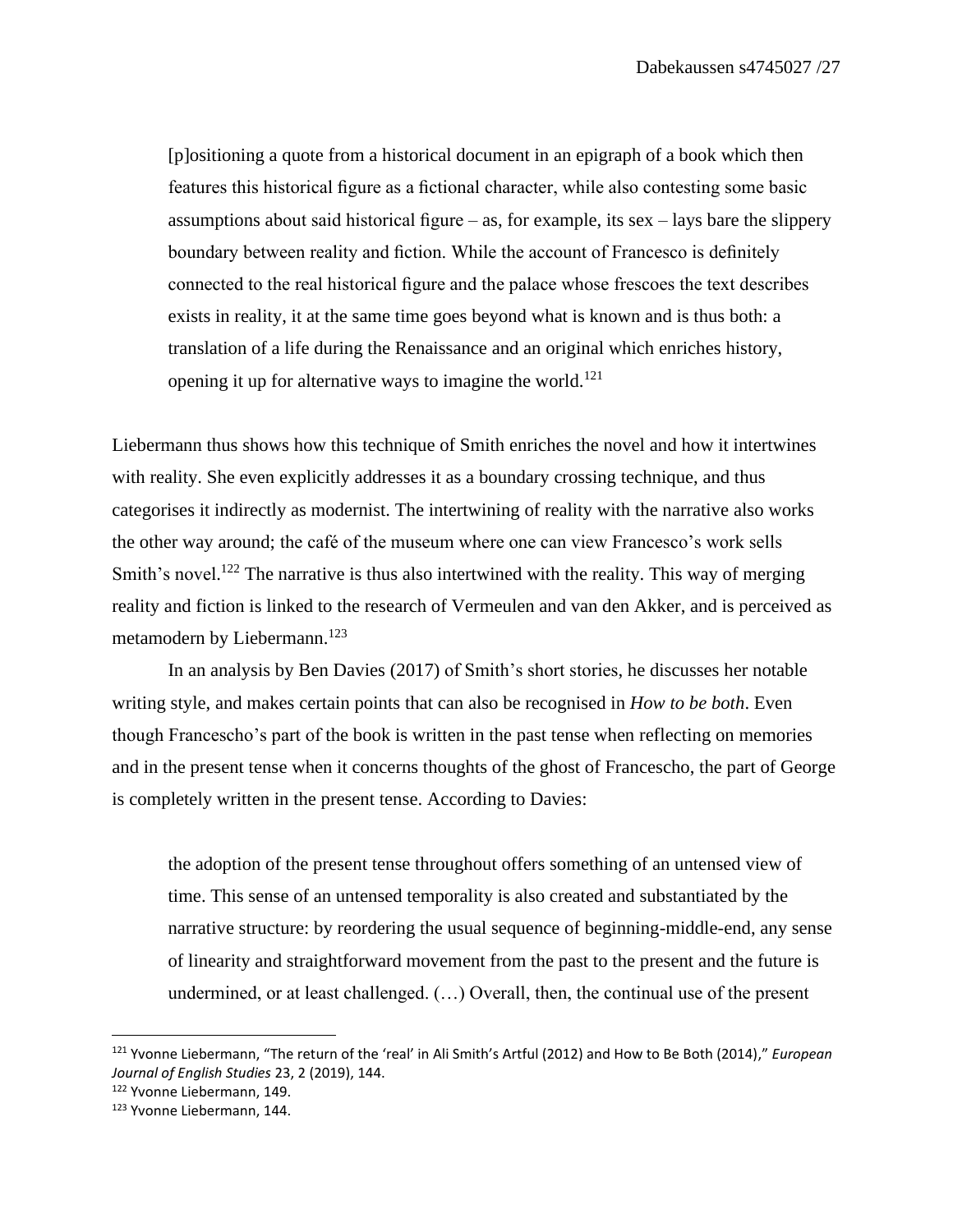[p]ositioning a quote from a historical document in an epigraph of a book which then features this historical figure as a fictional character, while also contesting some basic assumptions about said historical figure – as, for example, its sex – lays bare the slippery boundary between reality and fiction. While the account of Francesco is definitely connected to the real historical figure and the palace whose frescoes the text describes exists in reality, it at the same time goes beyond what is known and is thus both: a translation of a life during the Renaissance and an original which enriches history, opening it up for alternative ways to imagine the world.<sup>121</sup>

Liebermann thus shows how this technique of Smith enriches the novel and how it intertwines with reality. She even explicitly addresses it as a boundary crossing technique, and thus categorises it indirectly as modernist. The intertwining of reality with the narrative also works the other way around; the café of the museum where one can view Francesco's work sells Smith's novel.<sup>122</sup> The narrative is thus also intertwined with the reality. This way of merging reality and fiction is linked to the research of Vermeulen and van den Akker, and is perceived as metamodern by Liebermann. 123

In an analysis by Ben Davies (2017) of Smith's short stories, he discusses her notable writing style, and makes certain points that can also be recognised in *How to be both*. Even though Francescho's part of the book is written in the past tense when reflecting on memories and in the present tense when it concerns thoughts of the ghost of Francescho, the part of George is completely written in the present tense. According to Davies:

the adoption of the present tense throughout offers something of an untensed view of time. This sense of an untensed temporality is also created and substantiated by the narrative structure: by reordering the usual sequence of beginning-middle-end, any sense of linearity and straightforward movement from the past to the present and the future is undermined, or at least challenged. (…) Overall, then, the continual use of the present

<sup>121</sup> Yvonne Liebermann, "The return of the 'real' in Ali Smith's Artful (2012) and How to Be Both (2014)," *European Journal of English Studies* 23, 2 (2019), 144.

<sup>122</sup> Yvonne Liebermann, 149.

<sup>123</sup> Yvonne Liebermann, 144.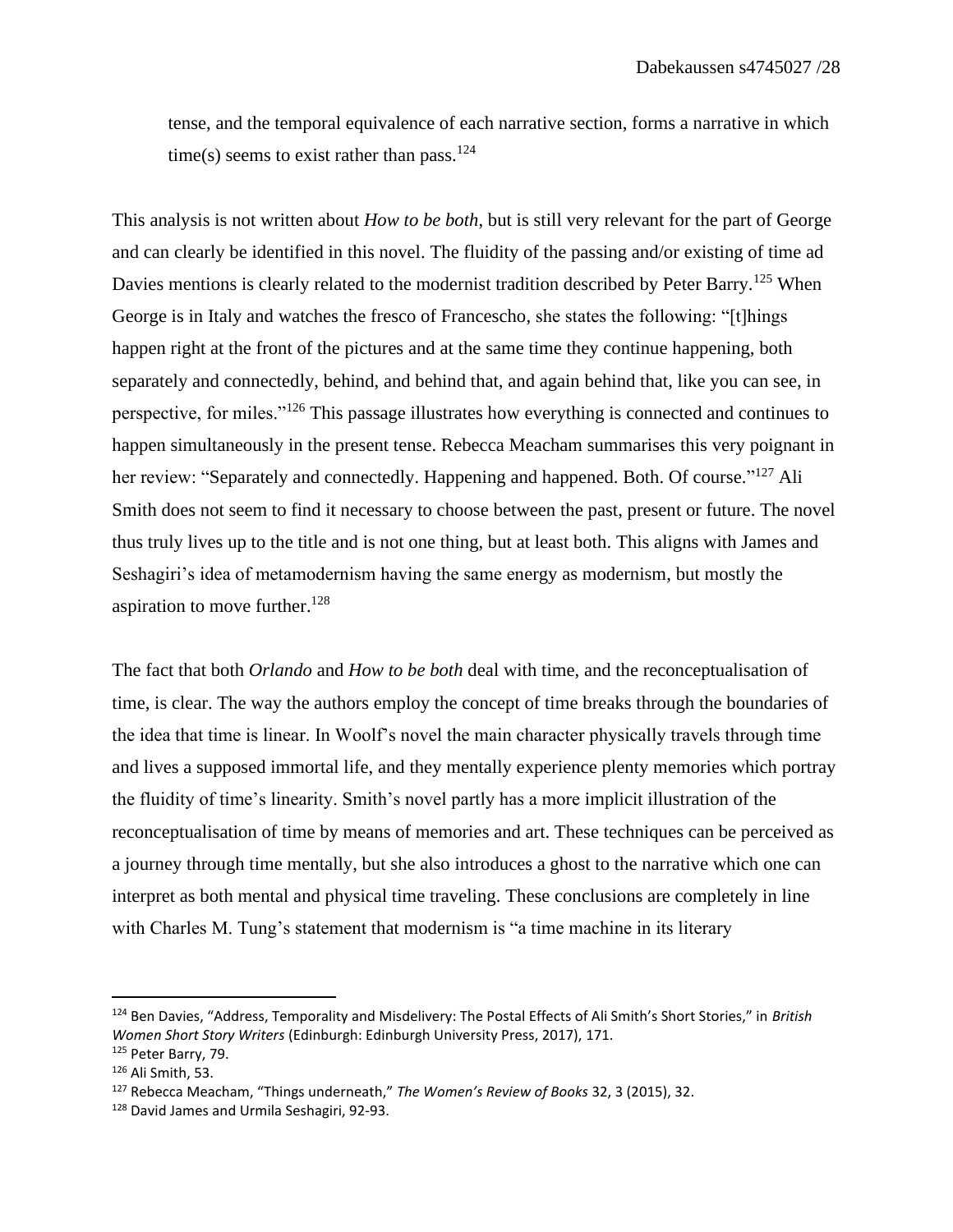tense, and the temporal equivalence of each narrative section, forms a narrative in which time(s) seems to exist rather than pass.<sup>124</sup>

This analysis is not written about *How to be both*, but is still very relevant for the part of George and can clearly be identified in this novel. The fluidity of the passing and/or existing of time ad Davies mentions is clearly related to the modernist tradition described by Peter Barry.<sup>125</sup> When George is in Italy and watches the fresco of Francescho, she states the following: "[t]hings happen right at the front of the pictures and at the same time they continue happening, both separately and connectedly, behind, and behind that, and again behind that, like you can see, in perspective, for miles."<sup>126</sup> This passage illustrates how everything is connected and continues to happen simultaneously in the present tense. Rebecca Meacham summarises this very poignant in her review: "Separately and connectedly. Happening and happened. Both. Of course."<sup>127</sup> Ali Smith does not seem to find it necessary to choose between the past, present or future. The novel thus truly lives up to the title and is not one thing, but at least both. This aligns with James and Seshagiri's idea of metamodernism having the same energy as modernism, but mostly the aspiration to move further. $128$ 

The fact that both *Orlando* and *How to be both* deal with time, and the reconceptualisation of time, is clear. The way the authors employ the concept of time breaks through the boundaries of the idea that time is linear. In Woolf's novel the main character physically travels through time and lives a supposed immortal life, and they mentally experience plenty memories which portray the fluidity of time's linearity. Smith's novel partly has a more implicit illustration of the reconceptualisation of time by means of memories and art. These techniques can be perceived as a journey through time mentally, but she also introduces a ghost to the narrative which one can interpret as both mental and physical time traveling. These conclusions are completely in line with Charles M. Tung's statement that modernism is "a time machine in its literary

<sup>124</sup> Ben Davies, "Address, Temporality and Misdelivery: The Postal Effects of Ali Smith's Short Stories," in *British Women Short Story Writers* (Edinburgh: Edinburgh University Press, 2017), 171.

<sup>125</sup> Peter Barry, 79.

<sup>126</sup> Ali Smith, 53.

<sup>127</sup> Rebecca Meacham, "Things underneath," *The Women's Review of Books* 32, 3 (2015), 32.

<sup>&</sup>lt;sup>128</sup> David James and Urmila Seshagiri, 92-93.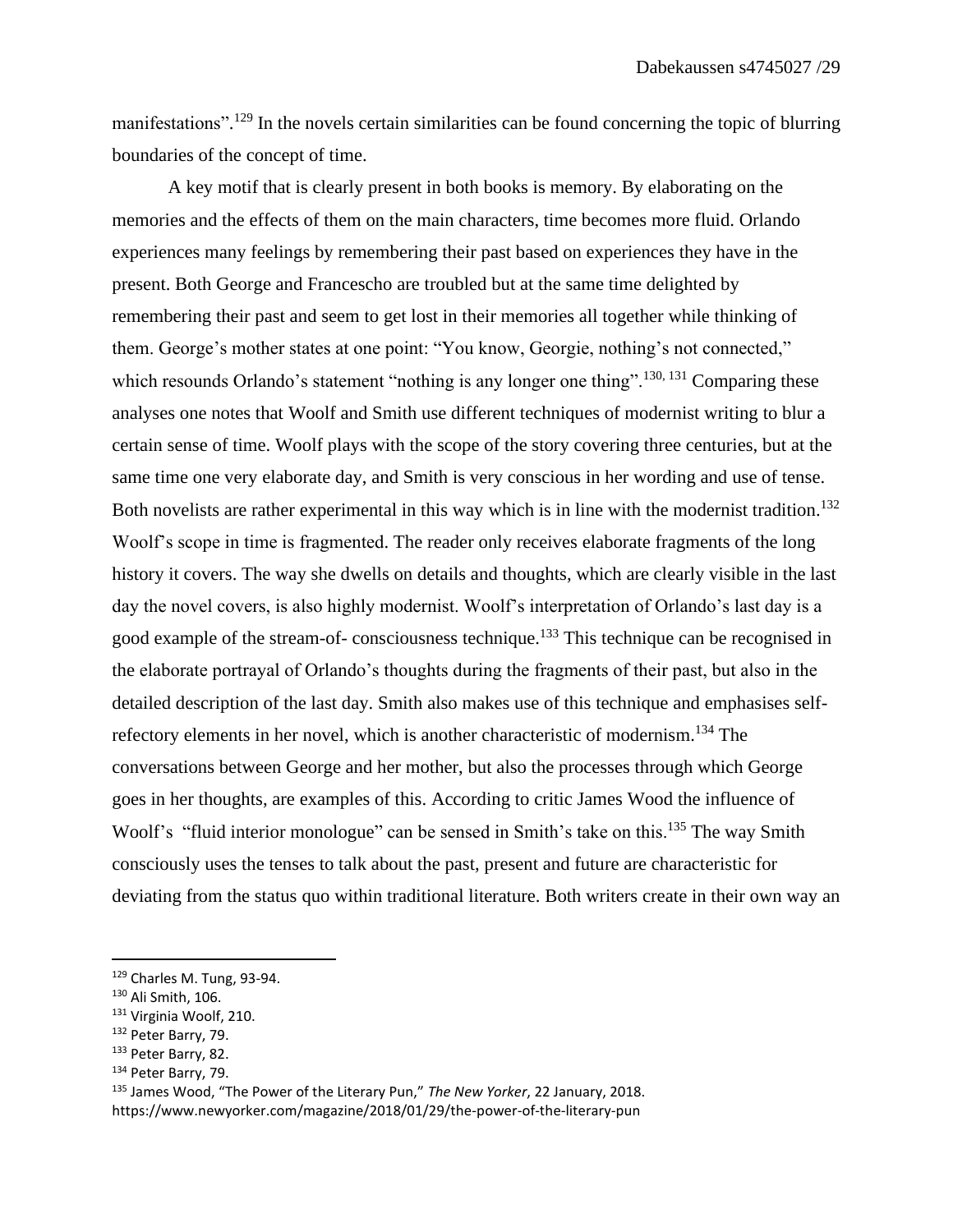manifestations".<sup>129</sup> In the novels certain similarities can be found concerning the topic of blurring boundaries of the concept of time.

A key motif that is clearly present in both books is memory. By elaborating on the memories and the effects of them on the main characters, time becomes more fluid. Orlando experiences many feelings by remembering their past based on experiences they have in the present. Both George and Francescho are troubled but at the same time delighted by remembering their past and seem to get lost in their memories all together while thinking of them. George's mother states at one point: "You know, Georgie, nothing's not connected," which resounds Orlando's statement "nothing is any longer one thing".<sup>130, 131</sup> Comparing these analyses one notes that Woolf and Smith use different techniques of modernist writing to blur a certain sense of time. Woolf plays with the scope of the story covering three centuries, but at the same time one very elaborate day, and Smith is very conscious in her wording and use of tense. Both novelists are rather experimental in this way which is in line with the modernist tradition.<sup>132</sup> Woolf's scope in time is fragmented. The reader only receives elaborate fragments of the long history it covers. The way she dwells on details and thoughts, which are clearly visible in the last day the novel covers, is also highly modernist. Woolf's interpretation of Orlando's last day is a good example of the stream-of- consciousness technique.<sup>133</sup> This technique can be recognised in the elaborate portrayal of Orlando's thoughts during the fragments of their past, but also in the detailed description of the last day. Smith also makes use of this technique and emphasises selfrefectory elements in her novel, which is another characteristic of modernism.<sup>134</sup> The conversations between George and her mother, but also the processes through which George goes in her thoughts, are examples of this. According to critic James Wood the influence of Woolf's "fluid interior monologue" can be sensed in Smith's take on this.<sup>135</sup> The way Smith consciously uses the tenses to talk about the past, present and future are characteristic for deviating from the status quo within traditional literature. Both writers create in their own way an

<sup>129</sup> Charles M. Tung, 93-94.

<sup>130</sup> Ali Smith, 106.

<sup>&</sup>lt;sup>131</sup> Virginia Woolf, 210.

<sup>132</sup> Peter Barry, 79.

<sup>133</sup> Peter Barry, 82.

<sup>134</sup> Peter Barry, 79.

<sup>135</sup> James Wood, "The Power of the Literary Pun," *The New Yorker*, 22 January, 2018. https://www.newyorker.com/magazine/2018/01/29/the-power-of-the-literary-pun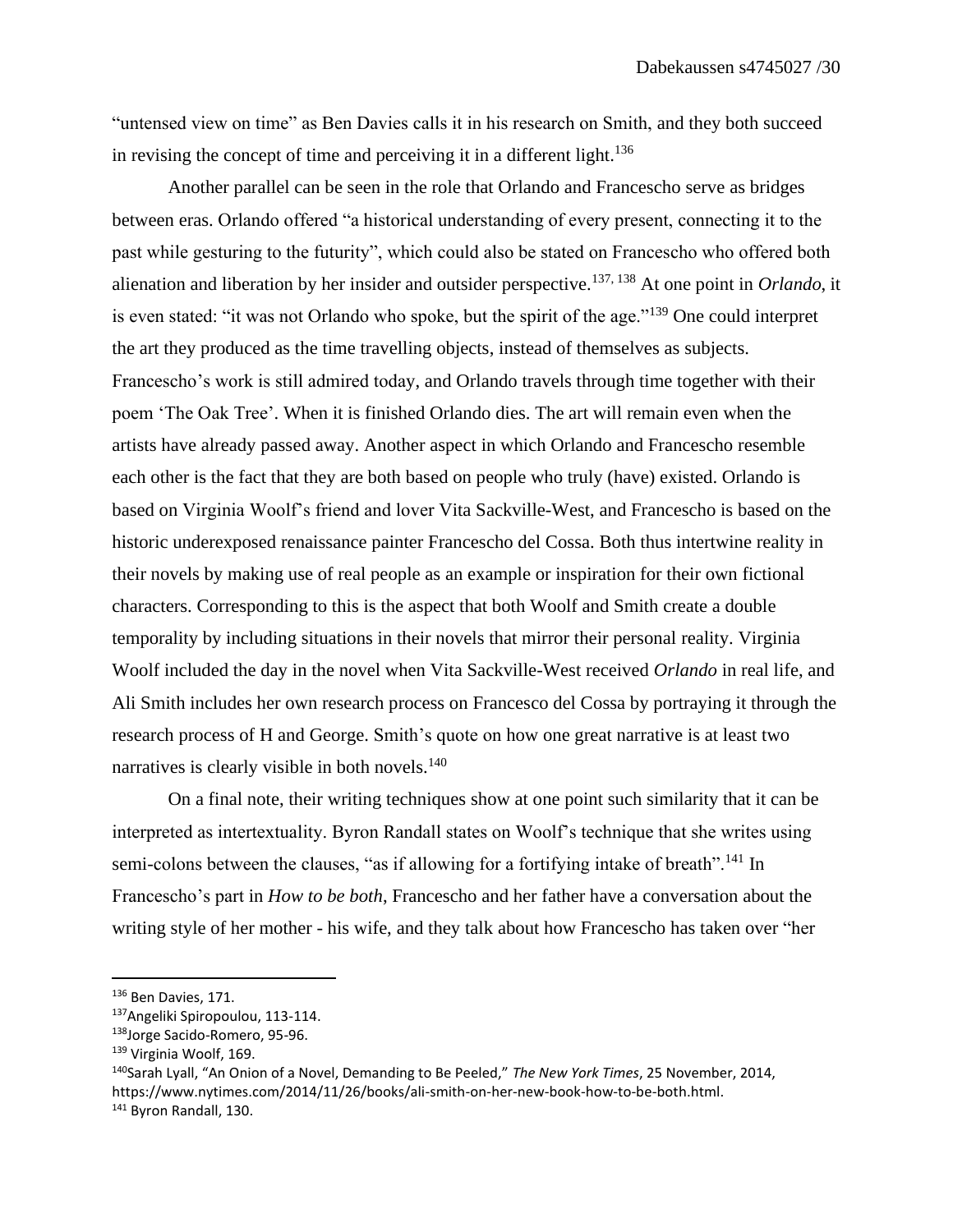"untensed view on time" as Ben Davies calls it in his research on Smith, and they both succeed in revising the concept of time and perceiving it in a different light.<sup>136</sup>

Another parallel can be seen in the role that Orlando and Francescho serve as bridges between eras. Orlando offered "a historical understanding of every present, connecting it to the past while gesturing to the futurity", which could also be stated on Francescho who offered both alienation and liberation by her insider and outsider perspective.137, 138 At one point in *Orlando*, it is even stated: "it was not Orlando who spoke, but the spirit of the age."<sup>139</sup> One could interpret the art they produced as the time travelling objects, instead of themselves as subjects. Francescho's work is still admired today, and Orlando travels through time together with their poem 'The Oak Tree'. When it is finished Orlando dies. The art will remain even when the artists have already passed away. Another aspect in which Orlando and Francescho resemble each other is the fact that they are both based on people who truly (have) existed. Orlando is based on Virginia Woolf's friend and lover Vita Sackville-West, and Francescho is based on the historic underexposed renaissance painter Francescho del Cossa. Both thus intertwine reality in their novels by making use of real people as an example or inspiration for their own fictional characters. Corresponding to this is the aspect that both Woolf and Smith create a double temporality by including situations in their novels that mirror their personal reality. Virginia Woolf included the day in the novel when Vita Sackville-West received *Orlando* in real life, and Ali Smith includes her own research process on Francesco del Cossa by portraying it through the research process of H and George. Smith's quote on how one great narrative is at least two narratives is clearly visible in both novels.<sup>140</sup>

On a final note, their writing techniques show at one point such similarity that it can be interpreted as intertextuality. Byron Randall states on Woolf's technique that she writes using semi-colons between the clauses, "as if allowing for a fortifying intake of breath".<sup>141</sup> In Francescho's part in *How to be both*, Francescho and her father have a conversation about the writing style of her mother - his wife, and they talk about how Francescho has taken over "her

<sup>136</sup> Ben Davies, 171.

<sup>137</sup>Angeliki Spiropoulou, 113-114.

<sup>138</sup>Jorge Sacido-Romero, 95-96.

<sup>139</sup> Virginia Woolf, 169.

<sup>140</sup>Sarah Lyall, "An Onion of a Novel, Demanding to Be Peeled," *The New York Times*, 25 November, 2014, https://www.nytimes.com/2014/11/26/books/ali-smith-on-her-new-book-how-to-be-both.html.

<sup>141</sup> Byron Randall, 130.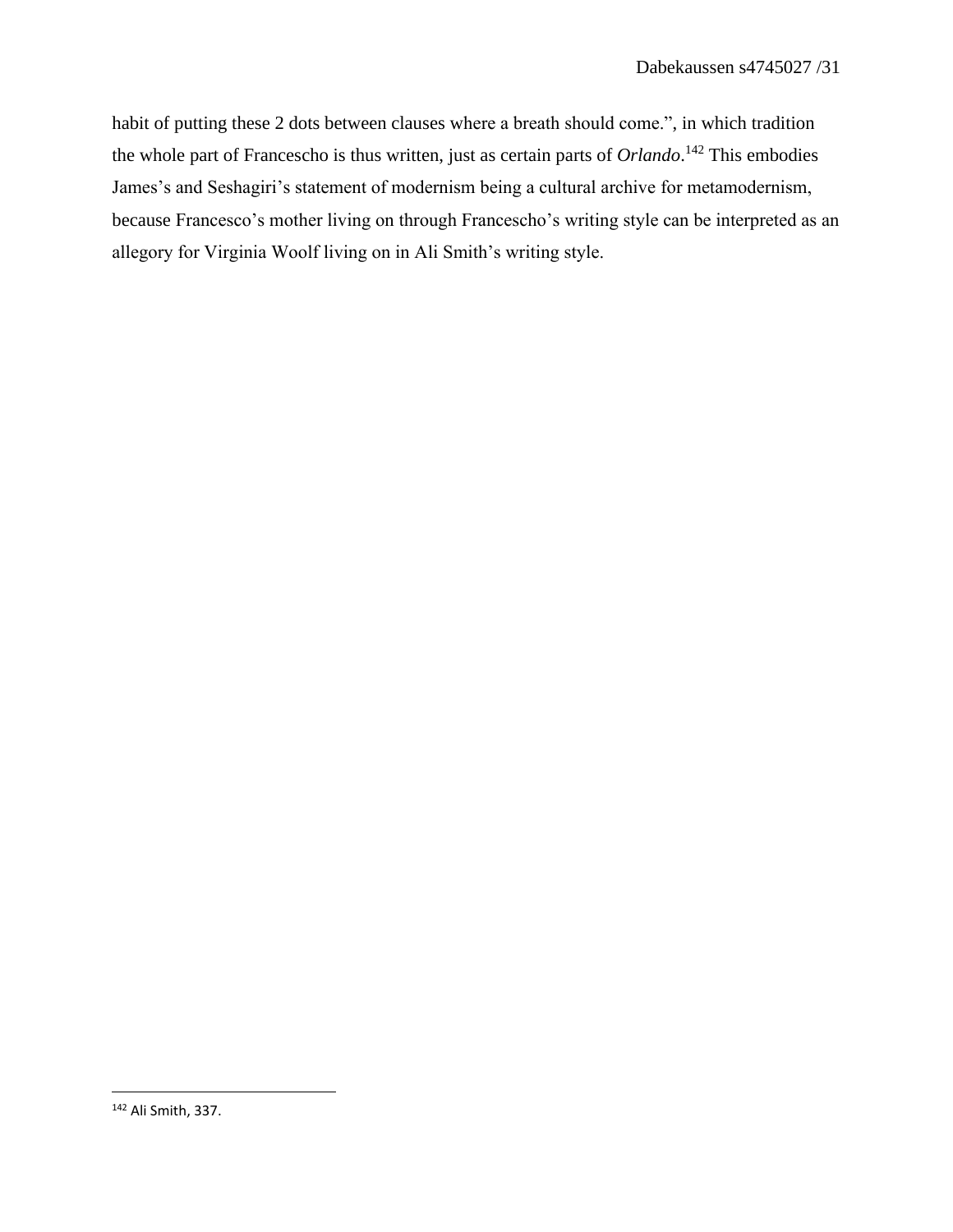habit of putting these 2 dots between clauses where a breath should come.", in which tradition the whole part of Francescho is thus written, just as certain parts of *Orlando*. <sup>142</sup> This embodies James's and Seshagiri's statement of modernism being a cultural archive for metamodernism, because Francesco's mother living on through Francescho's writing style can be interpreted as an allegory for Virginia Woolf living on in Ali Smith's writing style.

<sup>142</sup> Ali Smith, 337.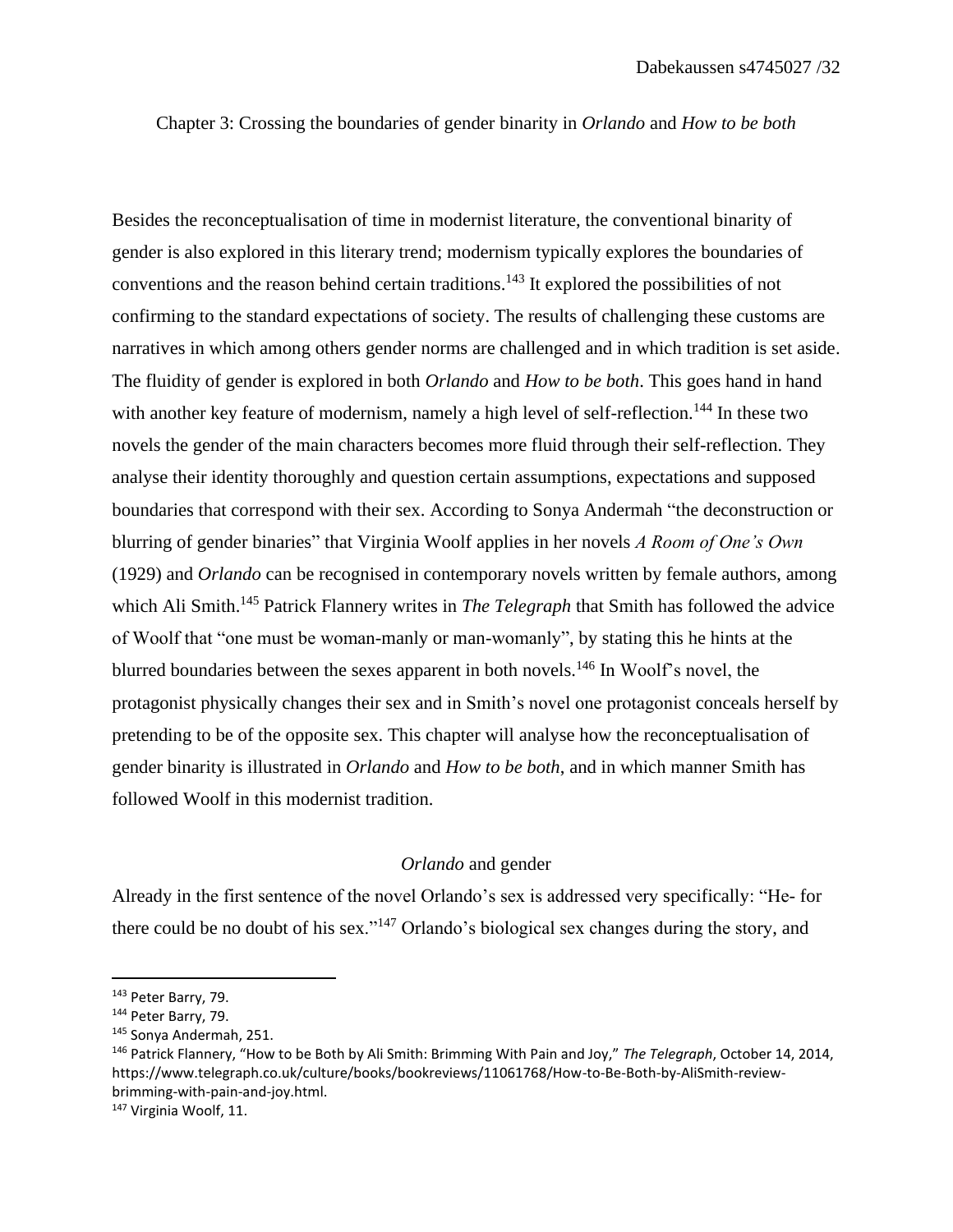Chapter 3: Crossing the boundaries of gender binarity in *Orlando* and *How to be both* 

Besides the reconceptualisation of time in modernist literature, the conventional binarity of gender is also explored in this literary trend; modernism typically explores the boundaries of conventions and the reason behind certain traditions.<sup>143</sup> It explored the possibilities of not confirming to the standard expectations of society. The results of challenging these customs are narratives in which among others gender norms are challenged and in which tradition is set aside. The fluidity of gender is explored in both *Orlando* and *How to be both*. This goes hand in hand with another key feature of modernism, namely a high level of self-reflection.<sup>144</sup> In these two novels the gender of the main characters becomes more fluid through their self-reflection. They analyse their identity thoroughly and question certain assumptions, expectations and supposed boundaries that correspond with their sex. According to Sonya Andermah "the deconstruction or blurring of gender binaries" that Virginia Woolf applies in her novels *A Room of One's Own*  (1929) and *Orlando* can be recognised in contemporary novels written by female authors, among which Ali Smith. <sup>145</sup> Patrick Flannery writes in *The Telegraph* that Smith has followed the advice of Woolf that "one must be woman-manly or man-womanly", by stating this he hints at the blurred boundaries between the sexes apparent in both novels.<sup>146</sup> In Woolf's novel, the protagonist physically changes their sex and in Smith's novel one protagonist conceals herself by pretending to be of the opposite sex. This chapter will analyse how the reconceptualisation of gender binarity is illustrated in *Orlando* and *How to be both*, and in which manner Smith has followed Woolf in this modernist tradition.

# *Orlando* and gender

Already in the first sentence of the novel Orlando's sex is addressed very specifically: "He- for there could be no doubt of his sex."<sup>147</sup> Orlando's biological sex changes during the story, and

<sup>143</sup> Peter Barry, 79.

<sup>144</sup> Peter Barry, 79.

<sup>145</sup> Sonya Andermah, 251.

<sup>146</sup> Patrick Flannery, "How to be Both by Ali Smith: Brimming With Pain and Joy," *The Telegraph*, October 14, 2014, https://www.telegraph.co.uk/culture/books/bookreviews/11061768/How-to-Be-Both-by-AliSmith-reviewbrimming-with-pain-and-joy.html.

<sup>147</sup> Virginia Woolf, 11.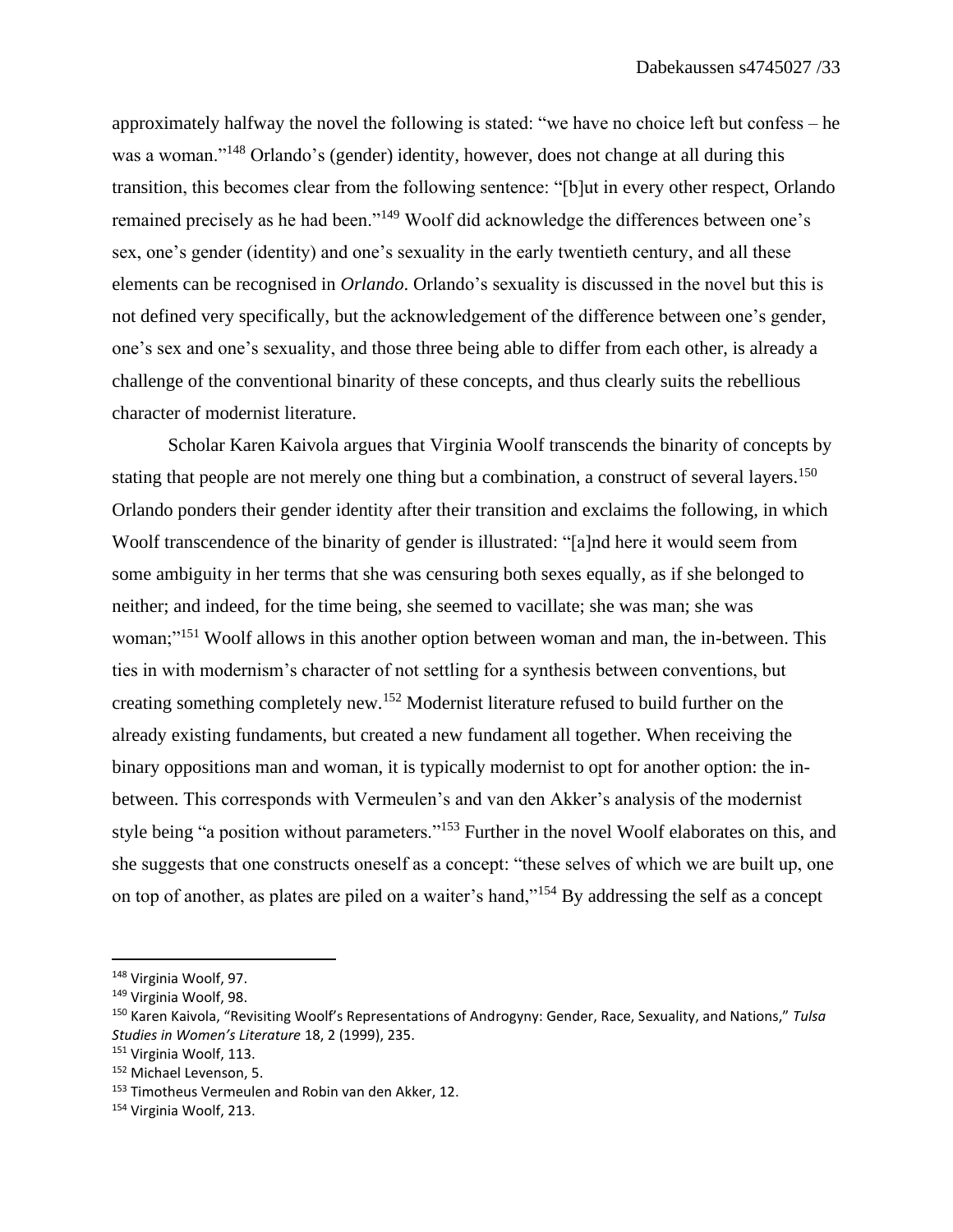approximately halfway the novel the following is stated: "we have no choice left but confess – he was a woman."<sup>148</sup> Orlando's (gender) identity, however, does not change at all during this transition, this becomes clear from the following sentence: "[b]ut in every other respect, Orlando remained precisely as he had been."<sup>149</sup> Woolf did acknowledge the differences between one's sex, one's gender (identity) and one's sexuality in the early twentieth century, and all these elements can be recognised in *Orlando*. Orlando's sexuality is discussed in the novel but this is not defined very specifically, but the acknowledgement of the difference between one's gender, one's sex and one's sexuality, and those three being able to differ from each other, is already a challenge of the conventional binarity of these concepts, and thus clearly suits the rebellious character of modernist literature.

Scholar Karen Kaivola argues that Virginia Woolf transcends the binarity of concepts by stating that people are not merely one thing but a combination, a construct of several layers.<sup>150</sup> Orlando ponders their gender identity after their transition and exclaims the following, in which Woolf transcendence of the binarity of gender is illustrated: "[a]nd here it would seem from some ambiguity in her terms that she was censuring both sexes equally, as if she belonged to neither; and indeed, for the time being, she seemed to vacillate; she was man; she was woman;"<sup>151</sup> Woolf allows in this another option between woman and man, the in-between. This ties in with modernism's character of not settling for a synthesis between conventions, but creating something completely new.<sup>152</sup> Modernist literature refused to build further on the already existing fundaments, but created a new fundament all together. When receiving the binary oppositions man and woman, it is typically modernist to opt for another option: the inbetween. This corresponds with Vermeulen's and van den Akker's analysis of the modernist style being "a position without parameters."<sup>153</sup> Further in the novel Woolf elaborates on this, and she suggests that one constructs oneself as a concept: "these selves of which we are built up, one on top of another, as plates are piled on a waiter's hand,"<sup>154</sup> By addressing the self as a concept

<sup>148</sup> Virginia Woolf, 97.

<sup>149</sup> Virginia Woolf, 98.

<sup>150</sup> Karen Kaivola, "Revisiting Woolf's Representations of Androgyny: Gender, Race, Sexuality, and Nations," *Tulsa Studies in Women's Literature* 18, 2 (1999), 235.

<sup>&</sup>lt;sup>151</sup> Virginia Woolf, 113.

<sup>152</sup> Michael Levenson, 5.

<sup>&</sup>lt;sup>153</sup> Timotheus Vermeulen and Robin van den Akker, 12.

<sup>154</sup> Virginia Woolf, 213.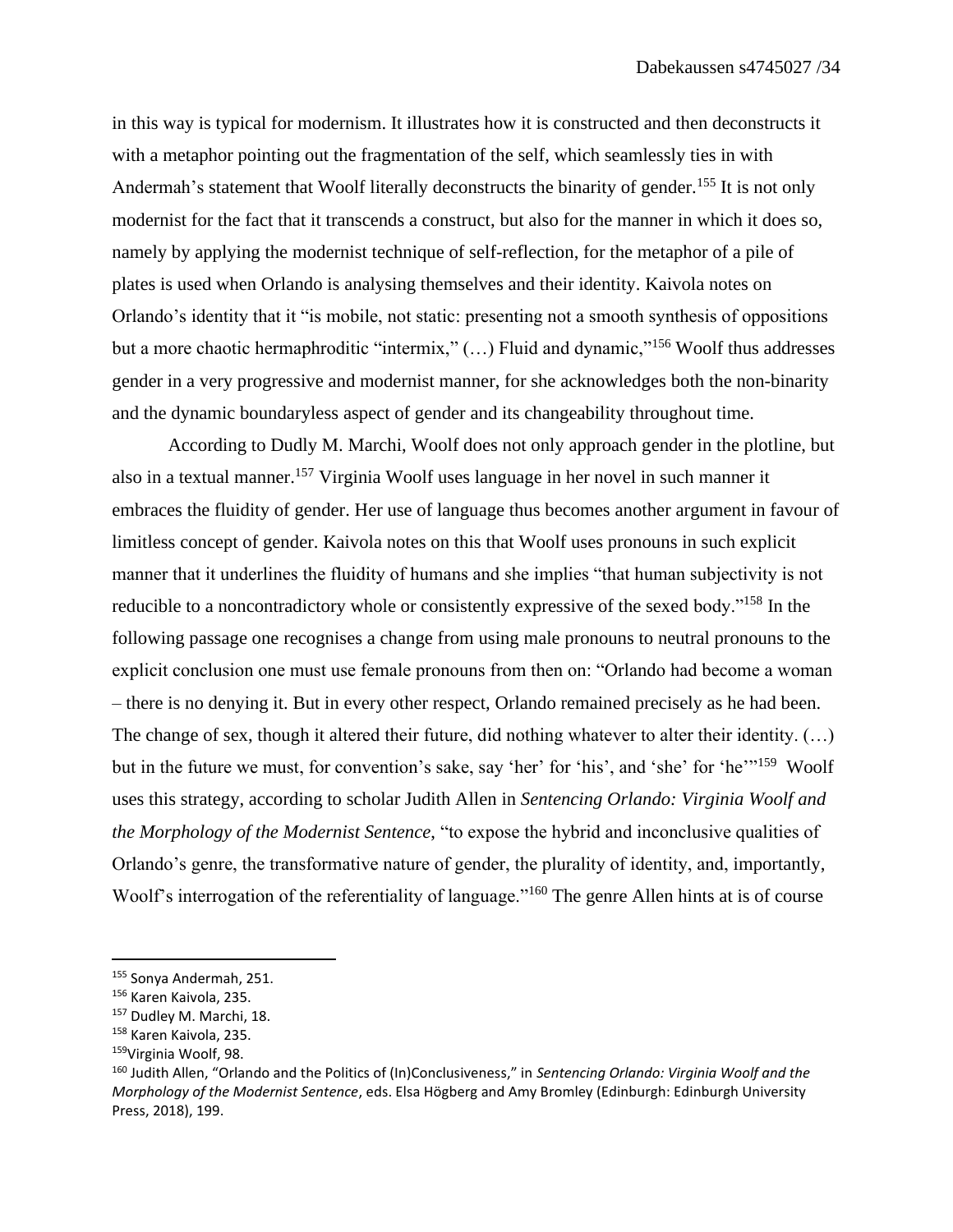in this way is typical for modernism. It illustrates how it is constructed and then deconstructs it with a metaphor pointing out the fragmentation of the self, which seamlessly ties in with Andermah's statement that Woolf literally deconstructs the binarity of gender.<sup>155</sup> It is not only modernist for the fact that it transcends a construct, but also for the manner in which it does so, namely by applying the modernist technique of self-reflection, for the metaphor of a pile of plates is used when Orlando is analysing themselves and their identity. Kaivola notes on Orlando's identity that it "is mobile, not static: presenting not a smooth synthesis of oppositions but a more chaotic hermaphroditic "intermix," (...) Fluid and dynamic,"<sup>156</sup> Woolf thus addresses gender in a very progressive and modernist manner, for she acknowledges both the non-binarity and the dynamic boundaryless aspect of gender and its changeability throughout time.

According to Dudly M. Marchi, Woolf does not only approach gender in the plotline, but also in a textual manner.<sup>157</sup> Virginia Woolf uses language in her novel in such manner it embraces the fluidity of gender. Her use of language thus becomes another argument in favour of limitless concept of gender. Kaivola notes on this that Woolf uses pronouns in such explicit manner that it underlines the fluidity of humans and she implies "that human subjectivity is not reducible to a noncontradictory whole or consistently expressive of the sexed body."<sup>158</sup> In the following passage one recognises a change from using male pronouns to neutral pronouns to the explicit conclusion one must use female pronouns from then on: "Orlando had become a woman – there is no denying it. But in every other respect, Orlando remained precisely as he had been. The change of sex, though it altered their future, did nothing whatever to alter their identity. (…) but in the future we must, for convention's sake, say 'her' for 'his', and 'she' for 'he'"<sup>159</sup> Woolf uses this strategy, according to scholar Judith Allen in *Sentencing Orlando: Virginia Woolf and the Morphology of the Modernist Sentence*, "to expose the hybrid and inconclusive qualities of Orlando's genre, the transformative nature of gender, the plurality of identity, and, importantly, Woolf's interrogation of the referentiality of language."<sup>160</sup> The genre Allen hints at is of course

<sup>155</sup> Sonya Andermah, 251.

<sup>156</sup> Karen Kaivola, 235.

<sup>157</sup> Dudley M. Marchi, 18.

<sup>158</sup> Karen Kaivola, 235.

<sup>&</sup>lt;sup>159</sup>Virginia Woolf, 98.

<sup>160</sup> Judith Allen, "Orlando and the Politics of (In)Conclusiveness," in *Sentencing Orlando: Virginia Woolf and the Morphology of the Modernist Sentence*, eds. Elsa Högberg and Amy Bromley (Edinburgh: Edinburgh University Press, 2018), 199.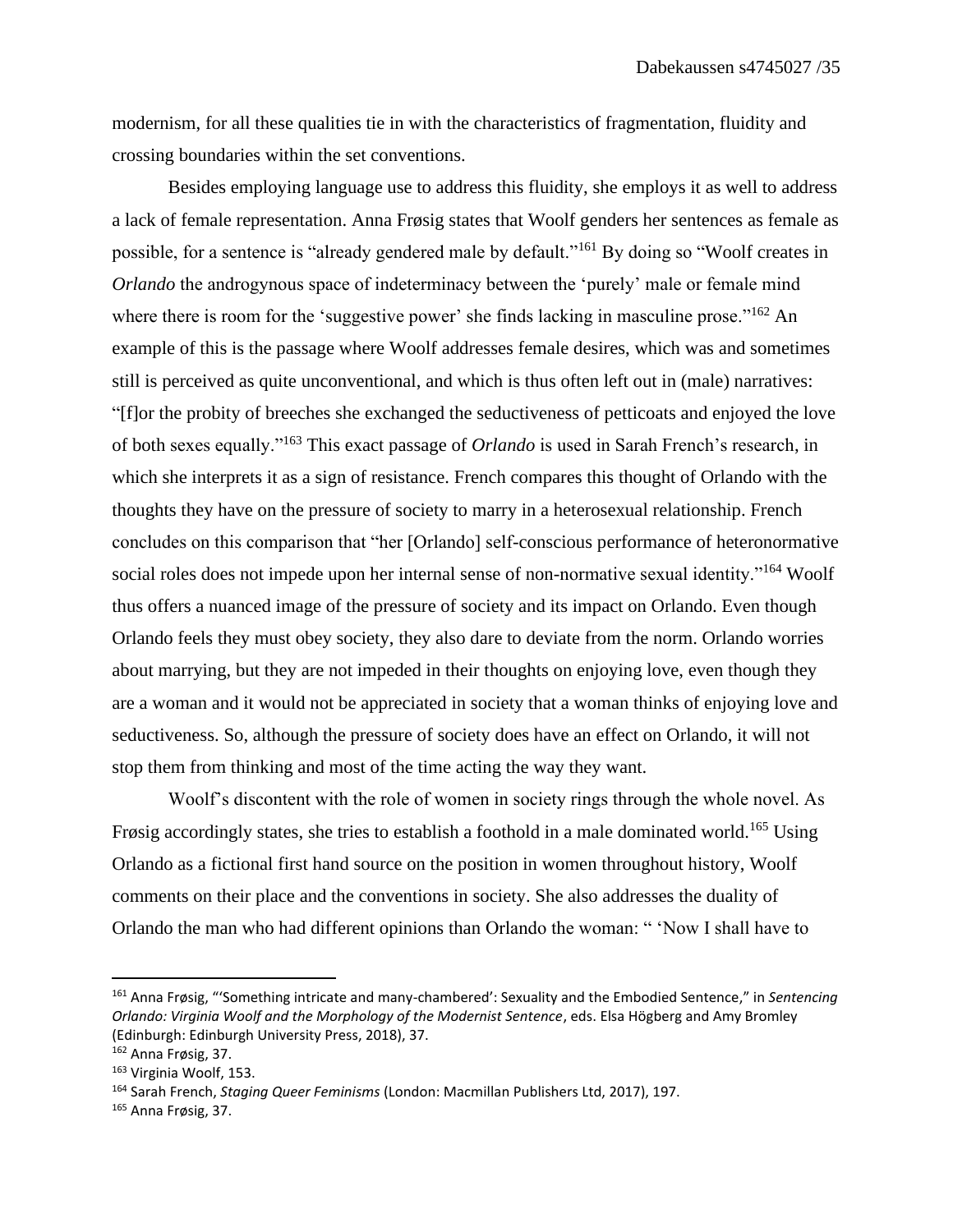modernism, for all these qualities tie in with the characteristics of fragmentation, fluidity and crossing boundaries within the set conventions.

Besides employing language use to address this fluidity, she employs it as well to address a lack of female representation. Anna Frøsig states that Woolf genders her sentences as female as possible, for a sentence is "already gendered male by default."<sup>161</sup> By doing so "Woolf creates in *Orlando* the androgynous space of indeterminacy between the 'purely' male or female mind where there is room for the 'suggestive power' she finds lacking in masculine prose."<sup>162</sup> An example of this is the passage where Woolf addresses female desires, which was and sometimes still is perceived as quite unconventional, and which is thus often left out in (male) narratives: "[f]or the probity of breeches she exchanged the seductiveness of petticoats and enjoyed the love of both sexes equally."<sup>163</sup> This exact passage of *Orlando* is used in Sarah French's research, in which she interprets it as a sign of resistance. French compares this thought of Orlando with the thoughts they have on the pressure of society to marry in a heterosexual relationship. French concludes on this comparison that "her [Orlando] self-conscious performance of heteronormative social roles does not impede upon her internal sense of non-normative sexual identity."<sup>164</sup> Woolf thus offers a nuanced image of the pressure of society and its impact on Orlando. Even though Orlando feels they must obey society, they also dare to deviate from the norm. Orlando worries about marrying, but they are not impeded in their thoughts on enjoying love, even though they are a woman and it would not be appreciated in society that a woman thinks of enjoying love and seductiveness. So, although the pressure of society does have an effect on Orlando, it will not stop them from thinking and most of the time acting the way they want.

Woolf's discontent with the role of women in society rings through the whole novel. As Frøsig accordingly states, she tries to establish a foothold in a male dominated world.<sup>165</sup> Using Orlando as a fictional first hand source on the position in women throughout history, Woolf comments on their place and the conventions in society. She also addresses the duality of Orlando the man who had different opinions than Orlando the woman: " 'Now I shall have to

<sup>161</sup> Anna Frøsig, "'Something intricate and many-chambered': Sexuality and the Embodied Sentence," in *Sentencing Orlando: Virginia Woolf and the Morphology of the Modernist Sentence*, eds. Elsa Högberg and Amy Bromley (Edinburgh: Edinburgh University Press, 2018), 37.

<sup>162</sup> Anna Frøsig, 37.

<sup>163</sup> Virginia Woolf, 153.

<sup>164</sup> Sarah French, *Staging Queer Feminisms* (London: Macmillan Publishers Ltd, 2017), 197.

<sup>165</sup> Anna Frøsig, 37.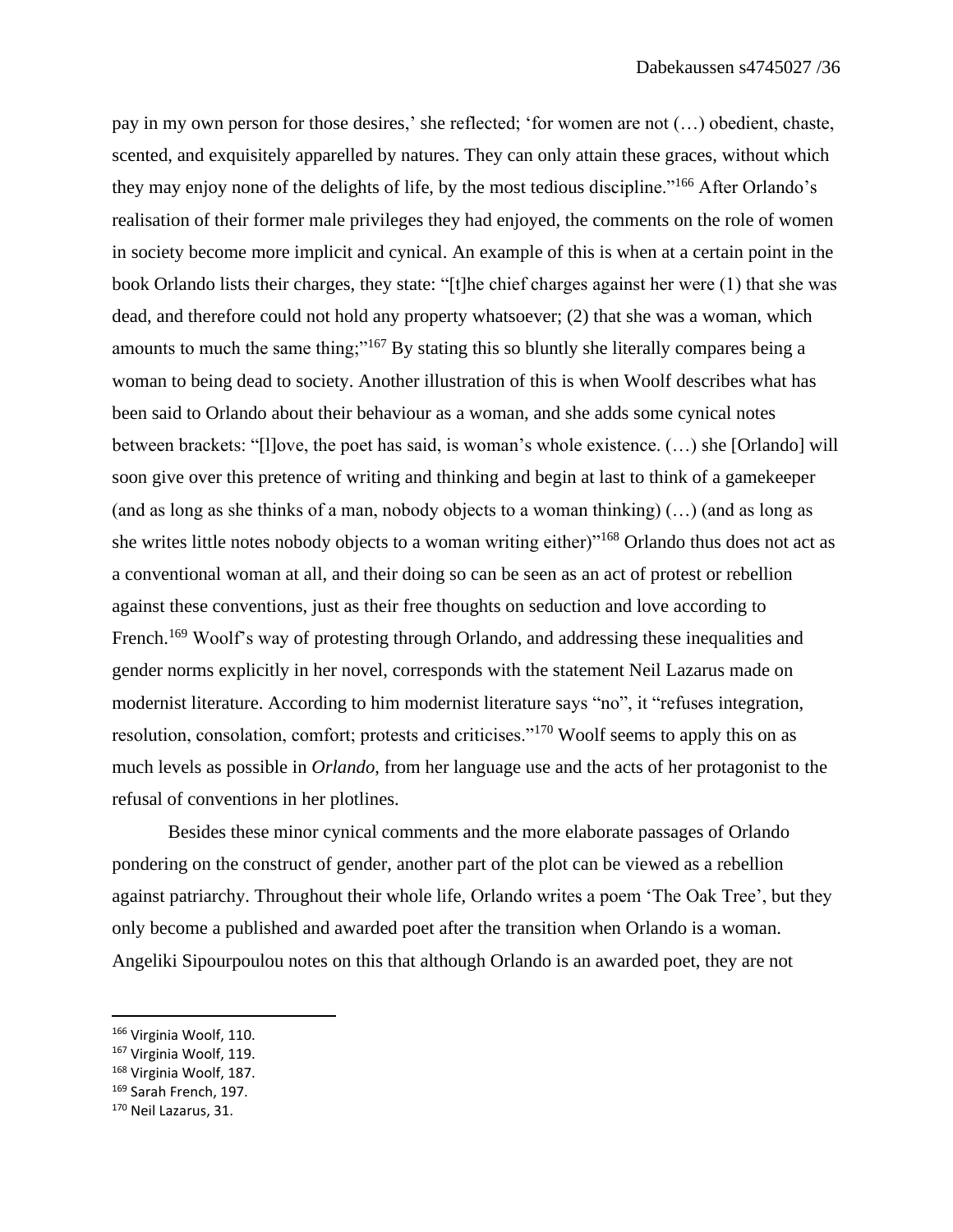pay in my own person for those desires,' she reflected; 'for women are not (…) obedient, chaste, scented, and exquisitely apparelled by natures. They can only attain these graces, without which they may enjoy none of the delights of life, by the most tedious discipline."<sup>166</sup> After Orlando's realisation of their former male privileges they had enjoyed, the comments on the role of women in society become more implicit and cynical. An example of this is when at a certain point in the book Orlando lists their charges, they state: "[t]he chief charges against her were (1) that she was dead, and therefore could not hold any property whatsoever; (2) that she was a woman, which amounts to much the same thing;"<sup>167</sup> By stating this so bluntly she literally compares being a woman to being dead to society. Another illustration of this is when Woolf describes what has been said to Orlando about their behaviour as a woman, and she adds some cynical notes between brackets: "[l]ove, the poet has said, is woman's whole existence. (…) she [Orlando] will soon give over this pretence of writing and thinking and begin at last to think of a gamekeeper (and as long as she thinks of a man, nobody objects to a woman thinking) (…) (and as long as she writes little notes nobody objects to a woman writing either)"<sup>168</sup> Orlando thus does not act as a conventional woman at all, and their doing so can be seen as an act of protest or rebellion against these conventions, just as their free thoughts on seduction and love according to French.<sup>169</sup> Woolf's way of protesting through Orlando, and addressing these inequalities and gender norms explicitly in her novel, corresponds with the statement Neil Lazarus made on modernist literature. According to him modernist literature says "no", it "refuses integration, resolution, consolation, comfort; protests and criticises."<sup>170</sup> Woolf seems to apply this on as much levels as possible in *Orlando*, from her language use and the acts of her protagonist to the refusal of conventions in her plotlines.

Besides these minor cynical comments and the more elaborate passages of Orlando pondering on the construct of gender, another part of the plot can be viewed as a rebellion against patriarchy. Throughout their whole life, Orlando writes a poem 'The Oak Tree', but they only become a published and awarded poet after the transition when Orlando is a woman. Angeliki Sipourpoulou notes on this that although Orlando is an awarded poet, they are not

<sup>166</sup> Virginia Woolf, 110.

<sup>167</sup> Virginia Woolf, 119.

<sup>168</sup> Virginia Woolf, 187.

<sup>169</sup> Sarah French, 197.

<sup>170</sup> Neil Lazarus, 31.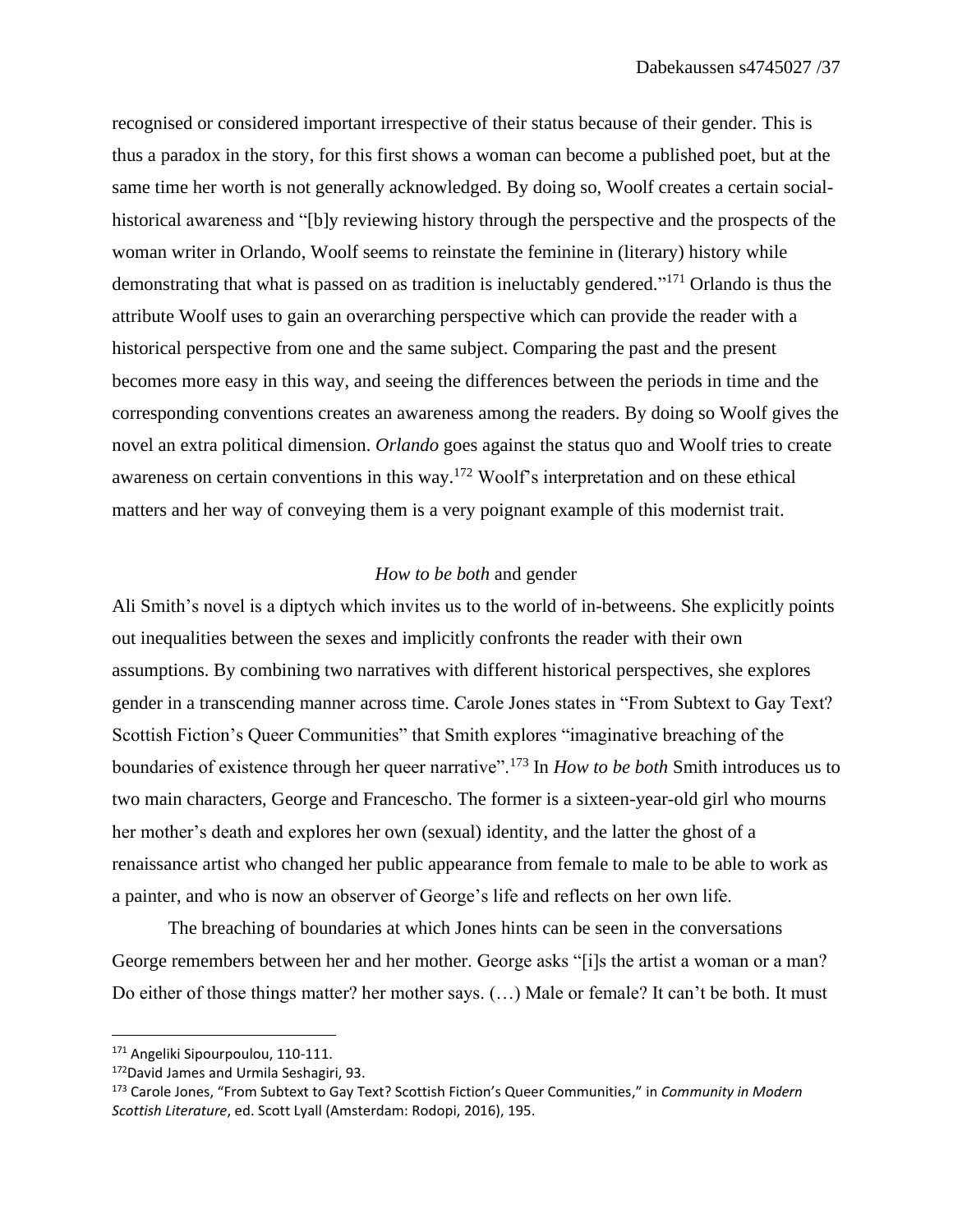recognised or considered important irrespective of their status because of their gender. This is thus a paradox in the story, for this first shows a woman can become a published poet, but at the same time her worth is not generally acknowledged. By doing so, Woolf creates a certain socialhistorical awareness and "[b]y reviewing history through the perspective and the prospects of the woman writer in Orlando, Woolf seems to reinstate the feminine in (literary) history while demonstrating that what is passed on as tradition is ineluctably gendered."<sup>171</sup> Orlando is thus the attribute Woolf uses to gain an overarching perspective which can provide the reader with a historical perspective from one and the same subject. Comparing the past and the present becomes more easy in this way, and seeing the differences between the periods in time and the corresponding conventions creates an awareness among the readers. By doing so Woolf gives the novel an extra political dimension. *Orlando* goes against the status quo and Woolf tries to create awareness on certain conventions in this way.<sup>172</sup> Woolf's interpretation and on these ethical matters and her way of conveying them is a very poignant example of this modernist trait.

## *How to be both* and gender

Ali Smith's novel is a diptych which invites us to the world of in-betweens. She explicitly points out inequalities between the sexes and implicitly confronts the reader with their own assumptions. By combining two narratives with different historical perspectives, she explores gender in a transcending manner across time. Carole Jones states in "From Subtext to Gay Text? Scottish Fiction's Queer Communities" that Smith explores "imaginative breaching of the boundaries of existence through her queer narrative".<sup>173</sup> In *How to be both* Smith introduces us to two main characters, George and Francescho. The former is a sixteen-year-old girl who mourns her mother's death and explores her own (sexual) identity, and the latter the ghost of a renaissance artist who changed her public appearance from female to male to be able to work as a painter, and who is now an observer of George's life and reflects on her own life.

The breaching of boundaries at which Jones hints can be seen in the conversations George remembers between her and her mother. George asks "[i]s the artist a woman or a man? Do either of those things matter? her mother says. (…) Male or female? It can't be both. It must

<sup>&</sup>lt;sup>171</sup> Angeliki Sipourpoulou, 110-111.

<sup>172</sup>David James and Urmila Seshagiri, 93.

<sup>173</sup> Carole Jones, "From Subtext to Gay Text? Scottish Fiction's Queer Communities," in *Community in Modern Scottish Literature*, ed. Scott Lyall (Amsterdam: Rodopi, 2016), 195.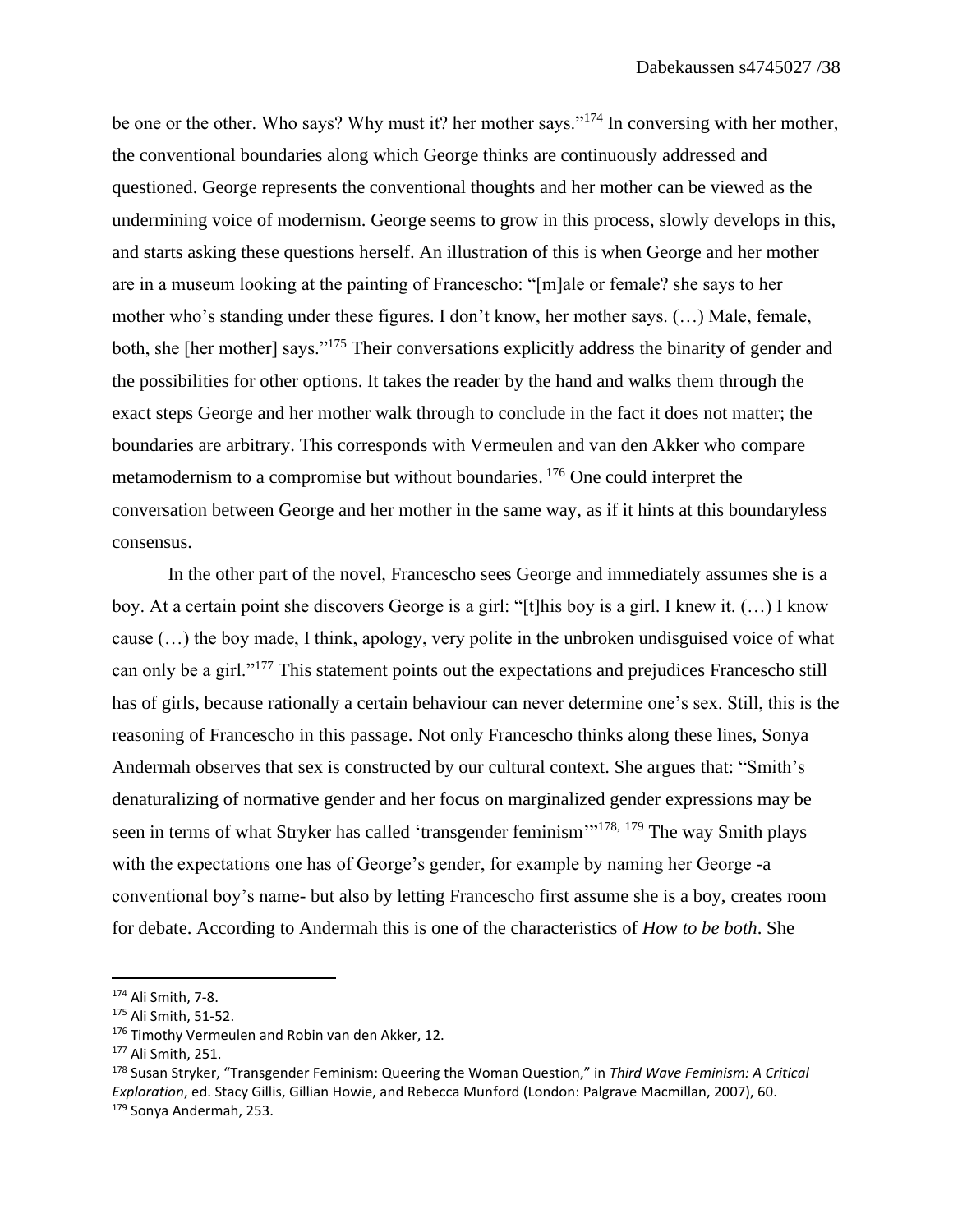be one or the other. Who says? Why must it? her mother says."<sup>174</sup> In conversing with her mother, the conventional boundaries along which George thinks are continuously addressed and questioned. George represents the conventional thoughts and her mother can be viewed as the undermining voice of modernism. George seems to grow in this process, slowly develops in this, and starts asking these questions herself. An illustration of this is when George and her mother are in a museum looking at the painting of Francescho: "[m]ale or female? she says to her mother who's standing under these figures. I don't know, her mother says. (…) Male, female, both, she [her mother] says."<sup>175</sup> Their conversations explicitly address the binarity of gender and the possibilities for other options. It takes the reader by the hand and walks them through the exact steps George and her mother walk through to conclude in the fact it does not matter; the boundaries are arbitrary. This corresponds with Vermeulen and van den Akker who compare metamodernism to a compromise but without boundaries. <sup>176</sup> One could interpret the conversation between George and her mother in the same way, as if it hints at this boundaryless consensus.

In the other part of the novel, Francescho sees George and immediately assumes she is a boy. At a certain point she discovers George is a girl: "[t]his boy is a girl. I knew it. (…) I know cause (…) the boy made, I think, apology, very polite in the unbroken undisguised voice of what can only be a girl."<sup>177</sup> This statement points out the expectations and prejudices Francescho still has of girls, because rationally a certain behaviour can never determine one's sex. Still, this is the reasoning of Francescho in this passage. Not only Francescho thinks along these lines, Sonya Andermah observes that sex is constructed by our cultural context. She argues that: "Smith's denaturalizing of normative gender and her focus on marginalized gender expressions may be seen in terms of what Stryker has called 'transgender feminism'<sup>178, 179</sup> The way Smith plays with the expectations one has of George's gender, for example by naming her George -a conventional boy's name- but also by letting Francescho first assume she is a boy, creates room for debate. According to Andermah this is one of the characteristics of *How to be both*. She

<sup>174</sup> Ali Smith, 7-8.

<sup>175</sup> Ali Smith, 51-52.

<sup>176</sup> Timothy Vermeulen and Robin van den Akker, 12.

<sup>177</sup> Ali Smith, 251.

<sup>178</sup> Susan Stryker, "Transgender Feminism: Queering the Woman Question," in *Third Wave Feminism: A Critical Exploration*, ed. Stacy Gillis, Gillian Howie, and Rebecca Munford (London: Palgrave Macmillan, 2007), 60. <sup>179</sup> Sonya Andermah, 253.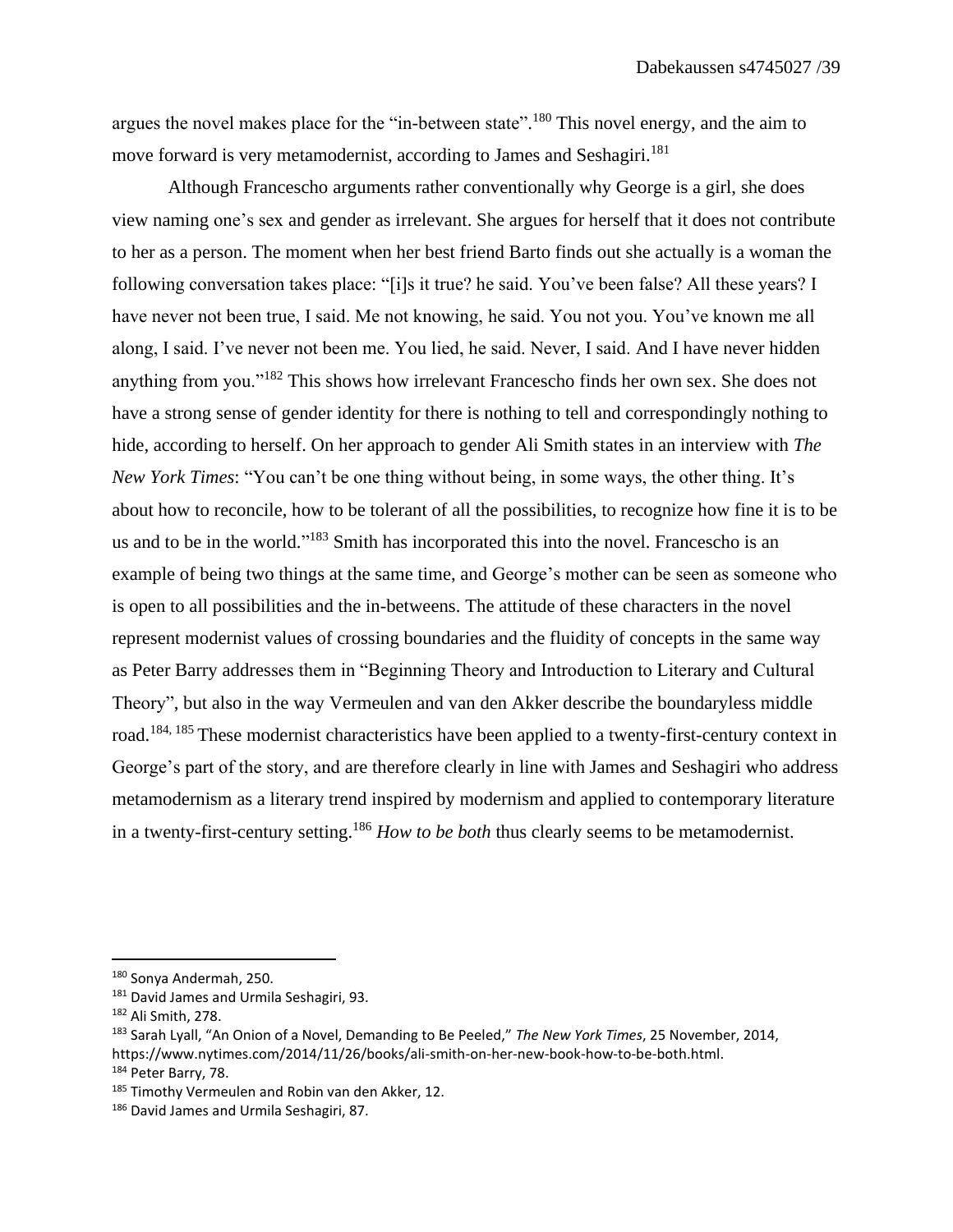argues the novel makes place for the "in-between state".<sup>180</sup> This novel energy, and the aim to move forward is very metamodernist, according to James and Seshagiri.<sup>181</sup>

Although Francescho arguments rather conventionally why George is a girl, she does view naming one's sex and gender as irrelevant. She argues for herself that it does not contribute to her as a person. The moment when her best friend Barto finds out she actually is a woman the following conversation takes place: "[i]s it true? he said. You've been false? All these years? I have never not been true, I said. Me not knowing, he said. You not you. You've known me all along, I said. I've never not been me. You lied, he said. Never, I said. And I have never hidden anything from you."<sup>182</sup> This shows how irrelevant Francescho finds her own sex. She does not have a strong sense of gender identity for there is nothing to tell and correspondingly nothing to hide, according to herself. On her approach to gender Ali Smith states in an interview with *The New York Times*: "You can't be one thing without being, in some ways, the other thing. It's about how to reconcile, how to be tolerant of all the possibilities, to recognize how fine it is to be us and to be in the world."<sup>183</sup> Smith has incorporated this into the novel. Francescho is an example of being two things at the same time, and George's mother can be seen as someone who is open to all possibilities and the in-betweens. The attitude of these characters in the novel represent modernist values of crossing boundaries and the fluidity of concepts in the same way as Peter Barry addresses them in "Beginning Theory and Introduction to Literary and Cultural Theory", but also in the way Vermeulen and van den Akker describe the boundaryless middle road.<sup>184, 185</sup> These modernist characteristics have been applied to a twenty-first-century context in George's part of the story, and are therefore clearly in line with James and Seshagiri who address metamodernism as a literary trend inspired by modernism and applied to contemporary literature in a twenty-first-century setting. <sup>186</sup> *How to be both* thus clearly seems to be metamodernist.

<sup>180</sup> Sonya Andermah, 250.

<sup>&</sup>lt;sup>181</sup> David James and Urmila Seshagiri, 93.

<sup>182</sup> Ali Smith, 278.

<sup>183</sup> Sarah Lyall, "An Onion of a Novel, Demanding to Be Peeled," *The New York Times*, 25 November, 2014,

https://www.nytimes.com/2014/11/26/books/ali-smith-on-her-new-book-how-to-be-both.html. <sup>184</sup> Peter Barry, 78.

<sup>&</sup>lt;sup>185</sup> Timothy Vermeulen and Robin van den Akker, 12.

<sup>186</sup> David James and Urmila Seshagiri, 87.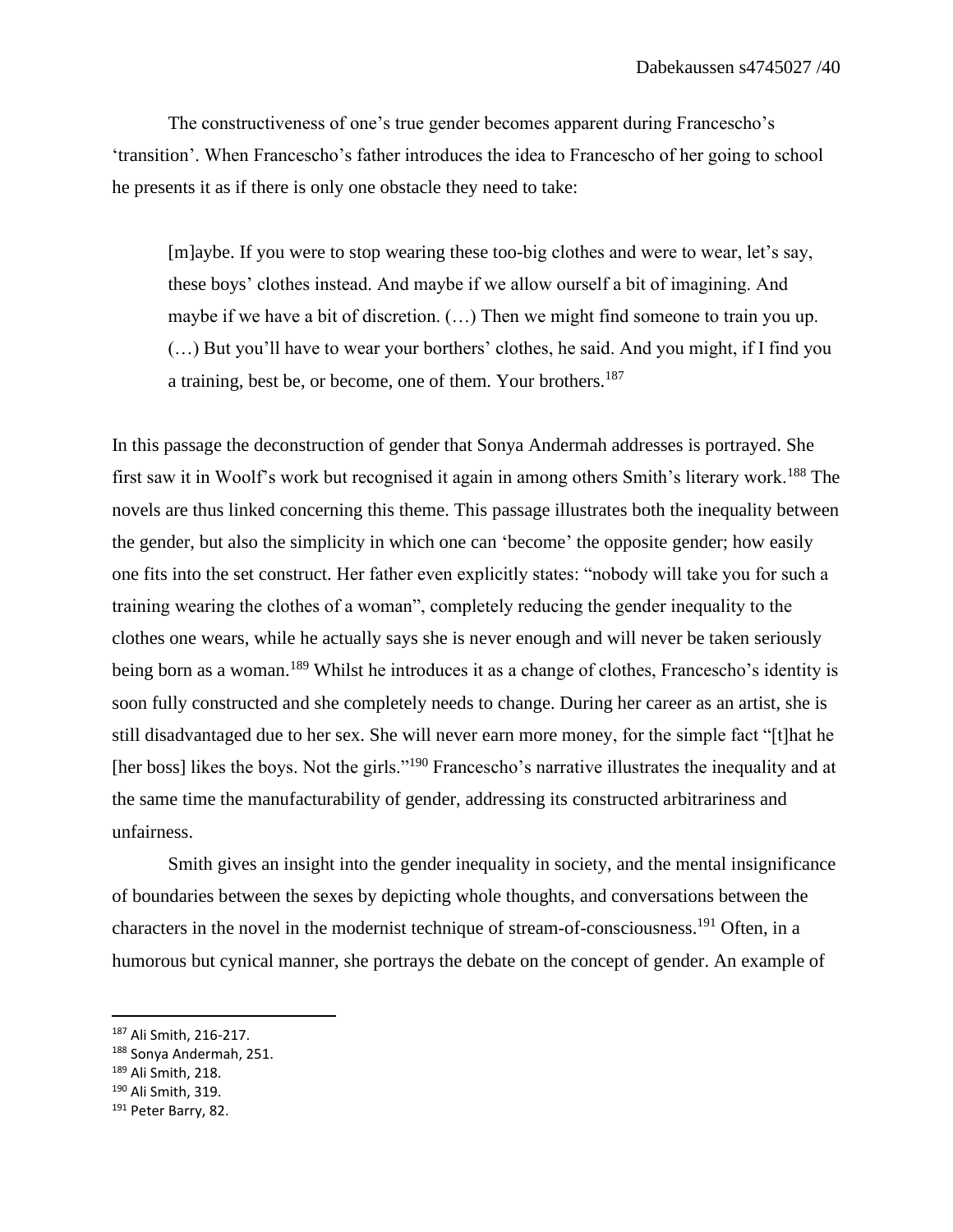The constructiveness of one's true gender becomes apparent during Francescho's 'transition'. When Francescho's father introduces the idea to Francescho of her going to school he presents it as if there is only one obstacle they need to take:

[m]aybe. If you were to stop wearing these too-big clothes and were to wear, let's say, these boys' clothes instead. And maybe if we allow ourself a bit of imagining. And maybe if we have a bit of discretion. (…) Then we might find someone to train you up. (…) But you'll have to wear your borthers' clothes, he said. And you might, if I find you a training, best be, or become, one of them. Your brothers.<sup>187</sup>

In this passage the deconstruction of gender that Sonya Andermah addresses is portrayed. She first saw it in Woolf's work but recognised it again in among others Smith's literary work.<sup>188</sup> The novels are thus linked concerning this theme. This passage illustrates both the inequality between the gender, but also the simplicity in which one can 'become' the opposite gender; how easily one fits into the set construct. Her father even explicitly states: "nobody will take you for such a training wearing the clothes of a woman", completely reducing the gender inequality to the clothes one wears, while he actually says she is never enough and will never be taken seriously being born as a woman.<sup>189</sup> Whilst he introduces it as a change of clothes, Francescho's identity is soon fully constructed and she completely needs to change. During her career as an artist, she is still disadvantaged due to her sex. She will never earn more money, for the simple fact "[t]hat he [her boss] likes the boys. Not the girls."<sup>190</sup> Francescho's narrative illustrates the inequality and at the same time the manufacturability of gender, addressing its constructed arbitrariness and unfairness.

Smith gives an insight into the gender inequality in society, and the mental insignificance of boundaries between the sexes by depicting whole thoughts, and conversations between the characters in the novel in the modernist technique of stream-of-consciousness. <sup>191</sup> Often, in a humorous but cynical manner, she portrays the debate on the concept of gender. An example of

<sup>187</sup> Ali Smith, 216-217.

<sup>188</sup> Sonya Andermah, 251.

<sup>189</sup> Ali Smith, 218.

<sup>190</sup> Ali Smith, 319.

<sup>&</sup>lt;sup>191</sup> Peter Barry, 82.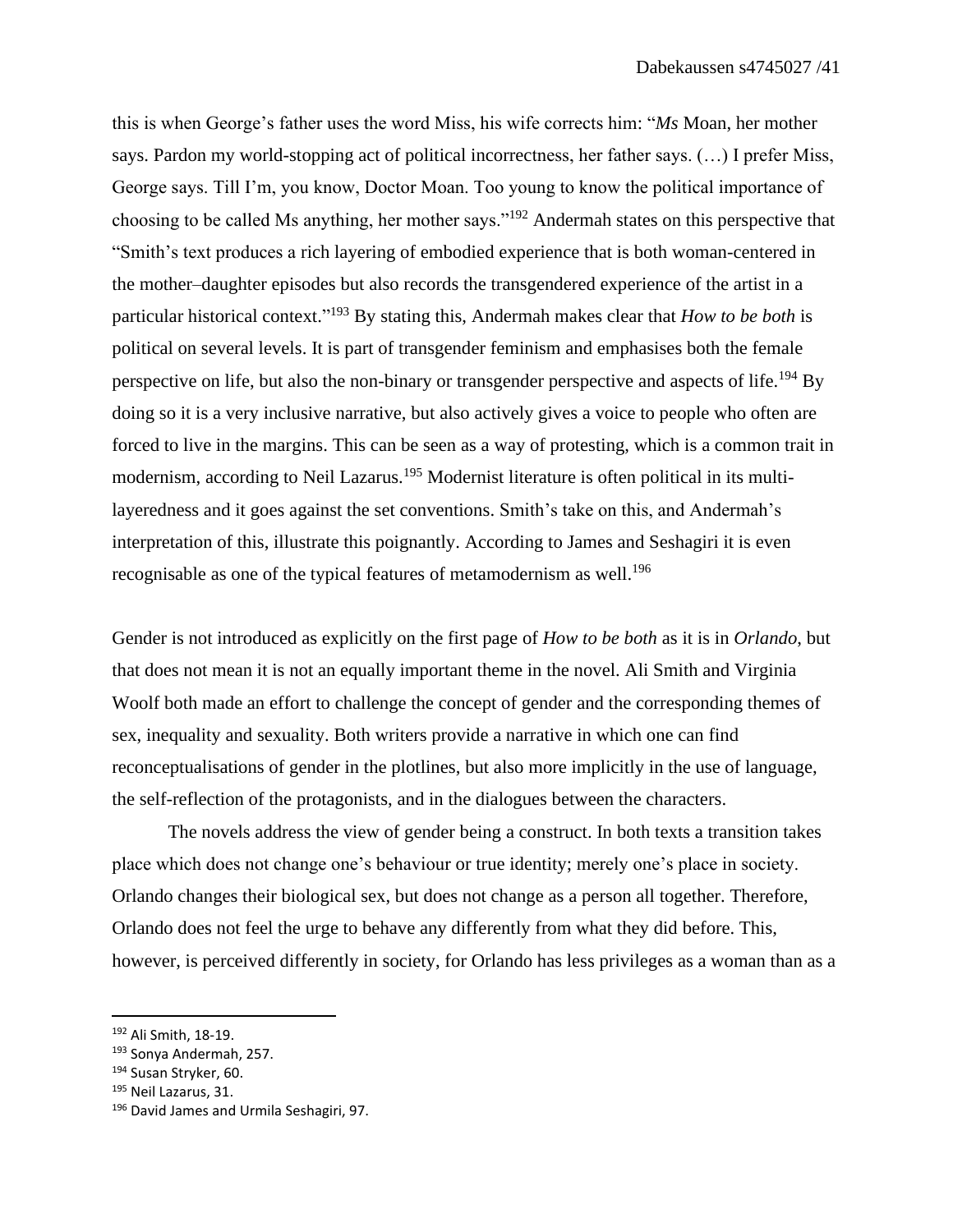this is when George's father uses the word Miss, his wife corrects him: "*Ms* Moan, her mother says. Pardon my world-stopping act of political incorrectness, her father says. (…) I prefer Miss, George says. Till I'm, you know, Doctor Moan. Too young to know the political importance of choosing to be called Ms anything, her mother says."<sup>192</sup> Andermah states on this perspective that "Smith's text produces a rich layering of embodied experience that is both woman-centered in the mother–daughter episodes but also records the transgendered experience of the artist in a particular historical context." <sup>193</sup> By stating this, Andermah makes clear that *How to be both* is political on several levels. It is part of transgender feminism and emphasises both the female perspective on life, but also the non-binary or transgender perspective and aspects of life.<sup>194</sup> By doing so it is a very inclusive narrative, but also actively gives a voice to people who often are forced to live in the margins. This can be seen as a way of protesting, which is a common trait in modernism, according to Neil Lazarus.<sup>195</sup> Modernist literature is often political in its multilayeredness and it goes against the set conventions. Smith's take on this, and Andermah's interpretation of this, illustrate this poignantly. According to James and Seshagiri it is even recognisable as one of the typical features of metamodernism as well.<sup>196</sup>

Gender is not introduced as explicitly on the first page of *How to be both* as it is in *Orlando*, but that does not mean it is not an equally important theme in the novel. Ali Smith and Virginia Woolf both made an effort to challenge the concept of gender and the corresponding themes of sex, inequality and sexuality. Both writers provide a narrative in which one can find reconceptualisations of gender in the plotlines, but also more implicitly in the use of language, the self-reflection of the protagonists, and in the dialogues between the characters.

The novels address the view of gender being a construct. In both texts a transition takes place which does not change one's behaviour or true identity; merely one's place in society. Orlando changes their biological sex, but does not change as a person all together. Therefore, Orlando does not feel the urge to behave any differently from what they did before. This, however, is perceived differently in society, for Orlando has less privileges as a woman than as a

<sup>192</sup> Ali Smith, 18-19.

<sup>193</sup> Sonya Andermah, 257.

<sup>194</sup> Susan Stryker, 60.

<sup>195</sup> Neil Lazarus, 31.

<sup>196</sup> David James and Urmila Seshagiri, 97.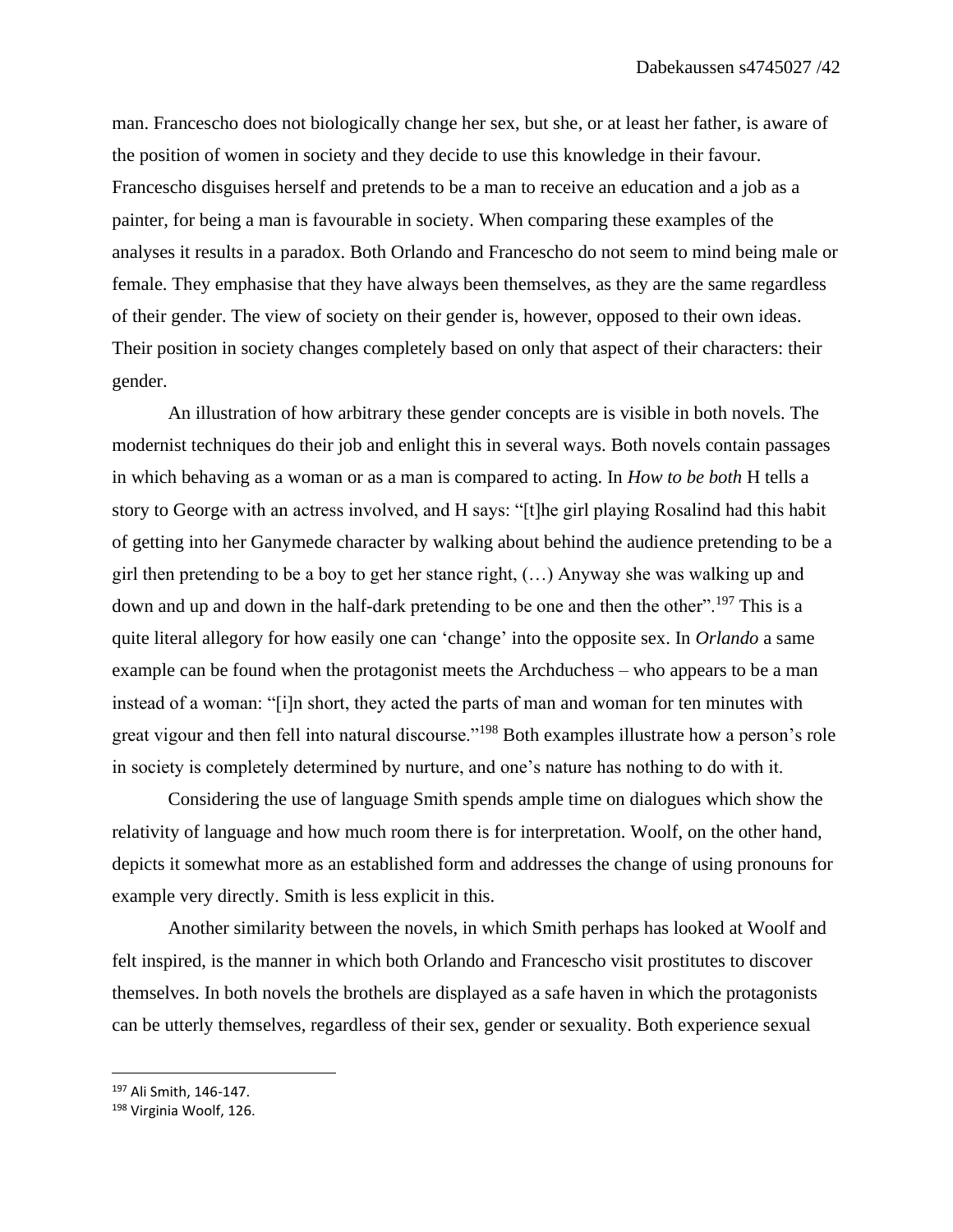man. Francescho does not biologically change her sex, but she, or at least her father, is aware of the position of women in society and they decide to use this knowledge in their favour. Francescho disguises herself and pretends to be a man to receive an education and a job as a painter, for being a man is favourable in society. When comparing these examples of the analyses it results in a paradox. Both Orlando and Francescho do not seem to mind being male or female. They emphasise that they have always been themselves, as they are the same regardless of their gender. The view of society on their gender is, however, opposed to their own ideas. Their position in society changes completely based on only that aspect of their characters: their gender.

An illustration of how arbitrary these gender concepts are is visible in both novels. The modernist techniques do their job and enlight this in several ways. Both novels contain passages in which behaving as a woman or as a man is compared to acting. In *How to be both* H tells a story to George with an actress involved, and H says: "[t]he girl playing Rosalind had this habit of getting into her Ganymede character by walking about behind the audience pretending to be a girl then pretending to be a boy to get her stance right, (…) Anyway she was walking up and down and up and down in the half-dark pretending to be one and then the other".<sup>197</sup> This is a quite literal allegory for how easily one can 'change' into the opposite sex. In *Orlando* a same example can be found when the protagonist meets the Archduchess – who appears to be a man instead of a woman: "[i]n short, they acted the parts of man and woman for ten minutes with great vigour and then fell into natural discourse."<sup>198</sup> Both examples illustrate how a person's role in society is completely determined by nurture, and one's nature has nothing to do with it.

Considering the use of language Smith spends ample time on dialogues which show the relativity of language and how much room there is for interpretation. Woolf, on the other hand, depicts it somewhat more as an established form and addresses the change of using pronouns for example very directly. Smith is less explicit in this.

Another similarity between the novels, in which Smith perhaps has looked at Woolf and felt inspired, is the manner in which both Orlando and Francescho visit prostitutes to discover themselves. In both novels the brothels are displayed as a safe haven in which the protagonists can be utterly themselves, regardless of their sex, gender or sexuality. Both experience sexual

<sup>197</sup> Ali Smith, 146-147.

<sup>198</sup> Virginia Woolf, 126.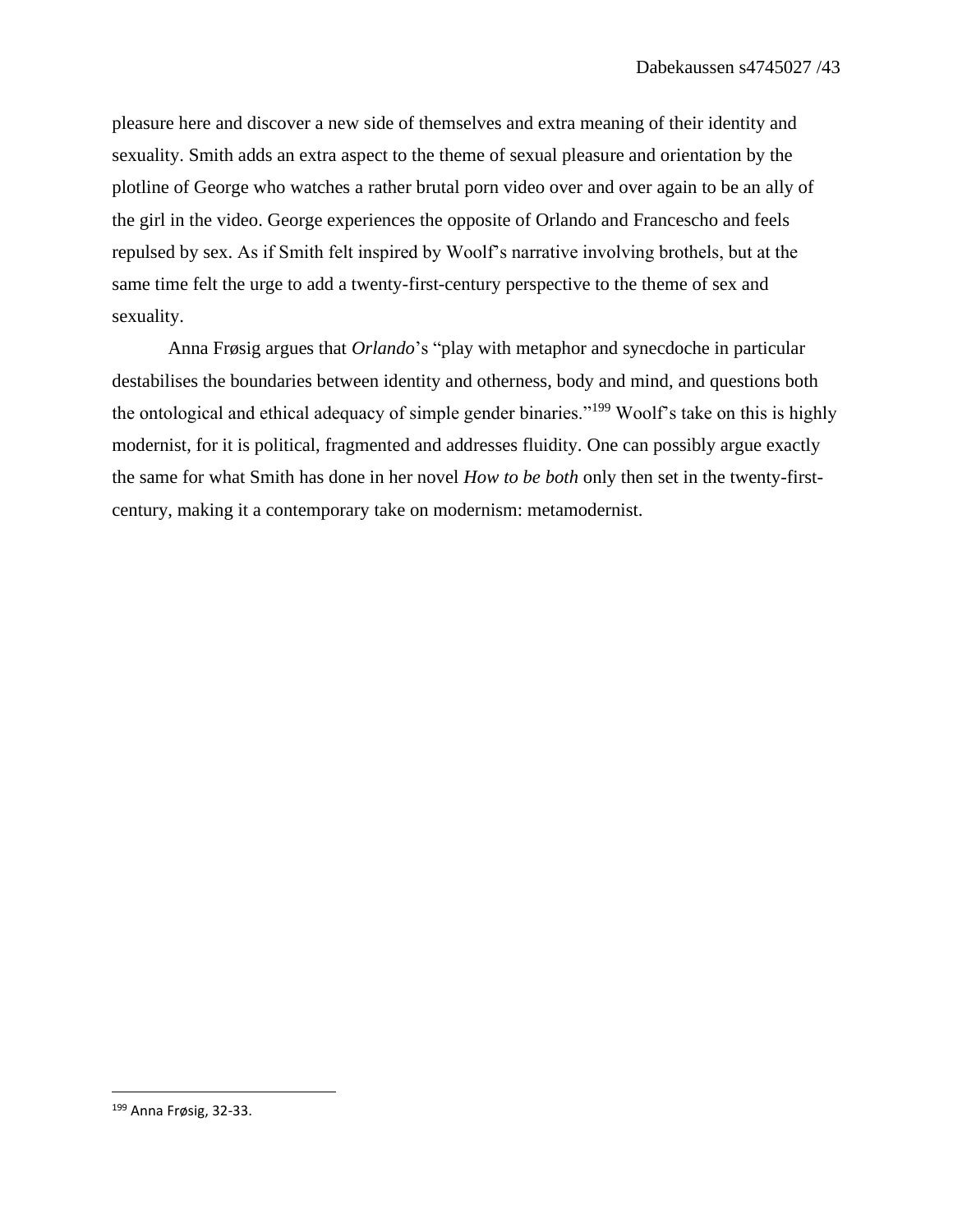pleasure here and discover a new side of themselves and extra meaning of their identity and sexuality. Smith adds an extra aspect to the theme of sexual pleasure and orientation by the plotline of George who watches a rather brutal porn video over and over again to be an ally of the girl in the video. George experiences the opposite of Orlando and Francescho and feels repulsed by sex. As if Smith felt inspired by Woolf's narrative involving brothels, but at the same time felt the urge to add a twenty-first-century perspective to the theme of sex and sexuality.

Anna Frøsig argues that *Orlando*'s "play with metaphor and synecdoche in particular destabilises the boundaries between identity and otherness, body and mind, and questions both the ontological and ethical adequacy of simple gender binaries."<sup>199</sup> Woolf's take on this is highly modernist, for it is political, fragmented and addresses fluidity. One can possibly argue exactly the same for what Smith has done in her novel *How to be both* only then set in the twenty-firstcentury, making it a contemporary take on modernism: metamodernist.

<sup>199</sup> Anna Frøsig, 32-33.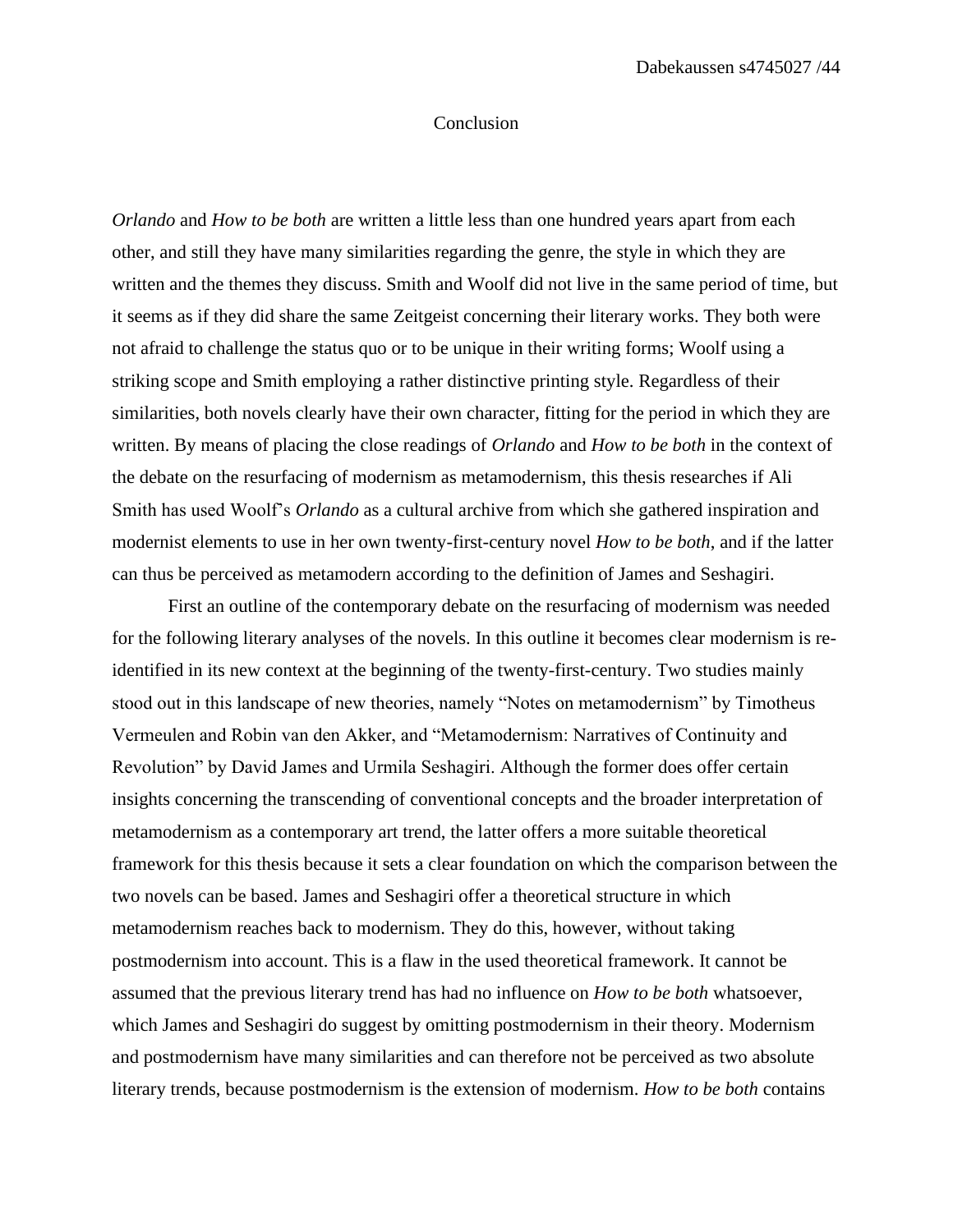#### Conclusion

*Orlando* and *How to be both* are written a little less than one hundred years apart from each other, and still they have many similarities regarding the genre, the style in which they are written and the themes they discuss. Smith and Woolf did not live in the same period of time, but it seems as if they did share the same Zeitgeist concerning their literary works. They both were not afraid to challenge the status quo or to be unique in their writing forms; Woolf using a striking scope and Smith employing a rather distinctive printing style. Regardless of their similarities, both novels clearly have their own character, fitting for the period in which they are written. By means of placing the close readings of *Orlando* and *How to be both* in the context of the debate on the resurfacing of modernism as metamodernism, this thesis researches if Ali Smith has used Woolf's *Orlando* as a cultural archive from which she gathered inspiration and modernist elements to use in her own twenty-first-century novel *How to be both*, and if the latter can thus be perceived as metamodern according to the definition of James and Seshagiri.

First an outline of the contemporary debate on the resurfacing of modernism was needed for the following literary analyses of the novels. In this outline it becomes clear modernism is reidentified in its new context at the beginning of the twenty-first-century. Two studies mainly stood out in this landscape of new theories, namely "Notes on metamodernism" by Timotheus Vermeulen and Robin van den Akker, and "Metamodernism: Narratives of Continuity and Revolution" by David James and Urmila Seshagiri. Although the former does offer certain insights concerning the transcending of conventional concepts and the broader interpretation of metamodernism as a contemporary art trend, the latter offers a more suitable theoretical framework for this thesis because it sets a clear foundation on which the comparison between the two novels can be based. James and Seshagiri offer a theoretical structure in which metamodernism reaches back to modernism. They do this, however, without taking postmodernism into account. This is a flaw in the used theoretical framework. It cannot be assumed that the previous literary trend has had no influence on *How to be both* whatsoever, which James and Seshagiri do suggest by omitting postmodernism in their theory. Modernism and postmodernism have many similarities and can therefore not be perceived as two absolute literary trends, because postmodernism is the extension of modernism. *How to be both* contains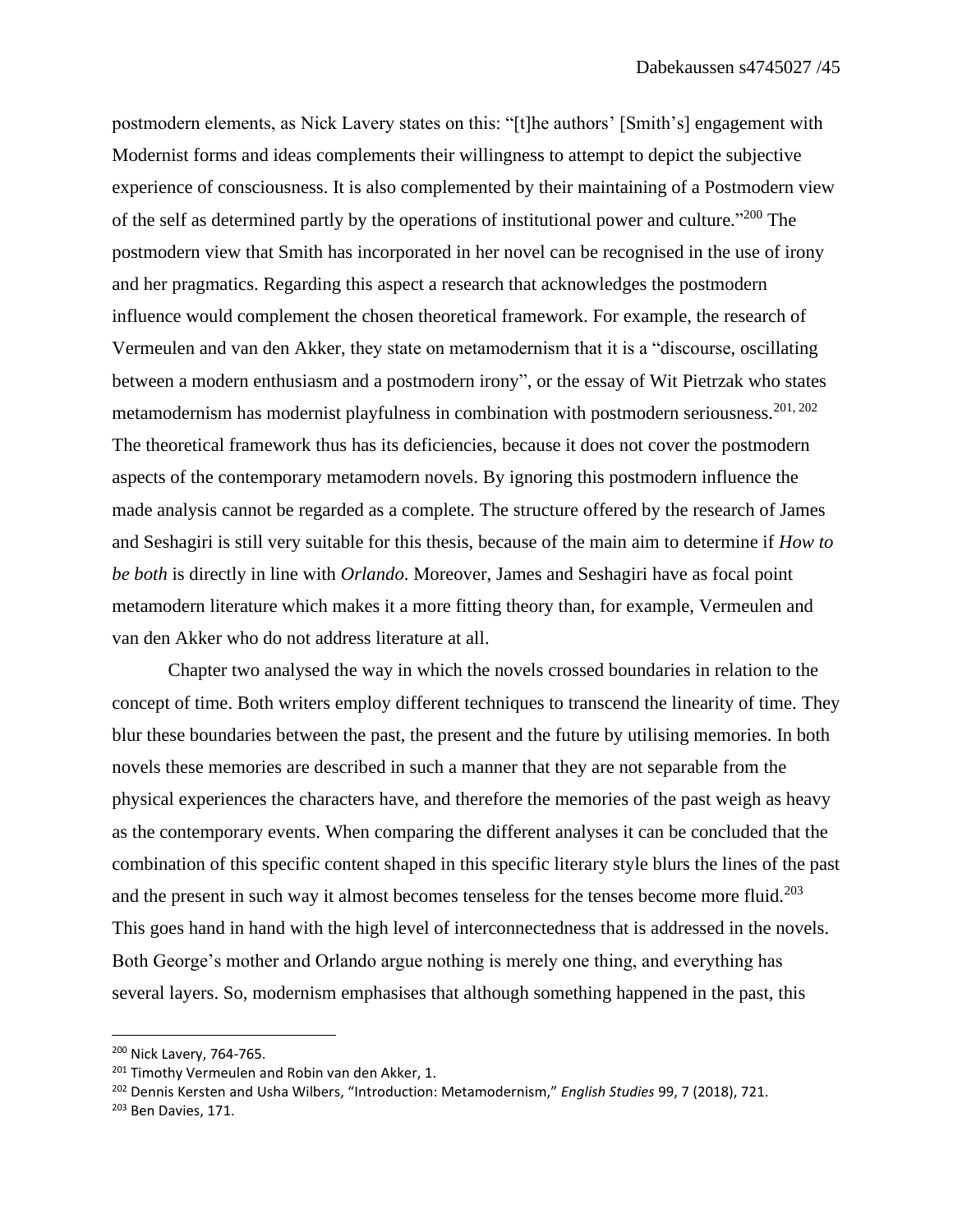postmodern elements, as Nick Lavery states on this: "[t]he authors' [Smith's] engagement with Modernist forms and ideas complements their willingness to attempt to depict the subjective experience of consciousness. It is also complemented by their maintaining of a Postmodern view of the self as determined partly by the operations of institutional power and culture."<sup>200</sup> The postmodern view that Smith has incorporated in her novel can be recognised in the use of irony and her pragmatics. Regarding this aspect a research that acknowledges the postmodern influence would complement the chosen theoretical framework. For example, the research of Vermeulen and van den Akker, they state on metamodernism that it is a "discourse, oscillating between a modern enthusiasm and a postmodern irony", or the essay of Wit Pietrzak who states metamodernism has modernist playfulness in combination with postmodern seriousness.<sup>201, 202</sup> The theoretical framework thus has its deficiencies, because it does not cover the postmodern aspects of the contemporary metamodern novels. By ignoring this postmodern influence the made analysis cannot be regarded as a complete. The structure offered by the research of James and Seshagiri is still very suitable for this thesis, because of the main aim to determine if *How to be both* is directly in line with *Orlando*. Moreover, James and Seshagiri have as focal point metamodern literature which makes it a more fitting theory than, for example, Vermeulen and van den Akker who do not address literature at all.

Chapter two analysed the way in which the novels crossed boundaries in relation to the concept of time. Both writers employ different techniques to transcend the linearity of time. They blur these boundaries between the past, the present and the future by utilising memories. In both novels these memories are described in such a manner that they are not separable from the physical experiences the characters have, and therefore the memories of the past weigh as heavy as the contemporary events. When comparing the different analyses it can be concluded that the combination of this specific content shaped in this specific literary style blurs the lines of the past and the present in such way it almost becomes tenseless for the tenses become more fluid.<sup>203</sup> This goes hand in hand with the high level of interconnectedness that is addressed in the novels. Both George's mother and Orlando argue nothing is merely one thing, and everything has several layers. So, modernism emphasises that although something happened in the past, this

<sup>&</sup>lt;sup>200</sup> Nick Lavery, 764-765.

<sup>&</sup>lt;sup>201</sup> Timothy Vermeulen and Robin van den Akker, 1.

<sup>202</sup> Dennis Kersten and Usha Wilbers, "Introduction: Metamodernism," *English Studies* 99, 7 (2018), 721.

<sup>203</sup> Ben Davies, 171.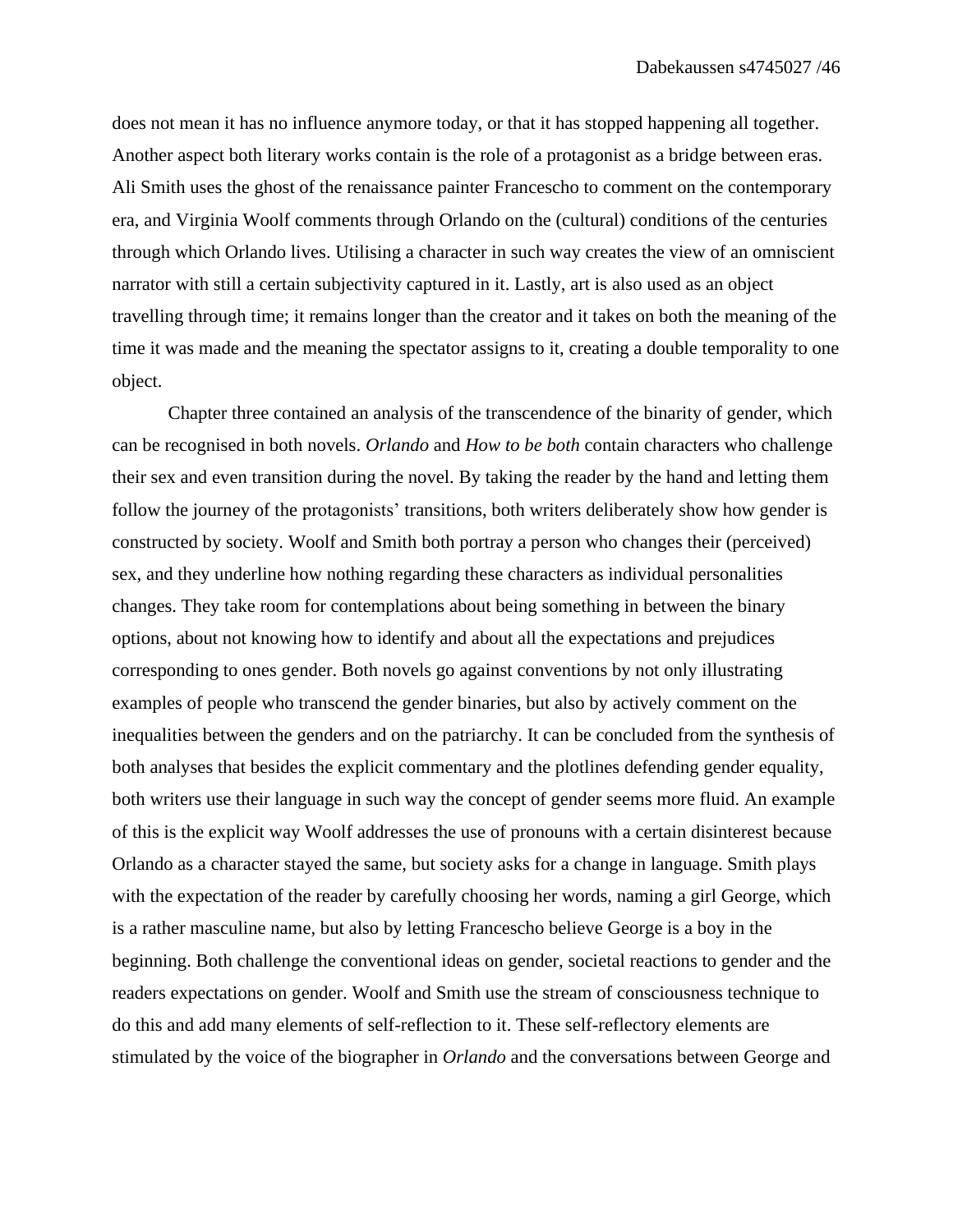does not mean it has no influence anymore today, or that it has stopped happening all together. Another aspect both literary works contain is the role of a protagonist as a bridge between eras. Ali Smith uses the ghost of the renaissance painter Francescho to comment on the contemporary era, and Virginia Woolf comments through Orlando on the (cultural) conditions of the centuries through which Orlando lives. Utilising a character in such way creates the view of an omniscient narrator with still a certain subjectivity captured in it. Lastly, art is also used as an object travelling through time; it remains longer than the creator and it takes on both the meaning of the time it was made and the meaning the spectator assigns to it, creating a double temporality to one object.

Chapter three contained an analysis of the transcendence of the binarity of gender, which can be recognised in both novels. *Orlando* and *How to be both* contain characters who challenge their sex and even transition during the novel. By taking the reader by the hand and letting them follow the journey of the protagonists' transitions, both writers deliberately show how gender is constructed by society. Woolf and Smith both portray a person who changes their (perceived) sex, and they underline how nothing regarding these characters as individual personalities changes. They take room for contemplations about being something in between the binary options, about not knowing how to identify and about all the expectations and prejudices corresponding to ones gender. Both novels go against conventions by not only illustrating examples of people who transcend the gender binaries, but also by actively comment on the inequalities between the genders and on the patriarchy. It can be concluded from the synthesis of both analyses that besides the explicit commentary and the plotlines defending gender equality, both writers use their language in such way the concept of gender seems more fluid. An example of this is the explicit way Woolf addresses the use of pronouns with a certain disinterest because Orlando as a character stayed the same, but society asks for a change in language. Smith plays with the expectation of the reader by carefully choosing her words, naming a girl George, which is a rather masculine name, but also by letting Francescho believe George is a boy in the beginning. Both challenge the conventional ideas on gender, societal reactions to gender and the readers expectations on gender. Woolf and Smith use the stream of consciousness technique to do this and add many elements of self-reflection to it. These self-reflectory elements are stimulated by the voice of the biographer in *Orlando* and the conversations between George and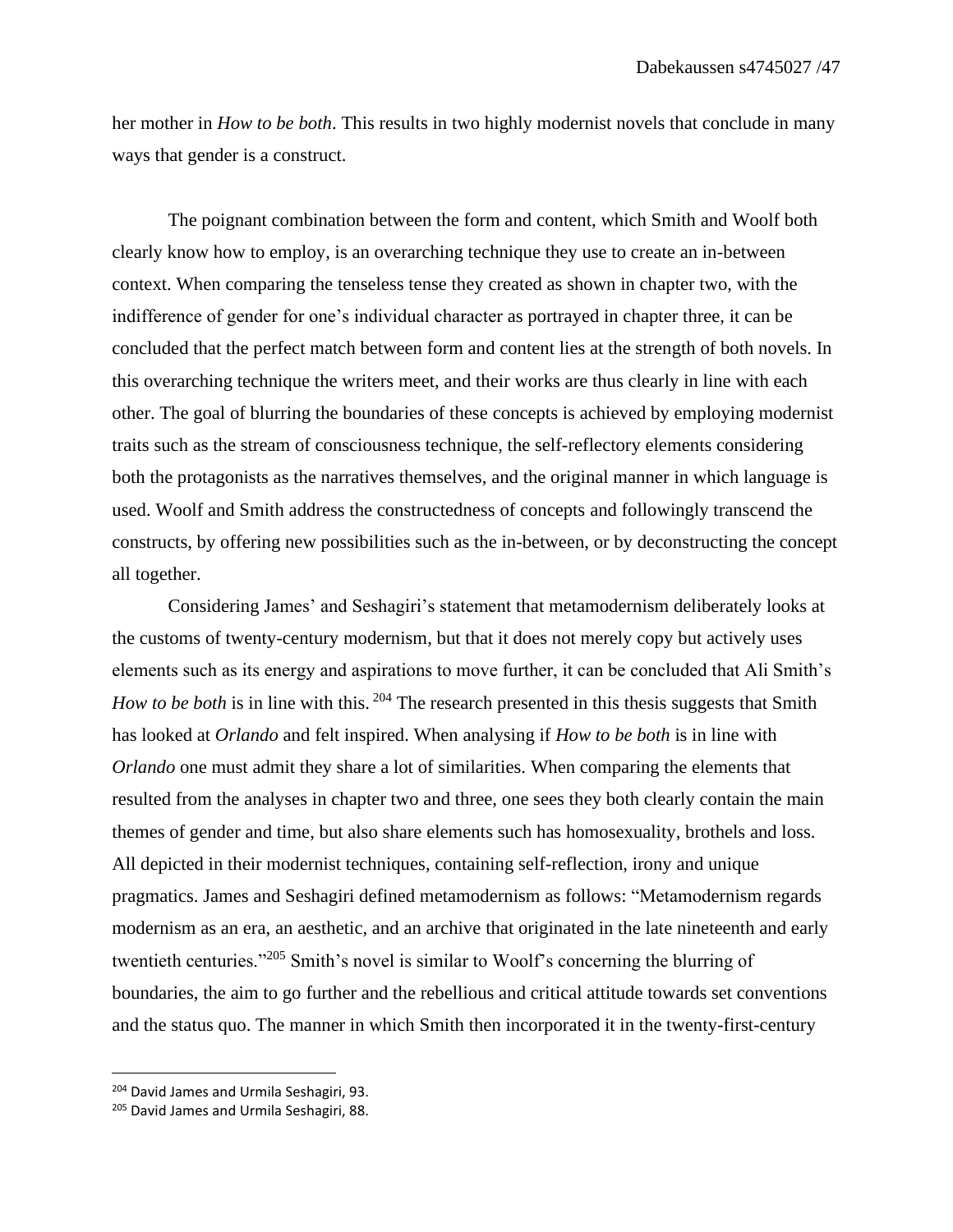her mother in *How to be both*. This results in two highly modernist novels that conclude in many ways that gender is a construct.

The poignant combination between the form and content, which Smith and Woolf both clearly know how to employ, is an overarching technique they use to create an in-between context. When comparing the tenseless tense they created as shown in chapter two, with the indifference of gender for one's individual character as portrayed in chapter three, it can be concluded that the perfect match between form and content lies at the strength of both novels. In this overarching technique the writers meet, and their works are thus clearly in line with each other. The goal of blurring the boundaries of these concepts is achieved by employing modernist traits such as the stream of consciousness technique, the self-reflectory elements considering both the protagonists as the narratives themselves, and the original manner in which language is used. Woolf and Smith address the constructedness of concepts and followingly transcend the constructs, by offering new possibilities such as the in-between, or by deconstructing the concept all together.

Considering James' and Seshagiri's statement that metamodernism deliberately looks at the customs of twenty-century modernism, but that it does not merely copy but actively uses elements such as its energy and aspirations to move further, it can be concluded that Ali Smith's *How to be both* is in line with this. <sup>204</sup> The research presented in this thesis suggests that Smith has looked at *Orlando* and felt inspired. When analysing if *How to be both* is in line with *Orlando* one must admit they share a lot of similarities. When comparing the elements that resulted from the analyses in chapter two and three, one sees they both clearly contain the main themes of gender and time, but also share elements such has homosexuality, brothels and loss. All depicted in their modernist techniques, containing self-reflection, irony and unique pragmatics. James and Seshagiri defined metamodernism as follows: "Metamodernism regards modernism as an era, an aesthetic, and an archive that originated in the late nineteenth and early twentieth centuries."<sup>205</sup> Smith's novel is similar to Woolf's concerning the blurring of boundaries, the aim to go further and the rebellious and critical attitude towards set conventions and the status quo. The manner in which Smith then incorporated it in the twenty-first-century

<sup>&</sup>lt;sup>204</sup> David James and Urmila Seshagiri, 93.

<sup>&</sup>lt;sup>205</sup> David James and Urmila Seshagiri, 88.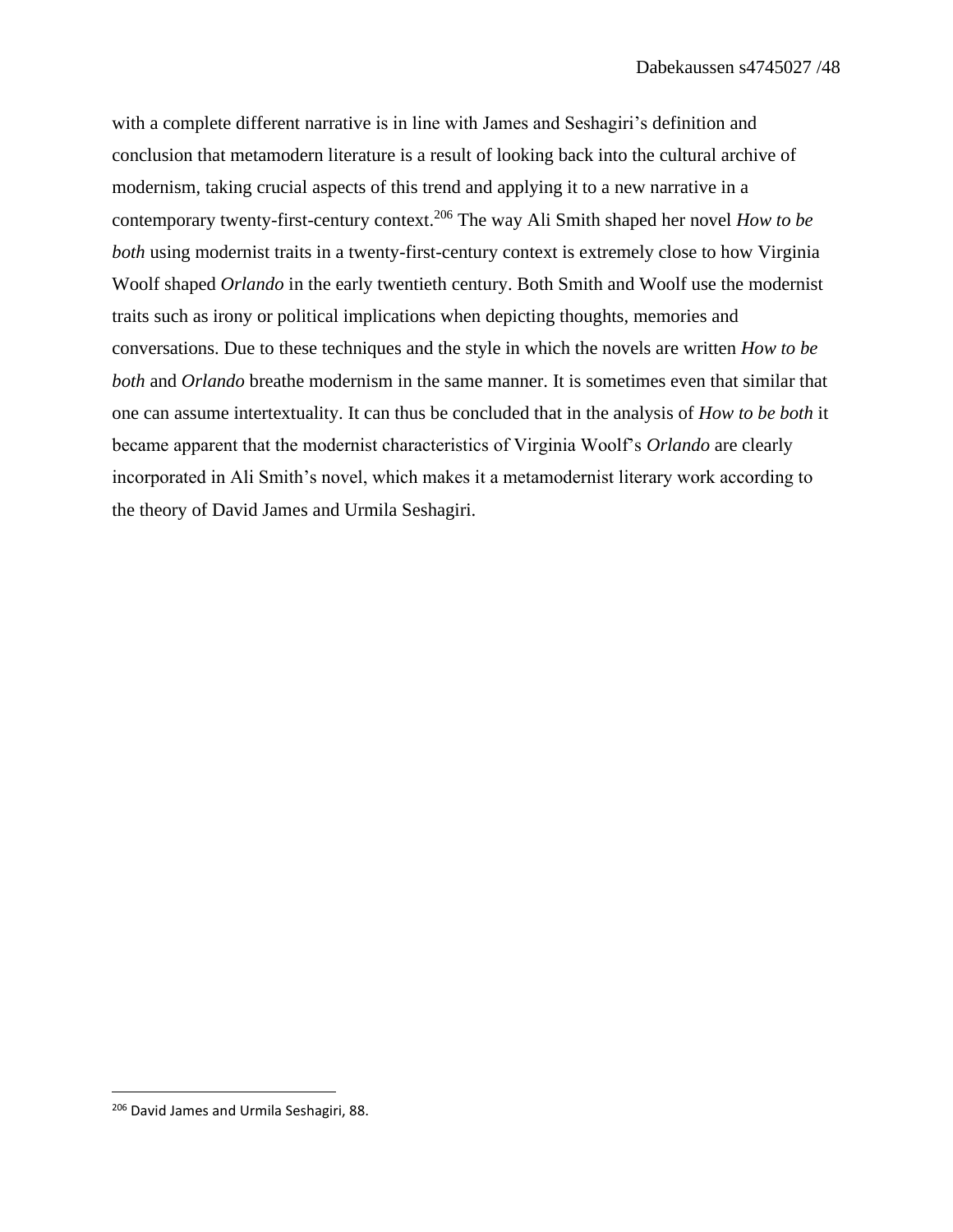with a complete different narrative is in line with James and Seshagiri's definition and conclusion that metamodern literature is a result of looking back into the cultural archive of modernism, taking crucial aspects of this trend and applying it to a new narrative in a contemporary twenty-first-century context.<sup>206</sup> The way Ali Smith shaped her novel *How to be both* using modernist traits in a twenty-first-century context is extremely close to how Virginia Woolf shaped *Orlando* in the early twentieth century. Both Smith and Woolf use the modernist traits such as irony or political implications when depicting thoughts, memories and conversations. Due to these techniques and the style in which the novels are written *How to be both* and *Orlando* breathe modernism in the same manner. It is sometimes even that similar that one can assume intertextuality. It can thus be concluded that in the analysis of *How to be both* it became apparent that the modernist characteristics of Virginia Woolf's *Orlando* are clearly incorporated in Ali Smith's novel, which makes it a metamodernist literary work according to the theory of David James and Urmila Seshagiri.

<sup>&</sup>lt;sup>206</sup> David James and Urmila Seshagiri, 88.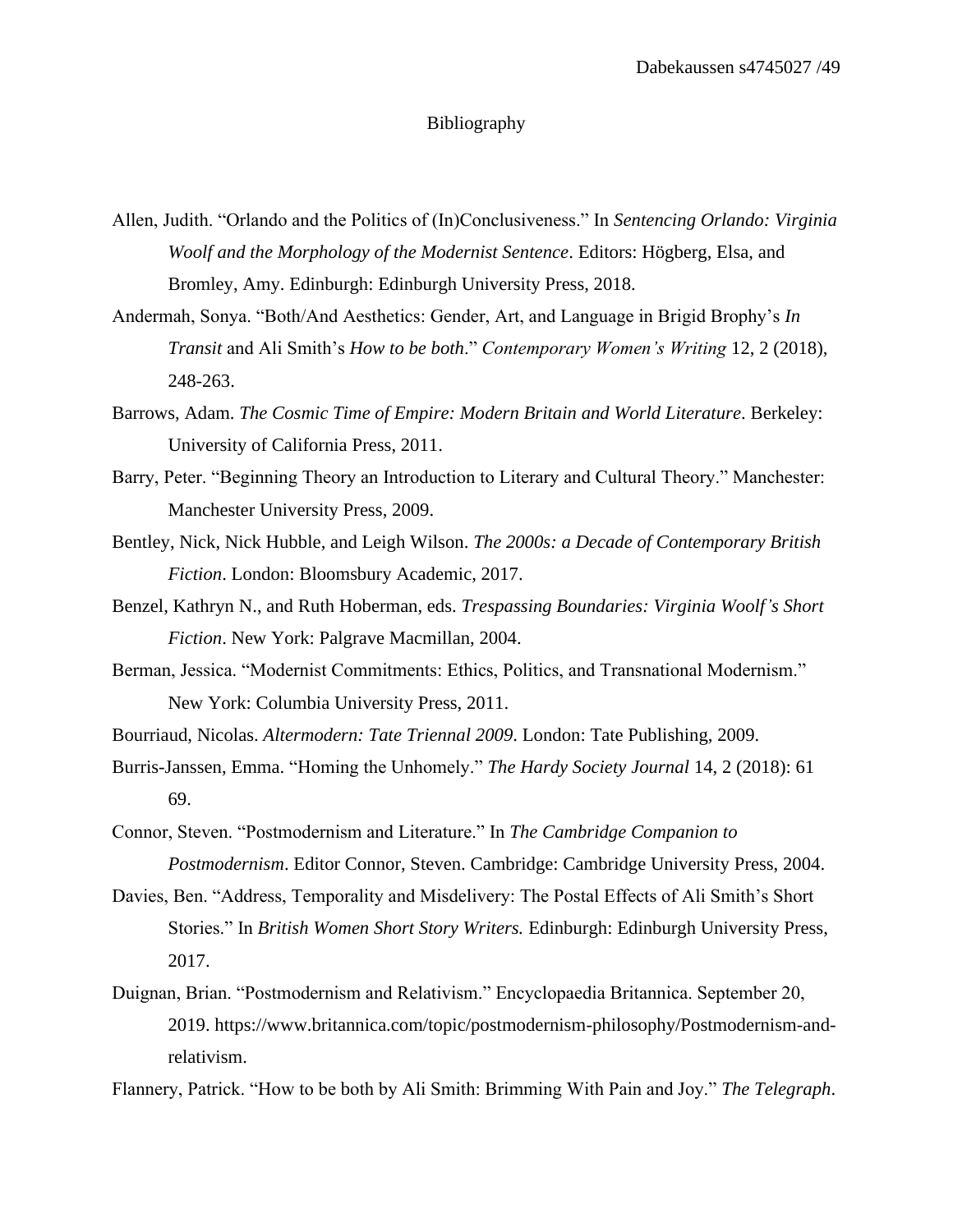### Bibliography

- Allen, Judith. "Orlando and the Politics of (In)Conclusiveness." In *Sentencing Orlando: Virginia Woolf and the Morphology of the Modernist Sentence*. Editors: Högberg, Elsa, and Bromley, Amy. Edinburgh: Edinburgh University Press, 2018.
- Andermah, Sonya. "Both/And Aesthetics: Gender, Art, and Language in Brigid Brophy's *In Transit* and Ali Smith's *How to be both*." *Contemporary Women's Writing* 12, 2 (2018), 248-263.
- Barrows, Adam. *The Cosmic Time of Empire: Modern Britain and World Literature*. Berkeley: University of California Press, 2011.
- Barry, Peter. "Beginning Theory an Introduction to Literary and Cultural Theory." Manchester: Manchester University Press, 2009.
- Bentley, Nick, Nick Hubble, and Leigh Wilson. *The 2000s: a Decade of Contemporary British Fiction*. London: Bloomsbury Academic, 2017.
- Benzel, Kathryn N., and Ruth Hoberman, eds. *Trespassing Boundaries: Virginia Woolf's Short Fiction*. New York: Palgrave Macmillan, 2004.
- Berman, Jessica. "Modernist Commitments: Ethics, Politics, and Transnational Modernism." New York: Columbia University Press, 2011.
- Bourriaud, Nicolas. *Altermodern: Tate Triennal 2009*. London: Tate Publishing, 2009.
- Burris-Janssen, Emma. "Homing the Unhomely." *The Hardy Society Journal* 14, 2 (2018): 61 69.
- Connor, Steven. "Postmodernism and Literature." In *The Cambridge Companion to Postmodernism*. Editor Connor, Steven. Cambridge: Cambridge University Press, 2004.
- Davies, Ben. "Address, Temporality and Misdelivery: The Postal Effects of Ali Smith's Short Stories." In *British Women Short Story Writers.* Edinburgh: Edinburgh University Press, 2017.
- Duignan, Brian. "Postmodernism and Relativism." Encyclopaedia Britannica. September 20, 2019. https://www.britannica.com/topic/postmodernism-philosophy/Postmodernism-andrelativism.

Flannery, Patrick. "How to be both by Ali Smith: Brimming With Pain and Joy." *The Telegraph*.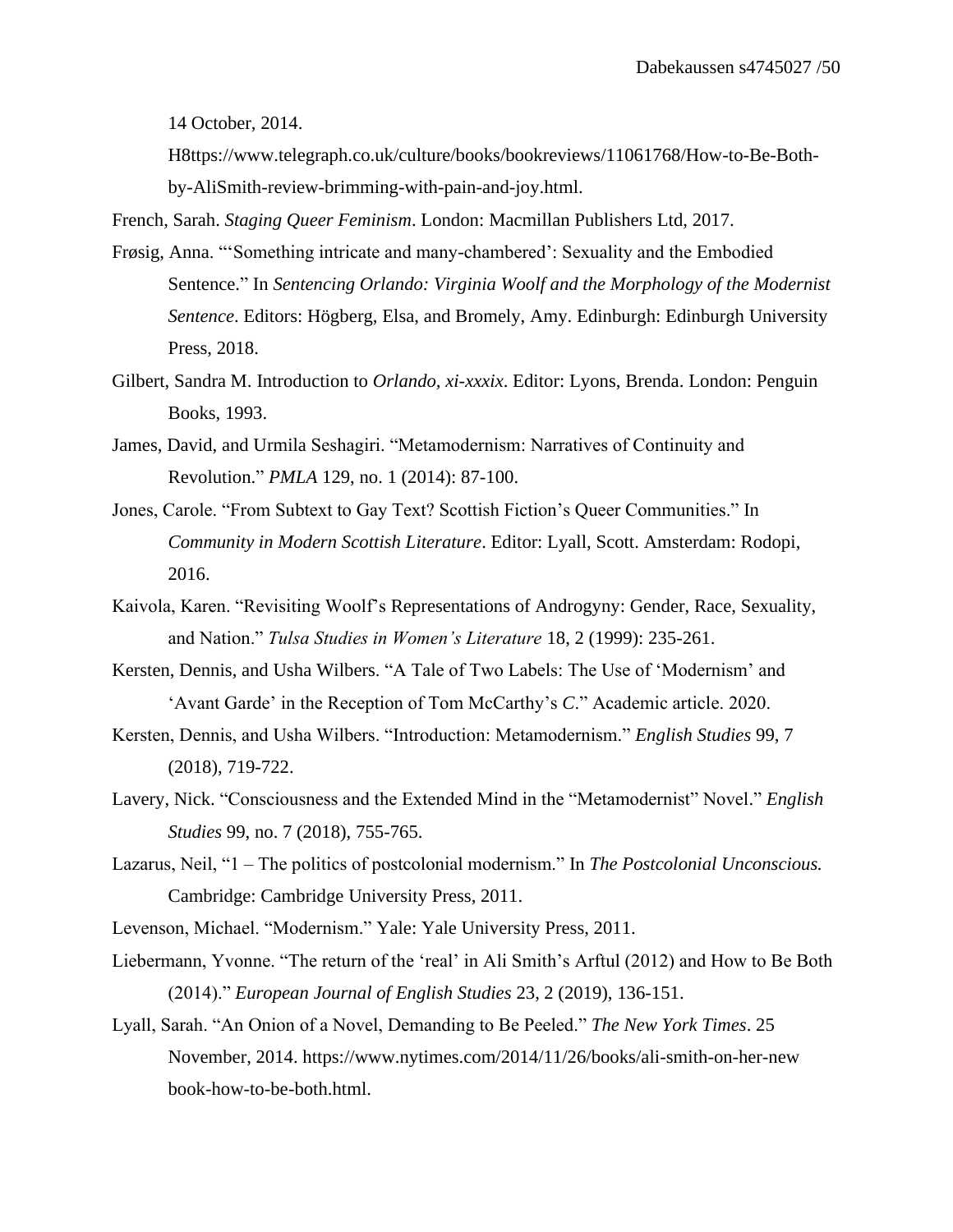14 October, 2014.

H8ttps://www.telegraph.co.uk/culture/books/bookreviews/11061768/How-to-Be-Bothby-AliSmith-review-brimming-with-pain-and-joy.html.

French, Sarah. *Staging Queer Feminism*. London: Macmillan Publishers Ltd, 2017.

- Frøsig, Anna. "'Something intricate and many-chambered': Sexuality and the Embodied Sentence." In *Sentencing Orlando: Virginia Woolf and the Morphology of the Modernist Sentence*. Editors: Högberg, Elsa, and Bromely, Amy. Edinburgh: Edinburgh University Press, 2018.
- Gilbert, Sandra M. Introduction to *Orlando, xi-xxxix*. Editor: Lyons, Brenda. London: Penguin Books, 1993.
- James, David, and Urmila Seshagiri. "Metamodernism: Narratives of Continuity and Revolution." *PMLA* 129, no. 1 (2014): 87-100.
- Jones, Carole. "From Subtext to Gay Text? Scottish Fiction's Queer Communities." In *Community in Modern Scottish Literature*. Editor: Lyall, Scott. Amsterdam: Rodopi, 2016.
- Kaivola, Karen. "Revisiting Woolf's Representations of Androgyny: Gender, Race, Sexuality, and Nation." *Tulsa Studies in Women's Literature* 18, 2 (1999): 235-261.
- Kersten, Dennis, and Usha Wilbers. "A Tale of Two Labels: The Use of 'Modernism' and 'Avant Garde' in the Reception of Tom McCarthy's *C*." Academic article. 2020.
- Kersten, Dennis, and Usha Wilbers. "Introduction: Metamodernism." *English Studies* 99, 7 (2018), 719-722.
- Lavery, Nick. "Consciousness and the Extended Mind in the "Metamodernist" Novel." *English Studies* 99, no. 7 (2018), 755-765.
- Lazarus, Neil, "1 The politics of postcolonial modernism." In *The Postcolonial Unconscious.*  Cambridge: Cambridge University Press, 2011.
- Levenson, Michael. "Modernism." Yale: Yale University Press, 2011.
- Liebermann, Yvonne. "The return of the 'real' in Ali Smith's Arftul (2012) and How to Be Both (2014)." *European Journal of English Studies* 23, 2 (2019), 136-151.
- Lyall, Sarah. "An Onion of a Novel, Demanding to Be Peeled." *The New York Times*. 25 November, 2014. https://www.nytimes.com/2014/11/26/books/ali-smith-on-her-new book-how-to-be-both.html.